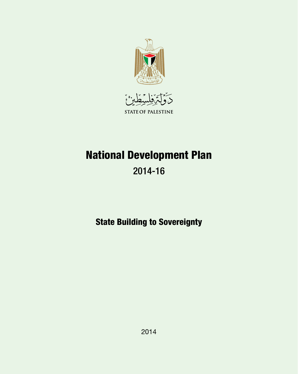

# National Development Plan

# 2014-16

State Building to Sovereignty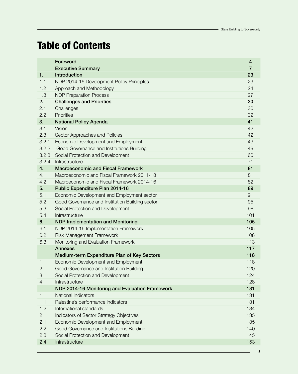# Table of Contents

|       | Foreword                                        | $\overline{4}$ |
|-------|-------------------------------------------------|----------------|
|       | <b>Executive Summary</b>                        | $\overline{7}$ |
| 1.    | Introduction                                    | 23             |
| 1.1   | NDP 2014-16 Development Policy Principles       | 23             |
| 1.2   | Approach and Methodology                        | 24             |
| 1.3   | <b>NDP Preparation Process</b>                  | 27             |
| 2.    | <b>Challenges and Priorities</b>                | 30             |
| 2.1   | Challenges                                      | 30             |
| 2.2   | Priorities                                      | 32             |
| 3.    | <b>National Policy Agenda</b>                   | 41             |
| 3.1   | Vision                                          | 42             |
| 2.3   | Sector Approaches and Policies                  | 42             |
| 3.2.1 | Economic Development and Employment             | 43             |
| 3.2.2 | Good Governance and Institutions Building       | 49             |
| 3.2.3 | Social Protection and Development               | 60             |
| 3.2.4 | Infrastructure                                  | 71             |
| 4.    | <b>Macroeconomic and Fiscal Framework</b>       | 81             |
| 4.1   | Macroeconomic and Fiscal Framework 2011-13      | 81             |
| 4.2   | Macroeconomic and Fiscal Framework 2014-16      | 82             |
| 5.    | Public Expenditure Plan 2014-16                 | 89             |
| 5.1   | Economic Development and Employment sector      | 91             |
| 5.2   | Good Governance and Institution Building sector | 95             |
| 5.3   | Social Protection and Development               | 98             |
| 5.4   | Infrastructure                                  | 101            |
| 6.    | <b>NDP Implementation and Monitoring</b>        | 105            |
| 6.1   | NDP 2014-16 Implementation Framework            | 105            |
| 6.2   | Risk Management Framework                       | 108            |
| 6.3   | Monitoring and Evaluation Framework             | 113            |
|       | <b>Annexes</b>                                  | 117            |
|       | Medium-term Expenditure Plan of Key Sectors     | 118            |
| 1.    | Economic Development and Employment             | 118            |
| 2.    | Good Governance and Institution Building        | 120            |
| З.    | Social Protection and Development               | 124            |
| 4.    | Infrastructure                                  | 128            |
|       | NDP 2014-16 Monitoring and Evaluation Framework | 131            |
| 1.    | <b>National Indicators</b>                      | 131            |
| 1.1   | Palestine's performance indicators              | 131            |
| 1.2   | International standards                         | 134            |
| 2.    | Indicators of Sector Strategy Objectives        | 135            |
| 2.1   | Economic Development and Employment             | 135            |
| 2.2   | Good Governance and Institutions Building       | 140            |
| 2.3   | Social Protection and Development               | 145            |
| 2.4   | Infrastructure                                  | 153            |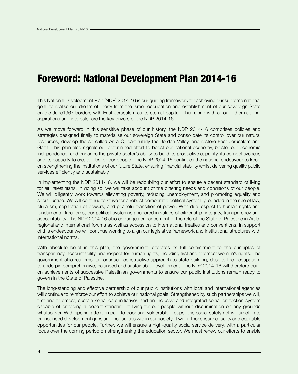# Foreword: National Development Plan 2014-16

This National Development Plan (NDP) 2014-16 is our guiding framework for achieving our supreme national goal: to realise our dream of liberty from the Israeli occupation and establishment of our sovereign State on the June1967 borders with East Jerusalem as its eternal capital. This, along with all our other national aspirations and interests, are the key drivers of the NDP 2014-16.

As we move forward in this sensitive phase of our history, the NDP 2014-16 comprises policies and strategies designed finally to materialise our sovereign State and consolidate its control over our natural resources, develop the so-called Area C, particularly the Jordan Valley, and restore East Jerusalem and Gaza. This plan also signals our determined effort to boost our national economy, bolster our economic independence, and enhance the private sector's ability to build its productive capacity, its competitiveness and its capacity to create jobs for our people. The NDP 2014-16 continues the national endeavour to keep on strengthening the institutions of our future State, ensuring financial stability whilst delivering quality public services efficiently and sustainably.

In implementing the NDP 2014-16, we will be redoubling our effort to ensure a decent standard of living for all Palestinians. In doing so, we will take account of the differing needs and conditions of our people. We will diligently work towards alleviating poverty, reducing unemployment, and promoting equality and social justice. We will continue to strive for a robust democratic political system, grounded in the rule of law, pluralism, separation of powers, and peaceful transition of power. With due respect to human rights and fundamental freedoms, our political system is anchored in values of citizenship, integrity, transparency and accountability. The NDP 2014-16 also envisages enhancement of the role of the State of Palestine in Arab, regional and international forums as well as accession to international treaties and conventions. In support of this endeavour we will continue working to align our legislative framework and institutional structures with international norms.

With absolute belief in this plan, the government reiterates its full commitment to the principles of transparency, accountability, and respect for human rights, including first and foremost women's rights. The government also reaffirms its continued constructive approach to state-building, despite the occupation, to underpin comprehensive, balanced and sustainable development. The NDP 2014-16 will therefore build on achievements of successive Palestinian governments to ensure our public institutions remain ready to govern in the State of Palestine.

The long-standing and effective partnership of our public institutions with local and international agencies will continue to reinforce our effort to achieve our national goals. Strengthened by such partnerships we will, first and foremost, sustain social care initiatives and an inclusive and integrated social protection system capable of providing a decent standard of living for our people without discrimination on any grounds whatsoever. With special attention paid to poor and vulnerable groups, this social safety net will ameliorate pronounced development gaps and inequalities within our society. It will further ensure equality and equitable opportunities for our people. Further, we will ensure a high-quality social service delivery, with a particular focus over the coming period on strengthening the education sector. We must renew our efforts to enable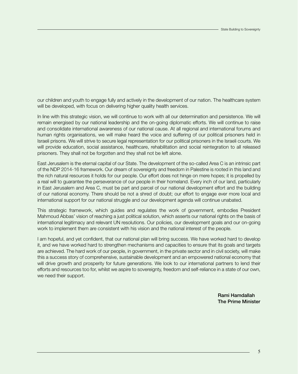our children and youth to engage fully and actively in the development of our nation. The healthcare system will be developed, with focus on delivering higher quality health services.

In line with this strategic vision, we will continue to work with all our determination and persistence. We will remain energised by our national leadership and the on-going diplomatic efforts. We will continue to raise and consolidate international awareness of our national cause. At all regional and international forums and human rights organisations, we will make heard the voice and suffering of our political prisoners held in Israeli prisons. We will strive to secure legal representation for our political prisoners in the Israeli courts. We will provide education, social assistance, healthcare, rehabilitation and social reintegration to all released prisoners. They shall not be forgotten and they shall not be left alone.

East Jerusalem is the eternal capital of our State. The development of the so-called Area C is an intrinsic part of the NDP 2014-16 framework. Our dream of sovereignty and freedom in Palestine is rooted in this land and the rich natural resources it holds for our people. Our effort does not hinge on mere hopes; it is propelled by a real will to guarantee the perseverance of our people in their homeland. Every inch of our land, particularly in East Jerusalem and Area C, must be part and parcel of our national development effort and the building of our national economy. There should be not a shred of doubt; our effort to engage ever more local and international support for our national struggle and our development agenda will continue unabated.

This strategic framework, which guides and regulates the work of government, embodies President Mahmoud Abbas' vision of reaching a just political solution, which asserts our national rights on the basis of international legitimacy and relevant UN resolutions. Our policies, our development goals and our on-going work to implement them are consistent with his vision and the national interest of the people.

I am hopeful, and yet confident, that our national plan will bring success. We have worked hard to develop it, and we have worked hard to strengthen mechanisms and capacities to ensure that its goals and targets are achieved. The hard work of our people, in government, in the private sector and in civil society, will make this a success story of comprehensive, sustainable development and an empowered national economy that will drive growth and prosperity for future generations. We look to our international partners to lend their efforts and resources too for, whilst we aspire to sovereignty, freedom and self-reliance in a state of our own, we need their support.

> Rami Hamdallah The Prime Minister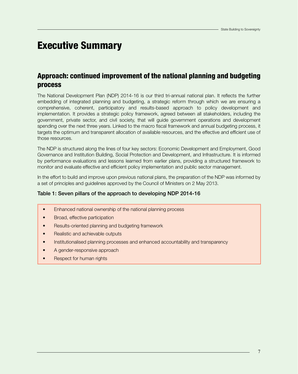# Executive Summary

# Approach: continued improvement of the national planning and budgeting process

The National Development Plan (NDP) 2014-16 is our third tri-annual national plan. It reflects the further embedding of integrated planning and budgeting, a strategic reform through which we are ensuring a comprehensive, coherent, participatory and results-based approach to policy development and implementation. It provides a strategic policy framework, agreed between all stakeholders, including the government, private sector, and civil society, that will guide government operations and development spending over the next three years. Linked to the macro fiscal framework and annual budgeting process, it targets the optimum and transparent allocation of available resources, and the effective and efficient use of those resources.

The NDP is structured along the lines of four key sectors: Economic Development and Employment, Good Governance and Institution Building, Social Protection and Development, and Infrastructure. It is informed by performance evaluations and lessons learned from earlier plans, providing a structured framework to monitor and evaluate effective and efficient policy implementation and public sector management.

In the effort to build and improve upon previous national plans, the preparation of the NDP was informed by a set of principles and guidelines approved by the Council of Ministers on 2 May 2013.

## Table 1: Seven pillars of the approach to developing NDP 2014-16

- Enhanced national ownership of the national planning process
- Broad, effective participation
- Results-oriented planning and budgeting framework
- Realistic and achievable outputs
- Institutionalised planning processes and enhanced accountability and transparency
- A gender-responsive approach
- **Respect for human rights**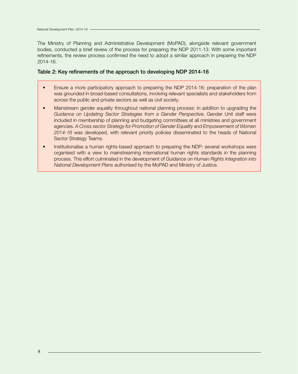The Ministry of Planning and Administrative Development (MoPAD), alongside relevant government bodies, conducted a brief review of the process for preparing the NDP 2011-13. With some important refinements, the review process confirmed the need to adopt a similar approach in preparing the NDP 2014-16.

### Table 2: Key refinements of the approach to developing NDP 2014-16

- Ensure a more participatory approach to preparing the NDP 2014-16: preparation of the plan was grounded in broad-based consultations, involving relevant specialists and stakeholders from across the public and private sectors as well as civil society.
- Mainstream gender equality throughout national planning process: in addition to upgrading the *Guidance on Updating Sector Strategies from a Gender Perspective*, Gender Unit staff were included in membership of planning and budgeting committees at all ministries and government agencies. *A Cross sector Strategy for Promotion of Gender Equality and Empowerment of Women 2014-16* was developed, with relevant priority policies disseminated to the heads of National Sector Strategy Teams.
- Institutionalise a human rights-based approach to preparing the NDP: several workshops were organised with a view to mainstreaming international human rights standards in the planning process. This effort culminated in the development of *Guidance on Human Rights Integration into National Development Plans* authorised by the MoPAD and Ministry of Justice.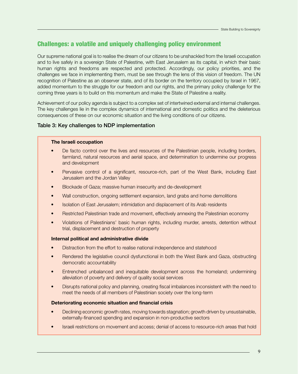## Challenges: a volatile and uniquely challenging policy environment

Our supreme national goal is to realise the dream of our citizens to be unshackled from the Israeli occupation and to live safely in a sovereign State of Palestine, with East Jerusalem as its capital, in which their basic human rights and freedoms are respected and protected. Accordingly, our policy priorities, and the challenges we face in implementing them, must be see through the lens of this vision of freedom. The UN recognition of Palestine as an observer state, and of its border on the territory occupied by Israel in 1967, added momentum to the struggle for our freedom and our rights, and the primary policy challenge for the coming three years is to build on this momentum and make the State of Palestine a reality.

Achievement of our policy agenda is subject to a complex set of intertwined external and internal challenges. The key challenges lie in the complex dynamics of international and domestic politics and the deleterious consequences of these on our economic situation and the living conditions of our citizens.

### Table 3: Key challenges to NDP implementation

#### The Israeli occupation

- De facto control over the lives and resources of the Palestinian people, including borders, farmland, natural resources and aerial space, and determination to undermine our progress and development
- Pervasive control of a significant, resource-rich, part of the West Bank, including East Jerusalem and the Jordan Valley
- Blockade of Gaza; massive human insecurity and de-development
- Wall construction, ongoing settlement expansion, land grabs and home demolitions
- Isolation of East Jerusalem; intimidation and displacement of its Arab residents
- Restricted Palestinian trade and movement, effectively annexing the Palestinian economy
- Violations of Palestinians' basic human rights, including murder, arrests, detention without trial, displacement and destruction of property

#### Internal political and administrative divide

- Distraction from the effort to realise national independence and statehood
- Rendered the legislative council dysfunctional in both the West Bank and Gaza, obstructing democratic accountability
- Entrenched unbalanced and inequitable development across the homeland; undermining alleviation of poverty and delivery of quality social services
- Disrupts national policy and planning, creating fiscal imbalances inconsistent with the need to meet the needs of all members of Palestinian society over the long-term

#### Deteriorating economic situation and financial crisis

- Declining economic growth rates, moving towards stagnation; growth driven by unsustainable, externally-financed spending and expansion in non-productive sectors
- Israeli restrictions on movement and access; denial of access to resource-rich areas that hold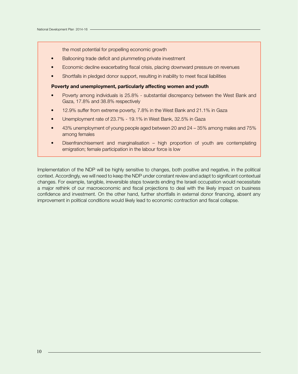the most potential for propelling economic growth

- Ballooning trade deficit and plummeting private investment
- Economic decline exacerbating fiscal crisis, placing downward pressure on revenues
- Shortfalls in pledged donor support, resulting in inability to meet fiscal liabilities

#### Poverty and unemployment, particularly affecting women and youth

- Poverty among individuals is 25.8% substantial discrepancy between the West Bank and Gaza, 17.8% and 38.8% respectively
- 12.9% suffer from extreme poverty, 7.8% in the West Bank and 21.1% in Gaza
- Unemployment rate of 23.7% 19.1% in West Bank, 32.5% in Gaza
- • 43% unemployment of young people aged between 20 and 24 35% among males and 75% among females
- Disenfranchisement and marginalisation  $-$  high proportion of youth are contemplating emigration; female participation in the labour force is low

Implementation of the NDP will be highly sensitive to changes, both positive and negative, in the political context. Accordingly, we will need to keep the NDP under constant review and adapt to significant contextual changes. For example, tangible, irreversible steps towards ending the Israeli occupation would necessitate a major rethink of our macroeconomic and fiscal projections to deal with the likely impact on business confidence and investment. On the other hand, further shortfalls in external donor financing, absent any improvement in political conditions would likely lead to economic contraction and fiscal collapse.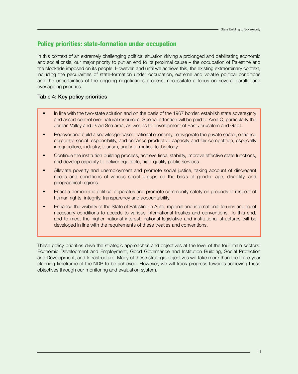## Policy priorities: state-formation under occupation

In this context of an extremely challenging political situation driving a prolonged and debilitating economic and social crisis, our major priority to put an end to its proximal cause – the occupation of Palestine and the blockade imposed on its people. However, and until we achieve this, the existing extraordinary context, including the peculiarities of state-formation under occupation, extreme and volatile political conditions and the uncertainties of the ongoing negotiations process, necessitate a focus on several parallel and overlapping priorities.

## Table 4: Key policy priorities

- In line with the two-state solution and on the basis of the 1967 border, establish state sovereignty and assert control over natural resources. Special attention will be paid to Area C, particularly the Jordan Valley and Dead Sea area, as well as to development of East Jerusalem and Gaza.
- Recover and build a knowledge-based national economy, reinvigorate the private sector, enhance corporate social responsibility, and enhance productive capacity and fair competition, especially in agriculture, industry, tourism, and information technology.
- Continue the institution building process, achieve fiscal stability, improve effective state functions, and develop capacity to deliver equitable, high-quality public services.
- Alleviate poverty and unemployment and promote social justice, taking account of discrepant needs and conditions of various social groups on the basis of gender, age, disability, and geographical regions.
- Enact a democratic political apparatus and promote community safety on grounds of respect of human rights, integrity, transparency and accountability.
- Enhance the visibility of the State of Palestine in Arab, regional and international forums and meet necessary conditions to accede to various international treaties and conventions. To this end, and to meet the higher national interest, national legislative and institutional structures will be developed in line with the requirements of these treaties and conventions.

These policy priorities drive the strategic approaches and objectives at the level of the four main sectors: Economic Development and Employment, Good Governance and Institution Building, Social Protection and Development, and Infrastructure. Many of these strategic objectives will take more than the three-year planning timeframe of the NDP to be achieved. However, we will track progress towards achieving these objectives through our monitoring and evaluation system.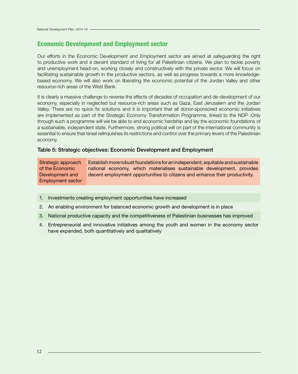## Economic Development and Employment sector

Our efforts in the Economic Development and Employment sector are aimed at safeguarding the right to productive work and a decent standard of living for all Palestinian citizens. We plan to tackle poverty and unemployment head-on, working closely and constructively with the private sector. We will focus on facilitating sustainable growth in the productive sectors, as well as progress towards a more knowledgebased economy. We will also work on liberating the economic potential of the Jordan Valley and other resource-rich areas of the West Bank.

It is clearly a massive challenge to reverse the effects of decades of occupation and de-development of our economy, especially in neglected but resource-rich areas such as Gaza, East Jerusalem and the Jordan Valley. There are no quick fix solutions and it is important that all donor-sponsored economic initiatives are implemented as part of the Strategic Economy Transformation Programme, linked to the NDP .Only through such a programme will we be able to end economic hardship and lay the economic foundations of a sustainable, independent state. Furthermore, strong political will on part of the international community is essential to ensure that Israel relinquishes its restrictions and control over the primary levers of the Palestinian economy.

#### Table 5: Strategic objectives: Economic Development and Employment

Strategic approach of the Economic Development and Employment sector Establish more robust foundations for an independent, equitable and sustainable national economy, which materialises sustainable development, provides decent employment opportunities to citizens and enhance their productivity.

- 1. Investments creating employment opportunities have increased
- 2. An enabling environment for balanced economic growth and development is in place
- 3. National productive capacity and the competitiveness of Palestinian businesses has improved
- 4. Entrepreneurial and innovative initiatives among the youth and women in the economy sector have expanded, both quantitatively and qualitatively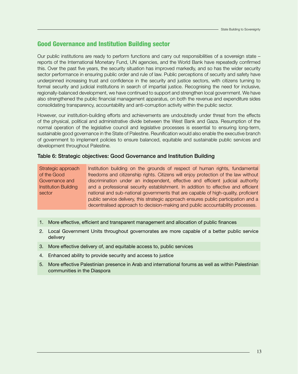## Good Governance and Institution Building sector

Our public institutions are ready to perform functions and carry out responsibilities of a sovereign state – reports of the International Monetary Fund, UN agencies, and the World Bank have repeatedly confirmed this. Over the past five years, the security situation has improved markedly, and so has the wider security sector performance in ensuring public order and rule of law. Public perceptions of security and safety have underpinned increasing trust and confidence in the security and justice sectors, with citizens turning to formal security and judicial institutions in search of impartial justice. Recognising the need for inclusive, regionally-balanced development, we have continued to support and strengthen local government. We have also strengthened the public financial management apparatus, on both the revenue and expenditure sides consolidating transparency, accountability and anti-corruption activity within the public sector.

However, our institution-building efforts and achievements are undoubtedly under threat from the effects of the physical, political and administrative divide between the West Bank and Gaza. Resumption of the normal operation of the legislative council and legislative processes is essential to ensuring long-term, sustainable good governance in the State of Palestine. Reunification would also enable the executive branch of government to implement policies to ensure balanced, equitable and sustainable public services and development throughout Palestine.

### Table 6: Strategic objectives: Good Governance and Institution Building

Strategic approach of the Good Governance and Institution Building sector Institution building on the grounds of respect of human rights, fundamental freedoms and citizenship rights. Citizens will enjoy protection of the law without discrimination under an independent, effective and efficient judicial authority and a professional security establishment. In addition to effective and efficient national and sub-national governments that are capable of high-quality, proficient public service delivery, this strategic approach ensures public participation and a decentralised approach to decision-making and public accountability processes.

- 1. More effective, efficient and transparent management and allocation of public finances
- 2. Local Government Units throughout governorates are more capable of a better public service delivery
- 3. More effective delivery of, and equitable access to, public services
- 4. Enhanced ability to provide security and access to justice
- 5. More effective Palestinian presence in Arab and international forums as well as within Palestinian communities in the Diaspora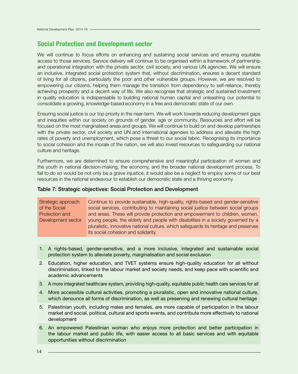## Social Protection and Development sector

We will continue to focus efforts on enhancing and sustaining social services and ensuring equitable access to those services. Service delivery will continue to be organised within a framework of partnership and operational integration with the private sector, civil society, and various UN agencies. We will ensure an inclusive, integrated social protection system that, without discrimination, ensures a decent standard of living for all citizens, particularly the poor and other vulnerable groups. However, we are resolved to empowering our citizens, helping them manage the transition from dependency to self-reliance, thereby achieving prosperity and a decent way of life. We also recognise that strategic and sustained investment in quality education is indispensable to building national human capital and unleashing our potential to consolidate a growing, knowledge-based economy in a free and democratic state of our own.

Ensuring social justice is our top priority in the near-term. We will work towards reducing development gaps and inequities within our society on grounds of gender, age or community. Resources and effort will be focused on the most marginalised areas and groups. We will continue to build on and develop partnerships with the private sector, civil society and UN and international agencies to address and alleviate the high rates of poverty and unemployment, which pose a threat to our social fabric. Recognising its importance to social cohesion and the morale of the nation, we will also invest resources to safeguarding our national culture and heritage.

Furthermore, we are determined to ensure comprehensive and meaningful participation of women and the youth in national decision-making, the economy, and the broader national development process. To fail to do so would be not only be a grave injustice, it would also be a neglect to employ some of our best resources in the national endeavour to establish our democratic state and a thriving economy.

| Strategic approach<br>of the Social<br>Protection and<br>Development sector | Continue to provide sustainable, high-quality, rights-based and gender-sensitive<br>social services, contributing to maintaining social justice between social groups<br>and areas. These will provide protection and empowerment to children, women,<br>young people, the elderly and people with disabilities in a society governed by a<br>pluralistic, innovative national culture, which safeguards its heritage and preserves |
|-----------------------------------------------------------------------------|-------------------------------------------------------------------------------------------------------------------------------------------------------------------------------------------------------------------------------------------------------------------------------------------------------------------------------------------------------------------------------------------------------------------------------------|
|                                                                             | its social cohesion and solidarity.                                                                                                                                                                                                                                                                                                                                                                                                 |

### Table 7: Strategic objectives: Social Protection and Development

- 1. A rights-based, gender-sensitive, and a more inclusive, integrated and sustainable social protection system to alleviate poverty, marginalisation and social exclusion
- 2. Education, higher education, and TVET systems ensure high-quality education for all without discrimination, linked to the labour market and society needs, and keep pace with scientific and academic advancements
- 3. A more integrated healthcare system, providing high-quality, equitable public health care services for all
- 4. More accessible cultural activities, promoting a pluralistic, open and innovative national culture, which denounce all forms of discrimination, as well as preserving and renewing cultural heritage
- 5. Palestinian youth, including males and females, are more capable of participation in the labour market and social, political, cultural and sports events, and contribute more effectively to national development
- 6. An empowered Palestinian woman who enjoys more protection and better participation in the labour market and public life, with easier access to all basic services and with equitable opportunities without discrimination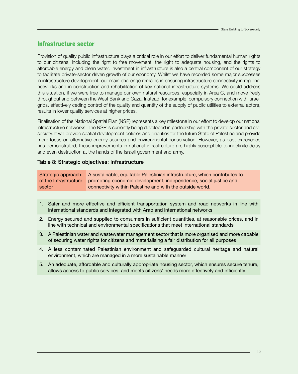## Infrastructure sector

Provision of quality public infrastructure plays a critical role in our effort to deliver fundamental human rights to our citizens, including the right to free movement, the right to adequate housing, and the rights to affordable energy and clean water. Investment in infrastructure is also a central component of our strategy to facilitate private-sector driven growth of our economy. Whilst we have recorded some major successes in infrastructure development, our main challenge remains in ensuring infrastructure connectivity in regional networks and in construction and rehabilitation of key national infrastructure systems. We could address this situation, if we were free to manage our own natural resources, especially in Area C, and move freely throughout and between the West Bank and Gaza. Instead, for example, compulsory connection with Israeli grids, effectively ceding control of the quality and quantity of the supply of public utilities to external actors, results in lower quality services at higher prices.

Finalisation of the National Spatial Plan (NSP) represents a key milestone in our effort to develop our national infrastructure networks. The NSP is currently being developed in partnership with the private sector and civil society. It will provide spatial development policies and priorities for the future State of Palestine and provide more focus on alternative energy sources and environmental conservation. However, as past experience has demonstrated, these improvements in national infrastructure are highly susceptible to indefinite delay and even destruction at the hands of the Israeli government and army.

## Table 8: Strategic objectives: Infrastructure

Strategic approach of the Infrastructure sector A sustainable, equitable Palestinian infrastructure, which contributes to promoting economic development, independence, social justice and connectivity within Palestine and with the outside world.

- 1. Safer and more effective and efficient transportation system and road networks in line with international standards and integrated with Arab and international networks
- 2. Energy secured and supplied to consumers in sufficient quantities, at reasonable prices, and in line with technical and environmental specifications that meet international standards
- 3. A Palestinian water and wastewater management sector that is more organised and more capable of securing water rights for citizens and materialising a fair distribution for all purposes
- 4. A less contaminated Palestinian environment and safeguarded cultural heritage and natural environment, which are managed in a more sustainable manner
- 5. An adequate, affordable and culturally appropriate housing sector, which ensures secure tenure, allows access to public services, and meets citizens' needs more effectively and efficiently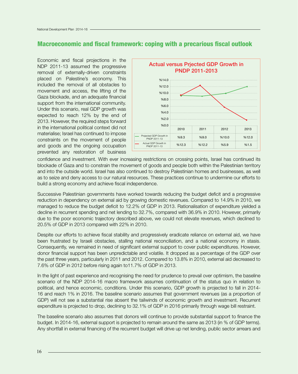## Macroeconomic and fiscal framework: coping with a precarious fiscal outlook

Economic and fiscal projections in the NDP 2011-13 assumed the progressive removal of externally-driven constraints placed on Palestine's economy. This included the removal of all obstacles to movement and access, the lifting of the Gaza blockade, and an adequate financial support from the international community. Under this scenario, real GDP growth was expected to reach 12% by the end of 2013. However, the required steps forward in the international political context did not materialise; Israel has continued to impose constraints on the movement of people and goods and the ongoing occupation prevented any restoration of business



confidence and investment. With ever increasing restrictions on crossing points, Israel has continued its blockade of Gaza and to constrain the movement of goods and people both within the Palestinian territory and into the outside world. Israel has also continued to destroy Palestinian homes and businesses, as well as to seize and deny access to our natural resources. These practices continue to undermine our efforts to build a strong economy and achieve fiscal independence.

Successive Palestinian governments have worked towards reducing the budget deficit and a progressive reduction in dependency on external aid by growing domestic revenues. Compared to 14.9% in 2010, we managed to reduce the budget deficit to 12.2% of GDP in 2013. Rationalisation of expenditure yielded a decline in recurrent spending and net lending to 32.7%, compared with 36.9% in 2010. However, primarily due to the poor economic trajectory described above, we could not elevate revenues, which declined to 20.5% of GDP in 2013 compared with 22% in 2010.

Despite our efforts to achieve fiscal stability and progressively eradicate reliance on external aid, we have been frustrated by Israeli obstacles, stalling national reconciliation, and a national economy in stasis. Consequently, we remained in need of significant external support to cover public expenditures. However, donor financial support has been unpredictable and volatile. It dropped as a percentage of the GDP over the past three years, particularly in 2011 and 2012. Compared to 13.8% in 2010, external aid decreased to 7.6% of GDP in 2012 before rising again to11.7% of GDP in 2013.

In the light of past experience and recognising the need for prudence to prevail over optimism, the baseline scenario of the NDP 2014-16 macro framework assumes continuation of the status quo in relation to political, and hence economic, conditions. Under this scenario, GDP growth is projected to fall in 2014- 16 and reach 1% in 2016. The baseline scenario assumes that government revenues (as a proportion of GDP) will not see a substantial rise absent the tailwinds of economic growth and investment. Recurrent expenditure is projected to drop, declining to 32.1% of GDP in 2016 primarily through wage bill restraint.

The baseline scenario also assumes that donors will continue to provide substantial support to finance the budget. In 2014-16, external support is projected to remain around the same as 2013 (in % of GDP terms). Any shortfall in external financing of the recurrent budget will drive up net lending, public sector arrears and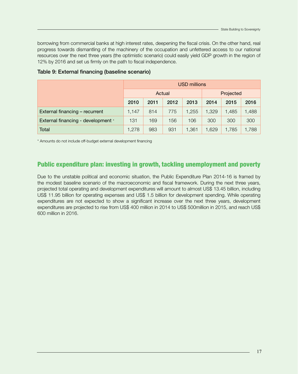borrowing from commercial banks at high interest rates, deepening the fiscal crisis. On the other hand, real progress towards dismantling of the machinery of the occupation and unfettered access to our national resources over the next three years (the optimistic scenario) could easily yield GDP growth in the region of 12% by 2016 and set us firmly on the path to fiscal independence.

|                                    | USD millions |      |      |       |           |       |       |  |
|------------------------------------|--------------|------|------|-------|-----------|-------|-------|--|
|                                    | Actual       |      |      |       | Projected |       |       |  |
|                                    | 2010         | 2011 | 2012 | 2013  | 2014      | 2015  | 2016  |  |
| External financing - recurrent     | 1,147        | 814  | 775  | 1,255 | 1,329     | 1,485 | 1,488 |  |
| External financing - development * | 131          | 169  | 156  | 106   | 300       | 300   | 300   |  |
| Total                              | 1,278        | 983  | 931  | 1,361 | 1,629     | 1,785 | 1,788 |  |

Table 9: External financing (baseline scenario)

\* Amounts do not include off-budget external development financing

## Public expenditure plan: investing in growth, tackling unemployment and poverty

Due to the unstable political and economic situation, the Public Expenditure Plan 2014-16 is framed by the modest baseline scenario of the macroeconomic and fiscal framework. During the next three years, projected total operating and development expenditures will amount to almost US\$ 13.45 billion, including US\$ 11.95 billion for operating expenses and US\$ 1.5 billion for development spending. While operating expenditures are not expected to show a significant increase over the next three years, development expenditures are projected to rise from US\$ 400 million in 2014 to US\$ 500million in 2015, and reach US\$ 600 million in 2016.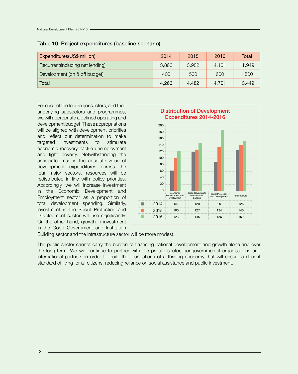| Expenditures(US\$ million)       | 2014  | 2015  | 2016  | Total  |
|----------------------------------|-------|-------|-------|--------|
| Recurrent(including net lending) | 3.866 | 3.982 | 4.101 | 11,949 |
| Development (on & off budget)    | 400   | 500   | 600   | 1.500  |
| Total                            | 4,266 | 4.482 | 4.701 | 13,449 |

#### Table 10: Project expenditures (baseline scenario)

For each of the four major sectors, and their underlying subsectors and programmes, we will appropriate a defined operating and development budget. These appropriations will be aligned with development priorities and reflect our determination to make targeted investments to stimulate economic recovery, tackle unemployment and fight poverty. Notwithstanding the anticipated rise in the absolute value of development expenditures across the four major sectors, resources will be redistributed in line with policy priorities. Accordingly, we will increase investment in the Economic Development and Employment sector as a proportion of total development spending. Similarly, investment in the Social Protection and Development sector will rise significantly. On the other hand, growth in investment in the Good Government and Institution



Building sector and the Infrastructure sector will be more modest.

The public sector cannot carry the burden of financing national development and growth alone and over the long-term. We will continue to partner with the private sector, nongovernmental organisations and international partners in order to build the foundations of a thriving economy that will ensure a decent standard of living for all citizens, reducing reliance on social assistance and public investment.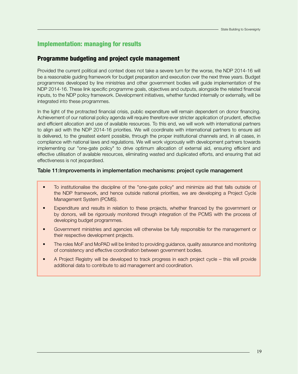## Implementation: managing for results

## Programme budgeting and project cycle management

Provided the current political and context does not take a severe turn for the worse, the NDP 2014-16 will be a reasonable guiding framework for budget preparation and execution over the next three years. Budget programmes developed by line ministries and other government bodies will guide implementation of the NDP 2014-16. These link specific programme goals, objectives and outputs, alongside the related financial inputs, to the NDP policy framework. Development initiatives, whether funded internally or externally, will be integrated into these programmes.

In the light of the protracted financial crisis, public expenditure will remain dependent on donor financing. Achievement of our national policy agenda will require therefore ever stricter application of prudent, effective and efficient allocation and use of available resources. To this end, we will work with international partners to align aid with the NDP 2014-16 priorities. We will coordinate with international partners to ensure aid is delivered, to the greatest extent possible, through the proper institutional channels and, in all cases, in compliance with national laws and regulations. We will work vigorously with development partners towards implementing our "one-gate policy" to drive optimum allocation of external aid, ensuring efficient and effective utilisation of available resources, eliminating wasted and duplicated efforts, and ensuring that aid effectiveness is not jeopardised.

### Table 11:Improvements in implementation mechanisms: project cycle management

- To institutionalise the discipline of the "one-gate policy" and minimize aid that falls outside of the NDP framework, and hence outside national priorities, we are developing a Project Cycle Management System (PCMS).
- Expenditure and results in relation to these projects, whether financed by the government or by donors, will be rigorously monitored through integration of the PCMS with the process of developing budget programmes.
- Government ministries and agencies will otherwise be fully responsible for the management or their respective development projects.
- The roles MoF and MoPAD will be limited to providing guidance, quality assurance and monitoring of consistency and effective coordination between government bodies.
- A Project Registry will be developed to track progress in each project cycle this will provide additional data to contribute to aid management and coordination.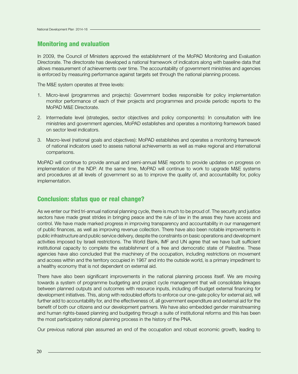## Monitoring and evaluation

In 2009, the Council of Ministers approved the establishment of the MoPAD Monitoring and Evaluation Directorate. The directorate has developed a national framework of indicators along with baseline data that allows measurement of achievements over time. The accountability of government ministries and agencies is enforced by measuring performance against targets set through the national planning process.

The M&E system operates at three levels:

- 1. Micro-level (programmes and projects): Government bodies responsible for policy implementation monitor performance of each of their projects and programmes and provide periodic reports to the MoPAD M&E Directorate.
- 2. Intermediate level (strategies, sector objectives and policy components): In consultation with line ministries and government agencies, MoPAD establishes and operates a monitoring framework based on sector level indicators.
- 3. Macro-level (national goals and objectives): MoPAD establishes and operates a monitoring framework of national indicators used to assess national achievements as well as make regional and international comparisons.

MoPAD will continue to provide annual and semi-annual M&E reports to provide updates on progress on implementation of the NDP. At the same time, MoPAD will continue to work to upgrade M&E systems and procedures at all levels of government so as to improve the quality of, and accountability for, policy implementation.

## Conclusion: status quo or real change?

As we enter our third tri-annual national planning cycle, there is much to be proud of. The security and justice sectors have made great strides in bringing peace and the rule of law in the areas they have access and control. We have made marked progress in improving transparency and accountability in our management of public finances, as well as improving revenue collection. There have also been notable improvements in public infrastructure and public service delivery, despite the constraints on basic operations and development activities imposed by Israeli restrictions. The World Bank, IMF and UN agree that we have built sufficient institutional capacity to complete the establishment of a free and democratic state of Palestine. These agencies have also concluded that the machinery of the occupation, including restrictions on movement and access within and the territory occupied in 1967 and into the outside world, is a primary impediment to a healthy economy that is not dependent on external aid.

There have also been significant improvements in the national planning process itself. We are moving towards a system of programme budgeting and project cycle management that will consolidate linkages between planned outputs and outcomes with resource inputs, including off-budget external financing for development initiatives. This, along with redoubled efforts to enforce our one-gate policy for external aid, will further add to accountability for, and the effectiveness of, all government expenditure and external aid for the benefit of both our citizens and our development partners. We have also embedded gender mainstreaming and human rights-based planning and budgeting through a suite of institutional reforms and this has been the most participatory national planning process in the history of the PNA.

Our previous national plan assumed an end of the occupation and robust economic growth, leading to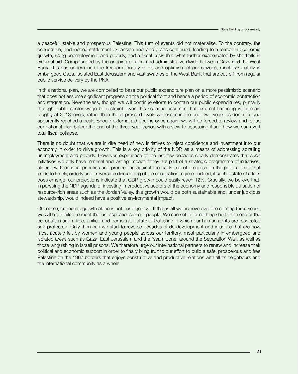a peaceful, stable and prosperous Palestine. This turn of events did not materialise. To the contrary, the occupation, and indeed settlement expansion and land grabs continued, leading to a retreat in economic growth, rising unemployment and poverty, and a fiscal crisis that what further exacerbated by shortfalls in external aid. Compounded by the ongoing political and administrative divide between Gaza and the West Bank, this has undermined the freedom, quality of life and optimism of our citizens, most particularly in embargoed Gaza, isolated East Jerusalem and vast swathes of the West Bank that are cut-off from regular public service delivery by the PNA.

In this national plan, we are compelled to base our public expenditure plan on a more pessimistic scenario that does not assume significant progress on the political front and hence a period of economic contraction and stagnation. Nevertheless, though we will continue efforts to contain our public expenditures, primarily through public sector wage bill restraint, even this scenario assumes that external financing will remain roughly at 2013 levels, rather than the depressed levels witnesses in the prior two years as donor fatigue apparently reached a peak. Should external aid decline once again, we will be forced to review and revise our national plan before the end of the three-year period with a view to assessing if and how we can avert total fiscal collapse.

There is no doubt that we are in dire need of new initiatives to inject confidence and investment into our economy in order to drive growth. This is a key priority of the NDP, as a means of addressing spiralling unemployment and poverty. However, experience of the last few decades clearly demonstrates that such initiatives will only have material and lasting impact if they are part of a strategic programme of initiatives, aligned with national priorities and proceeding against the backdrop of progress on the political front that leads to timely, orderly and irreversible dismantling of the occupation regime. Indeed, if such a state of affairs does emerge, our projections indicate that GDP growth could easily reach 12%. Crucially, we believe that, in pursuing the NDP agenda of investing in productive sectors of the economy and responsible utilisation of resource-rich areas such as the Jordan Valley, this growth would be both sustainable and, under judicious stewardship, would indeed have a positive environmental impact.

Of course, economic growth alone is not our objective. If that is all we achieve over the coming three years, we will have failed to meet the just aspirations of our people. We can settle for nothing short of an end to the occupation and a free, unified and democratic state of Palestine in which our human rights are respected and protected. Only then can we start to reverse decades of de-development and injustice that are now most acutely felt by women and young people across our territory, most particularly in embargoed and isolated areas such as Gaza, East Jerusalem and the 'seam zone' around the Separation Wall, as well as those languishing in Israeli prisons. We therefore urge our international partners to renew and increase their political and economic support in order to finally bring fruit to our effort to build a safe, prosperous and free Palestine on the 1967 borders that enjoys constructive and productive relations with all its neighbours and the international community as a whole.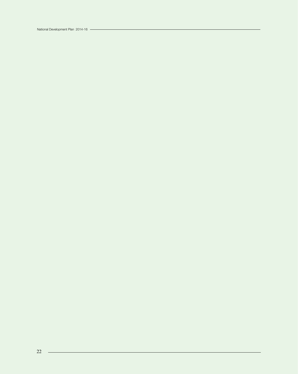National Development Plan 2014-16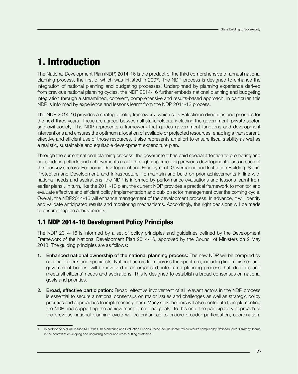# 1. Introduction

The National Development Plan (NDP) 2014-16 is the product of the third comprehensive tri-annual national planning process, the first of which was initiated in 2007. The NDP process is designed to enhance the integration of national planning and budgeting processes. Underpinned by planning experience derived from previous national planning cycles, the NDP 2014-16 further embeds national planning and budgeting integration through a streamlined, coherent, comprehensive and results-based approach. In particular, this NDP is informed by experience and lessons learnt from the NDP 2011-13 process.

The NDP 2014-16 provides a strategic policy framework, which sets Palestinian directions and priorities for the next three years. These are agreed between all stakeholders, including the government, private sector, and civil society. The NDP represents a framework that guides government functions and development interventions and ensures the optimum allocation of available or projected resources, enabling a transparent, effective and efficient use of those resources. It also represents an effort to ensure fiscal stability as well as a realistic, sustainable and equitable development expenditure plan.

Through the current national planning process, the government has paid special attention to promoting and consolidating efforts and achievements made through implementing previous development plans in each of the four key sectors: Economic Development and Employment, Governance and Institution Building, Social Protection and Development, and Infrastructure. To maintain and build on prior achievements in line with national needs and aspirations, the NDP is informed by performance evaluations and lessons learnt from earlier plans<sup>1</sup>. In turn, like the 2011-13 plan, the current NDP provides a practical framework to monitor and evaluate effective and efficient policy implementation and public sector management over the coming cycle. Overall, the NDP2014-16 will enhance management of the development process. In advance, it will identify and validate anticipated results and monitoring mechanisms. Accordingly, the right decisions will be made to ensure tangible achievements.

## 1.1 NDP 2014-16 Development Policy Principles

The NDP 2014-16 is informed by a set of policy principles and guidelines defined by the Development Framework of the National Development Plan 2014-16, approved by the Council of Ministers on 2 May 2013. The guiding principles are as follows:

- 1. Enhanced national ownership of the national planning process: The new NDP will be compiled by national experts and specialists. National actors from across the spectrum, including line ministries and government bodies, will be involved in an organised, integrated planning process that identifies and meets all citizens' needs and aspirations. This is designed to establish a broad consensus on national goals and priorities.
- 2. Broad, effective participation: Broad, effective involvement of all relevant actors in the NDP process is essential to secure a national consensus on major issues and challenges as well as strategic policy priorities and approaches to implementing them. Many stakeholders will also contribute to implementing the NDP and supporting the achievement of national goals. To this end, the participatory approach of the previous national planning cycle will be enhanced to ensure broader participation, coordination,

<sup>1.</sup> In addition to MoPAD-issued NDP 2011-13 Monitoring and Evaluation Reports, these include sector review results compiled by National Sector Strategy Teams in the context of developing and upgrading sector and cross-cutting strategies.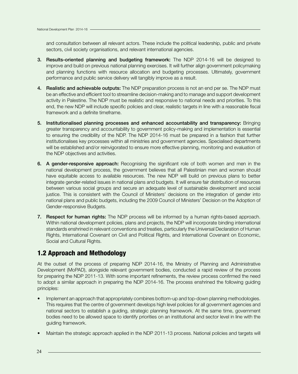and consultation between all relevant actors. These include the political leadership, public and private sectors, civil society organisations, and relevant international agencies.

- 3. Results-oriented planning and budgeting framework: The NDP 2014-16 will be designed to improve and build on previous national planning exercises. It will further align government policymaking and planning functions with resource allocation and budgeting processes. Ultimately, government performance and public service delivery will tangibly improve as a result.
- 4. Realistic and achievable outputs: The NDP preparation process is not an end per se. The NDP must be an effective and efficient tool to streamline decision-making and to manage and support development activity in Palestine. The NDP must be realistic and responsive to national needs and priorities. To this end, the new NDP will include specific policies and clear, realistic targets in line with a reasonable fiscal framework and a definite timeframe.
- 5. Institutionalised planning processes and enhanced accountability and transparency: Bringing greater transparency and accountability to government policy-making and implementation is essential to ensuring the credibility of the NDP. The NDP 2014-16 must be prepared in a fashion that further institutionalises key processes within all ministries and government agencies. Specialised departments will be established and/or reinvigorated to ensure more effective planning, monitoring and evaluation of the NDP objectives and activities.
- 6. A gender-responsive approach: Recognising the significant role of both women and men in the national development process, the government believes that all Palestinian men and women should have equitable access to available resources. The new NDP will build on previous plans to better integrate gender-related issues in national plans and budgets. It will ensure fair distribution of resources between various social groups and secure an adequate level of sustainable development and social justice. This is consistent with the Council of Ministers' decisions on the integration of gender into national plans and public budgets, including the 2009 Council of Ministers' Decision on the Adoption of Gender-responsive Budgets.
- 7. Respect for human rights: The NDP process will be informed by a human rights-based approach. Within national development policies, plans and projects, the NDP will incorporate binding international standards enshrined in relevant conventions and treaties, particularly the Universal Declaration of Human Rights, International Covenant on Civil and Political Rights, and International Covenant on Economic, Social and Cultural Rights.

## 1.2 Approach and Methodology

At the outset of the process of preparing NDP 2014-16, the Ministry of Planning and Administrative Development (MoPAD), alongside relevant government bodies, conducted a rapid review of the process for preparing the NDP 2011-13. With some important refinements, the review process confirmed the need to adopt a similar approach in preparing the NDP 2014-16. The process enshrined the following guiding principles:

- Implement an approach that appropriately combines bottom-up and top-down planning methodologies. This requires that the centre of government develops high level policies for all government agencies and national sectors to establish a guiding, strategic planning framework. At the same time, government bodies need to be allowed space to identify priorities on an institutional and sector level in line with the guiding framework.
- Maintain the strategic approach applied in the NDP 2011-13 process. National policies and targets will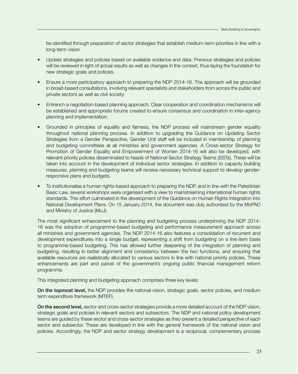be identified through preparation of sector strategies that establish medium-term priorities in line with a long-term vision.

- Update strategies and policies based on available evidence and data. Previous strategies and policies will be reviewed in light of actual results as well as changes in the context, thus laying the foundation for new strategic goals and policies.
- Ensure a more participatory approach to preparing the NDP 2014-16. The approach will be grounded in broad-based consultations, involving relevant specialists and stakeholders from across the public and private sectors as well as civil society.
- Entrench a negotiation-based planning approach. Clear cooperation and coordination mechanisms will be established and appropriate forums created to ensure consensus and coordination in inter-agency planning and implementation.
- Grounded in principles of equality and fairness, the NDP process will mainstream gender equality throughout national planning process. In addition to upgrading the Guidance on Updating Sector Strategies from a Gender Perspective, Gender Unit staff will be included in membership of planning and budgeting committees at all ministries and government agencies. A Cross-sector Strategy for Promotion of Gender Equality and Empowerment of Women 2014-16 will also be developed, with relevant priority policies disseminated to heads of National Sector Strategy Teams (SSTs). These will be taken into account in the development of individual sector strategies. In addition to capacity building measures, planning and budgeting teams will receive necessary technical support to develop genderresponsive plans and budgets.
- To institutionalise a human rights-based approach to preparing the NDP, and in line with the Palestinian Basic Law, several workshops were organised with a view to mainstreaming international human rights standards. This effort culminated in the development of the Guidance on Human Rights Integration into National Development Plans. On 15 January 2014, the document was duly authorised by the MoPAD and Ministry of Justice (MoJ).

The most significant enhancement to the planning and budgeting process underpinning the NDP 2014- 16 was the adoption of programme-based budgeting and performance measurement approach across all ministries and government agencies. The NDP 2014-16 also features a consolidation of recurrent and development expenditures into a single budget, representing a shift from budgeting on a line-item basis to programme-based budgeting. This has allowed further deepening of the integration of planning and budgeting, resulting in better alignment and consistency between the two functions, and ensuring that available resources are realistically allocated to various sectors in line with national priority policies. These enhancements are part and parcel of the government's ongoing public financial management reform programme.

This integrated planning and budgeting approach comprises three key levels:

On the topmost level, the NDP provides the national vision, strategic goals, sector policies, and medium term expenditure framework (MTEF).

On the second level, sector and cross-sector strategies provide a more detailed account of the NDP vision, strategic goals and policies in relevant sectors and subsectors. The NDP and national policy development teams are guided by these sector and cross-sector strategies as they present a detailed perspective of each sector and subsector. These are developed in line with the general framework of the national vision and policies. Accordingly, the NDP and sector strategy development is a reciprocal, complementary process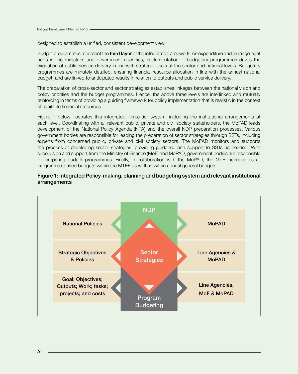designed to establish a unified, consistent development view.

Budget programmes represent the **third layer** of the integrated framework. As expenditure and management hubs in line ministries and government agencies, implementation of budgetary programmes drives the execution of public service delivery in line with strategic goals at the sector and national levels. Budgetary programmes are minutely detailed, ensuring financial resource allocation in line with the annual national budget, and are linked to anticipated results in relation to outputs and public service delivery.

The preparation of cross-sector and sector strategies establishes linkages between the national vision and policy priorities and the budget programmes. Hence, the above three levels are interlinked and mutually reinforcing in terms of providing a guiding framework for policy implementation that is realistic in the context of available financial resources.

Figure 1 below illustrates this integrated, three-tier system, including the institutional arrangements at each level. Coordinating with all relevant public, private and civil society stakeholders, the MoPAD leads development of the National Policy Agenda (NPA) and the overall NDP preparation processes. Various government bodies are responsible for leading the preparation of sector strategies through SSTs, including experts from concerned public, private and civil society sectors. The MoPAD monitors and supports the process of developing sector strategies, providing guidance and support to SSTs as needed. With supervision and support from the Ministry of Finance (MoF) and MoPAD, government bodies are responsible for preparing budget programmes. Finally, in collaboration with the MoPAD, the MoF incorporates all programme-based budgets within the MTEF as well as within annual general budgets.



## Figure 1: Integrated Policy-making, planning and budgeting system and relevant institutional arrangements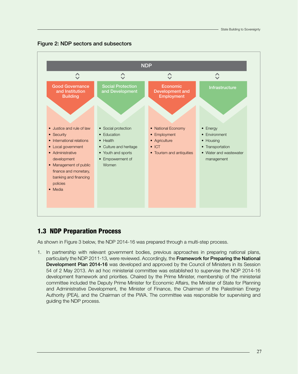



## 1.3 NDP Preparation Process

As shown in Figure 3 below, the NDP 2014-16 was prepared through a multi-step process.

1. In partnership with relevant government bodies, previous approaches in preparing national plans, particularly the NDP 2011-13, were reviewed. Accordingly, the Framework for Preparing the National Development Plan 2014-16 was developed and approved by the Council of Ministers in its Session 54 of 2 May 2013. An ad hoc ministerial committee was established to supervise the NDP 2014-16 development framework and priorities. Chaired by the Prime Minister, membership of the ministerial committee included the Deputy Prime Minister for Economic Affairs, the Minister of State for Planning and Administrative Development, the Minister of Finance, the Chairman of the Palestinian Energy Authority (PEA), and the Chairman of the PWA. The committee was responsible for supervising and guiding the NDP process.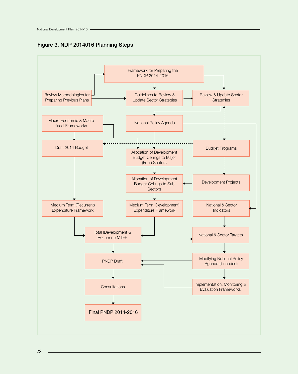

Figure 3. NDP 2014016 Planning Steps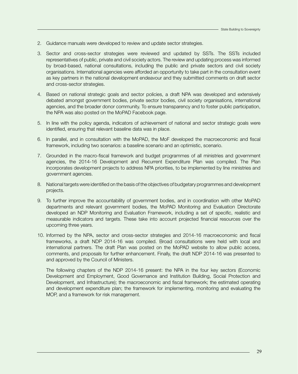- 2. Guidance manuals were developed to review and update sector strategies.
- 3. Sector and cross-sector strategies were reviewed and updated by SSTs. The SSTs included representatives of public, private and civil society actors. The review and updating process was informed by broad-based, national consultations, including the public and private sectors and civil society organisations. International agencies were afforded an opportunity to take part in the consultation event as key partners in the national development endeavour and they submitted comments on draft sector and cross-sector strategies.
- 4. Based on national strategic goals and sector policies, a draft NPA was developed and extensively debated amongst government bodies, private sector bodies, civil society organisations, international agencies, and the broader donor community. To ensure transparency and to foster public participation, the NPA was also posted on the MoPAD Facebook page.
- 5. In line with the policy agenda, indicators of achievement of national and sector strategic goals were identified, ensuring that relevant baseline data was in place.
- 6. In parallel, and in consultation with the MoPAD, the MoF developed the macroeconomic and fiscal framework, including two scenarios: a baseline scenario and an optimistic, scenario.
- 7. Grounded in the macro-fiscal framework and budget programmes of all ministries and government agencies, the 2014-16 Development and Recurrent Expenditure Plan was compiled. The Plan incorporates development projects to address NPA priorities, to be implemented by line ministries and government agencies.
- 8. National targets were identified on the basis of the objectives of budgetary programmes and development projects.
- 9. To further improve the accountability of government bodies, and in coordination with other MoPAD departments and relevant government bodies, the MoPAD Monitoring and Evaluation Directorate developed an NDP Monitoring and Evaluation Framework, including a set of specific, realistic and measurable indicators and targets. These take into account projected financial resources over the upcoming three years.
- 10. Informed by the NPA, sector and cross-sector strategies and 2014-16 macroeconomic and fiscal frameworks, a draft NDP 2014-16 was compiled. Broad consultations were held with local and international partners. The draft Plan was posted on the MoPAD website to allow public access, comments, and proposals for further enhancement. Finally, the draft NDP 2014-16 was presented to and approved by the Council of Ministers.

The following chapters of the NDP 2014-16 present: the NPA in the four key sectors (Economic Development and Employment, Good Governance and Institution Building, Social Protection and Development, and Infrastructure); the macroeconomic and fiscal framework; the estimated operating and development expenditure plan; the framework for implementing, monitoring and evaluating the MOP, and a framework for risk management.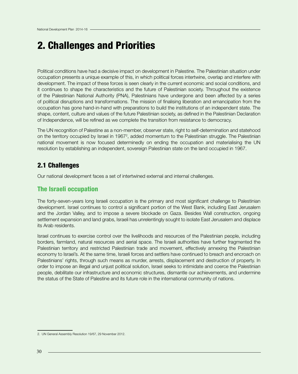# 2. Challenges and Priorities

Political conditions have had a decisive impact on development in Palestine. The Palestinian situation under occupation presents a unique example of this, in which political forces intertwine, overlap and interfere with development. The impact of these forces is seen clearly in the current economic and social conditions, and it continues to shape the characteristics and the future of Palestinian society. Throughout the existence of the Palestinian National Authority (PNA), Palestinians have undergone and been affected by a series of political disruptions and transformations. The mission of finalising liberation and emancipation from the occupation has gone hand-in-hand with preparations to build the institutions of an independent state. The shape, content, culture and values of the future Palestinian society, as defined in the Palestinian Declaration of Independence, will be refined as we complete the transition from resistance to democracy.

The UN recognition of Palestine as a non-member, observer state, right to self-determination and statehood on the territory occupied by Israel in 1967<sup>2</sup>, added momentum to the Palestinian struggle. The Palestinian national movement is now focused determinedly on ending the occupation and materialising the UN resolution by establishing an independent, sovereign Palestinian state on the land occupied in 1967.

## 2.1 Challenges

Our national development faces a set of intertwined external and internal challenges.

## The Israeli occupation

The forty-seven-years long Israeli occupation is the primary and most significant challenge to Palestinian development. Israel continues to control a significant portion of the West Bank, including East Jerusalem and the Jordan Valley, and to impose a severe blockade on Gaza. Besides Wall construction, ongoing settlement expansion and land grabs, Israeli has unrelentingly sought to isolate East Jerusalem and displace its Arab residents.

Israel continues to exercise control over the livelihoods and resources of the Palestinian people, including borders, farmland, natural resources and aerial space. The Israeli authorities have further fragmented the Palestinian territory and restricted Palestinian trade and movement, effectively annexing the Palestinian economy to Israel's. At the same time, Israeli forces and settlers have continued to breach and encroach on Palestinians' rights, through such means as murder, arrests, displacement and destruction of property. In order to impose an illegal and unjust political solution, Israel seeks to intimidate and coerce the Palestinian people, debilitate our infrastructure and economic structures, dismantle our achievements, and undermine the status of the State of Palestine and its future role in the international community of nations.

<sup>2.</sup> UN General Assembly Resolution 19/67, 29 November 2012.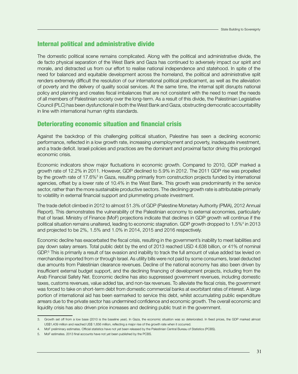## Internal political and administrative divide

The domestic political scene remains complicated. Along with the political and administrative divide, the de facto physical separation of the West Bank and Gaza has continued to adversely impact our spirit and morale, and distracted us from our effort to realise national independence and statehood. In spite of the need for balanced and equitable development across the homeland, the political and administrative split renders extremely difficult the resolution of our international political predicament, as well as the alleviation of poverty and the delivery of quality social services. At the same time, the internal split disrupts national policy and planning and creates fiscal imbalances that are not consistent with the need to meet the needs of all members of Palestinian society over the long-term. As a result of this divide, the Palestinian Legislative Council (PLC) has been dysfunctional in both the West Bank and Gaza, obstructing democratic accountability in line with international human rights standards.

## Deteriorating economic situation and financial crisis

Against the backdrop of this challenging political situation, Palestine has seen a declining economic performance, reflected in a low growth rate, increasing unemployment and poverty, inadequate investment, and a trade deficit. Israeli policies and practices are the dominant and proximal factor driving this prolonged economic crisis.

Economic indicators show major fluctuations in economic growth. Compared to 2010, GDP marked a growth rate of 12.2% in 2011. However, GDP declined to 5.9% in 2012. The 2011 GDP rise was propelled by the growth rate of 17.6%<sup>3</sup> in Gaza, resulting primarily from construction projects funded by international agencies, offset by a lower rate of 10.4% in the West Bank. This growth was predominantly in the service sector, rather than the more sustainable productive sectors. The declining growth rate is attributable primarily to volatility in external financial support and plummeting private investment.

The trade deficit climbed in 2012 to almost 51.3% of GDP (Palestine Monetary Authority (PMA), 2012 Annual Report). This demonstrates the vulnerability of the Palestinian economy to external economies, particularly that of Israel. Ministry of Finance (MoF) projections indicate that declines in GDP growth will continue if the political situation remains unaltered, leading to economic stagnation. GDP growth dropped to 1.5%4 in 2013 and projected to be 2%, 1.5% and 1.0% in 2014, 2015 and 2016 respectively.

Economic decline has exacerbated the fiscal crisis, resulting in the government's inability to meet liabilities and pay down salary arrears. Total public debt by the end of 2013 reached USD 4.638 billion, or 41% of nominal GDP.<sup>5</sup> This is primarily a result of tax evasion and inability to track the full amount of value added tax levied on merchandise imported from or through Israel. As utility bills were not paid by some consumers, Israel deducted due amounts from Palestinian clearance revenues. Decline of the national economy has also been driven by insufficient external budget support, and the declining financing of development projects, including from the Arab Financial Safety Net. Economic decline has also suppressed government revenues, including domestic taxes, customs revenues, value added tax, and non-tax revenues. To alleviate the fiscal crisis, the government was forced to take on short-term debt from domestic commercial banks at exorbitant rates of interest. A large portion of international aid has been earmarked to service this debt, whilst accumulating public expenditure arrears due to the private sector has undermined confidence and economic growth. The overall economic and liquidity crisis has also driven price increases and declining public trust in the government.

<sup>3.</sup> Growth set off from a low base (2010 is the baseline year). In Gaza, the economic situation was so deteriorated. In fixed prices, the GDP marked almost US\$1,409 million and reached US\$ 1,656 million, reflecting a major rise of the growth rate when it occurred.

<sup>4.</sup> MoF preliminary estimates. Official statistics have not yet been released by the Palestinian Central Bureau of Statistics (PCBS).

<sup>5.</sup> MoF estimates. 2013 final accounts have not yet been published by the PCBS.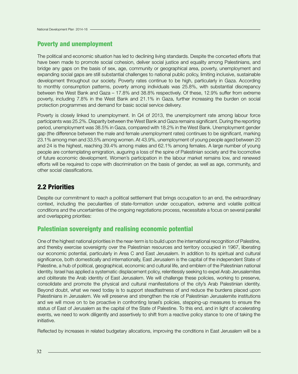## Poverty and unemployment

The political and economic situation has led to declining living standards. Despite the concerted efforts that have been made to promote social cohesion, deliver social justice and equality among Palestinians, and bridge any gaps on the basis of sex, age, community or geographical area, poverty, unemployment and expanding social gaps are still substantial challenges to national public policy, limiting inclusive, sustainable development throughout our society. Poverty rates continue to be high, particularly in Gaza. According to monthly consumption patterns, poverty among individuals was 25.8%, with substantial discrepancy between the West Bank and Gaza – 17.8% and 38.8% respectively. Of these, 12.9% suffer from extreme poverty, including 7.8% in the West Bank and 21.1% in Gaza, further increasing the burden on social protection programmes and demand for basic social service delivery.

Poverty is closely linked to unemployment. In Q4 of 2013, the unemployment rate among labour force participants was 25.2%. Disparity between the West Bank and Gaza remains significant. During the reporting period, unemployment was 38.5% in Gaza, compared with 18.2% in the West Bank. Unemployment gender gap (the difference between the male and female unemployment rates) continues to be significant, marking 23.1% among men and 33.5% among women. At 43.9%, unemployment of young people aged between 20 and 24 is the highest, reaching 39.4% among males and 62.1% among females. A large number of young people are contemplating emigration, auguring a loss of the spine of Palestinian society and the locomotive of future economic development. Women's participation in the labour market remains low, and renewed efforts will be required to cope with discrimination on the basis of gender, as well as age, community, and other social classifications.

# 2.2 Priorities

Despite our commitment to reach a political settlement that brings occupation to an end, the extraordinary context, including the peculiarities of state-formation under occupation, extreme and volatile political conditions and the uncertainties of the ongoing negotiations process, necessitate a focus on several parallel and overlapping priorities:

## Palestinian sovereignty and realising economic potential

One of the highest national priorities in the near-term is to build upon the international recognition of Palestine, and thereby exercise sovereignty over the Palestinian resources and territory occupied in 1967, liberating our economic potential, particularly in Area C and East Jerusalem. In addition to its spiritual and cultural significance, both domestically and internationally, East Jerusalem is the capital of the independent State of Palestine, a hub of political, geographical, economic and cultural life, and emblem of the Palestinian national identity. Israel has applied a systematic displacement policy, relentlessly seeking to expel Arab Jerusalemites and obliterate the Arab identity of East Jerusalem. We will challenge these policies, working to preserve, consolidate and promote the physical and cultural manifestations of the city's Arab Palestinian identity. Beyond doubt, what we need today is to support steadfastness of and reduce the burdens placed upon Palestinians in Jerusalem. We will preserve and strengthen the role of Palestinian Jerusalemite institutions and we will move on to be proactive in confronting Israel's policies, stepping-up measures to ensure the status of East of Jerusalem as the capital of the State of Palestine. To this end, and in light of accelerating events, we need to work diligently and assertively to shift from a reactive policy stance to one of taking the initiative.

Reflected by increases in related budgetary allocations, improving the conditions in East Jerusalem will be a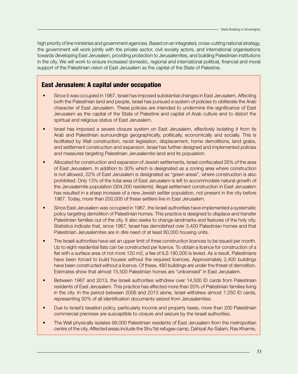high priority of line ministries and government agencies. Based on an integrated, cross-cutting national strategy, the government will work jointly with the private sector, civil society actors, and international organisations towards developing East Jerusalem, providing protection to Jerusalemites, and building Palestinian institutions in the city. We will work to ensure increased domestic, regional and international political, financial and moral support of the Palestinian vision of East Jerusalem as the capital of the State of Palestine.

## East Jerusalem: A capital under occupation

- Since it was occupied in 1967, Israel has imposed substantial changes in East Jerusalem. Affecting both the Palestinian land and people, Israel has pursued a system of policies to obliterate the Arab character of East Jerusalem. These policies are intended to undermine the significance of East Jerusalem as the capital of the State of Palestine and capital of Arab culture and to distort the spiritual and religious status of East Jerusalem.
- Israel has imposed a severe closure system on East Jerusalem, effectively isolating it from its Arab and Palestinian surroundings geographically, politically, economically and socially. This is facilitated by Wall construction, racist legislation, displacement, home demolitions, land grabs, and settlement construction and expansion. Israel has further designed and implemented policies and measures targeting Palestinian Jerusalemite land and its population.
- Allocated for construction and expansion of Jewish settlements, Israel confiscated 35% of the area of East Jerusalem. In addition to 30% which is designated as a zoning area where construction is not allowed, 22% of East Jerusalem is designated as "green areas", where construction is also prohibited. Only 13% of the total area of East Jerusalem is left to accommodate natural growth of the Jerusalemite population (304,000 residents). Illegal settlement construction in East Jerusalem has resulted in a sharp increase of a new Jewish settler population, not present in the city before 1967. Today, more than 200,000 of these settlers live in East Jerusalem.
- Since East Jerusalem was occupied in 1967, the Israeli authorities have implemented a systematic policy targeting demolition of Palestinian homes. This practice is designed to displace and transfer Palestinian families out of the city. It also seeks to change landmarks and features of the holy city. Statistics indicate that, since 1967, Israel has demolished over 3,400 Palestinian homes and that Palestinian Jerusalemites are in dire need of at least 60,000 housing units.
- The Israeli authorities have set an upper limit of three construction licences to be issued per month. Up to eight residential flats can be constructed per licence. To obtain a licence for construction of a flat with a surface area of not more 120 m2, a fee of ILS 180,000 is levied. As a result, Palestinians have been forced to build houses without the required licences. Approximately 2,400 buildings have been constructed without a licence. Of these, 480 buildings are under the threat of demolition. Estimates show that almost 15,500 Palestinian homes are "unlicensed" in East Jerusalem.
- Between 1967 and 2013, the Israeli authorities withdrew over 14,500 ID cards from Palestinian residents of East Jerusalem. This practice has affected more than 20% of Palestinian families living in the city. In the period between 2006 and 2013 alone, Israel withdrew almost 7,250 ID cards, representing 50% of all identification documents seized from Jerusalemites.
- Due to Israel's taxation policy, particularly income and property taxes, more than 200 Palestinian commercial premises are susceptible to closure and seizure by the Israeli authorities.
- The Wall physically isolates 99,000 Palestinian residents of East Jerusalem from the metropolitan centre of the city. Affected areas include the Shu'fat refugee camp, Dahiyat As-Salam, Ras Khamis,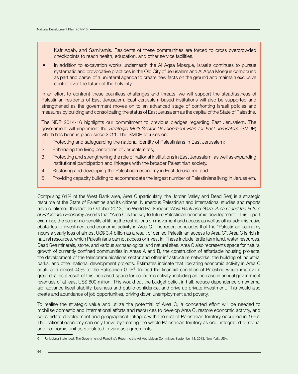Kafr Aqab, and Samiramis. Residents of these communities are forced to cross overcrowded checkpoints to reach health, education, and other service facilities.

In addition to excavation works underneath the AI Aqsa Mosque, Israel's continues to pursue systematic and provocative practices in the Old City of Jerusalem and Al Aqsa Mosque compound as part and parcel of a unilateral agenda to create new facts on the ground and maintain exclusive control over the future of the holy city.

In an effort to confront these countless challenges and threats, we will support the steadfastness of Palestinian residents of East Jerusalem. East Jerusalem-based institutions will also be supported and strengthened as the government moves on to an advanced stage of confronting Israeli policies and measures by building and consolidating the status of East Jerusalem as the capital of the State of Palestine.

The NDP 2014-16 highlights our commitment to previous pledges regarding East Jerusalem. The government will implement the *Strategic Multi Sector Development Plan for East Jerusalem* (SMDP) which has been in place since 2011. The SMDP focuses on:

- 1. Protecting and safeguarding the national identity of Palestinians in East Jerusalem;
- 2. Enhancing the living conditions of Jerusalemites;
- 3. Protecting and strengthening the role of national institutions in East Jerusalem, as well as expanding institutional participation and linkages with the broader Palestinian society.
- 4. Restoring and developing the Palestinian economy in East Jerusalem; and
- 5. Providing capacity building to accommodate the largest number of Palestinians living in Jerusalem.

Comprising 61% of the West Bank area, Area C (particularly, the Jordan Valley and Dead Sea) is a strategic resource of the State of Palestine and its citizens. Numerous Palestinian and international studies and reports have confirmed this fact. In October 2013, the World Bank report *West Bank and Gaza: Area C and the Future of Palestinian Economy* asserts that "Area C is the key to future Palestinian economic development". This report examines the economic benefits of lifting the restrictions on movement and access as well as other administrative obstacles to investment and economic activity in Area C. The report concludes that the "Palestinian economy incurs a yearly loss of almost US\$ 3.4 billion as a result of denied Palestinian access to Area C". Area C is rich in natural resources, which Palestinians cannot access or invest in. These include fertile farm land, water resources, Dead Sea minerals, stone, and various archaeological and natural sites. Area C also represents space for natural growth of currently confined communities in Areas A and B, the construction of affordable housing projects, the development of the telecommunications sector and other infrastructure networks, the building of industrial parks, and other national development projects. Estimates indicate that liberating economic activity in Area C could add almost 40% to the Palestinian GDP<sup>6</sup>. Indeed the financial condition of Palestine would improve a great deal as a result of this increased space for economic activity, including an increase in annual government revenues of at least US\$ 800 million. This would cut the budget deficit in half, reduce dependence on external aid, advance fiscal stability, business and public confidence, and drive up private investment. This would also create and abundance of job opportunities, driving down unemployment and poverty.

To realise the strategic value and utilize the potential of Area C, a concerted effort will be needed to mobilise domestic and international efforts and resources to develop Area C, restore economic activity, and consolidate development and geographical linkages with the rest of Palestinian territory occupied in 1967. The national economy can only thrive by treating the whole Palestinian territory as one, integrated territorial and economic unit as stipulated in various agreements.

<sup>6</sup> Unlocking Statehood, The Government of Palestine's Report to the Ad Hoc Liaison Committee, September 13, 2013, New York, USA.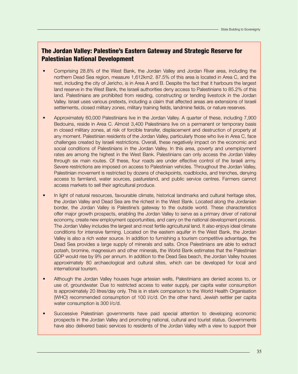## The Jordan Valley: Palestine's Eastern Gateway and Strategic Reserve for Palestinian National Development

- Comprising 28.8% of the West Bank, the Jordan Valley and Jordan River area, including the northern Dead Sea region, measure 1,612km2. 87.5% of this area is located in Area C, and the rest, including the city of Jericho, is in Area A and B. Despite the fact that it harbours the largest land reserve in the West Bank, the Israeli authorities deny access to Palestinians to 85.2% of this land. Palestinians are prohibited from residing, constructing or tending livestock in the Jordan Valley. Israel uses various pretexts, including a claim that affected areas are extensions of Israeli settlements, closed military zones, military training fields, landmine fields, or nature reserves.
- Approximately 60,000 Palestinians live in the Jordan Valley. A quarter of these, including 7,900 Bedouins, reside in Area C. Almost 3,400 Palestinians live on a permanent or temporary basis in closed military zones, at risk of forcible transfer, displacement and destruction of property at any moment. Palestinian residents of the Jordan Valley, particularly those who live in Area C, face challenges created by Israeli restrictions. Overall, these negatively impact on the economic and social conditions of Palestinians in the Jordan Valley. In this area, poverty and unemployment rates are among the highest in the West Bank. Palestinians can only access the Jordan Valley through six main routes. Of these, four roads are under effective control of the Israeli army. Severe restrictions are imposed on access to Palestinian vehicles. Throughout the Jordan Valley, Palestinian movement is restricted by dozens of checkpoints, roadblocks, and trenches, denying access to farmland, water sources, pastureland, and public service centres. Farmers cannot access markets to sell their agricultural produce.
- In light of natural resources, favourable climate, historical landmarks and cultural heritage sites, the Jordan Valley and Dead Sea are the richest in the West Bank. Located along the Jordanian border, the Jordan Valley is Palestine's gateway to the outside world. These characteristics offer major growth prospects, enabling the Jordan Valley to serve as a primary driver of national economy, create new employment opportunities, and carry on the national development process. The Jordan Valley includes the largest and most fertile agricultural land. It also enjoys ideal climate conditions for intensive farming. Located on the eastern aquifer in the West Bank, the Jordan Valley is also a rich water source. In addition to furnishing a tourism competitive advantage, the Dead Sea provides a large supply of minerals and salts. Once Palestinians are able to extract potash, bromine, magnesium and other minerals, the World Bank estimates that the Palestinian GDP would rise by 9% per annum. In addition to the Dead Sea beach, the Jordan Valley houses approximately 80 archaeological and cultural sites, which can be developed for local and international tourism.
- Although the Jordan Valley houses huge artesian wells, Palestinians are denied access to, or use of, groundwater. Due to restricted access to water supply, per capita water consumption is approximately 20 litres/day only. This is in stark comparison to the World Health Organisation (WHO) recommended consumption of 100 l/c/d. On the other hand, Jewish settler per capita water consumption is 300 l/c/d.
- Successive Palestinian governments have paid special attention to developing economic prospects in the Jordan Valley and promoting national, cultural and tourist status. Governments have also delivered basic services to residents of the Jordan Valley with a view to support their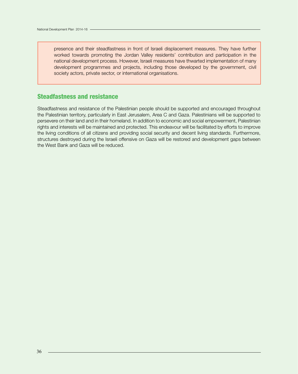presence and their steadfastness in front of Israeli displacement measures. They have further worked towards promoting the Jordan Valley residents' contribution and participation in the national development process. However, Israeli measures have thwarted implementation of many development programmes and projects, including those developed by the government, civil society actors, private sector, or international organisations.

## Steadfastness and resistance

Steadfastness and resistance of the Palestinian people should be supported and encouraged throughout the Palestinian territory, particularly in East Jerusalem, Area C and Gaza. Palestinians will be supported to persevere on their land and in their homeland. In addition to economic and social empowerment, Palestinian rights and interests will be maintained and protected. This endeavour will be facilitated by efforts to improve the living conditions of all citizens and providing social security and decent living standards. Furthermore, structures destroyed during the Israeli offensive on Gaza will be restored and development gaps between the West Bank and Gaza will be reduced.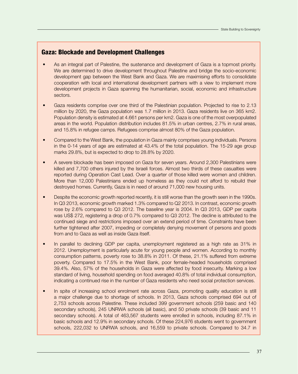# Gaza: Blockade and Development Challenges

- As an integral part of Palestine, the sustenance and development of Gaza is a topmost priority. We are determined to drive development throughout Palestine and bridge the socio-economic development gap between the West Bank and Gaza. We are maximising efforts to consolidate cooperation with local and international development partners with a view to implement more development projects in Gaza spanning the humanitarian, social, economic and infrastructure sectors.
- Gaza residents comprise over one third of the Palestinian population. Projected to rise to 2.13 million by 2020, the Gaza population was 1.7 million in 2013. Gaza residents live on 365 km2. Population density is estimated at 4.661 persons per km2. Gaza is one of the most overpopulated areas in the world. Population distribution includes 81.5% in urban centres, 2.7% in rural areas, and 15.8% in refugee camps. Refugees comprise almost 80% of the Gaza population.
- Compared to the West Bank, the population in Gaza mainly comprises young individuals. Persons in the 0-14 years of age are estimated at 43.4% of the total population. The 15-29 age group marks 29.8%, but is expected to drop to 28.8% by 2020.
- A severe blockade has been imposed on Gaza for seven years. Around 2,300 Palestinians were killed and 7,700 others injured by the Israeli forces. Almost two thirds of these casualties were reported during Operation Cast Lead. Over a quarter of those killed were women and children. More than 12,000 Palestinians ended up homeless as they could not afford to rebuild their destroyed homes. Currently, Gaza is in need of around 71,000 new housing units.
- Despite the economic growth reported recently, it is still worse than the growth seen in the 1990s. In Q3 2013, economic growth marked 1.3% compared to Q2 2013. In contrast, economic growth rose by 2.6% compared to Q3 2012. The baseline year is 2004. In Q3 2013, GDP per capita was US\$ 272, registering a drop of 0.7% compared to Q3 2012. The decline is attributed to the continued siege and restrictions imposed over an extend period of time. Constraints have been further tightened after 2007, impeding or completely denying movement of persons and goods from and to Gaza as well as inside Gaza itself.
- In parallel to declining GDP per capita, unemployment registered as a high rate as 31% in 2012. Unemployment is particularly acute for young people and women. According to monthly consumption patterns, poverty rose to 38.8% in 2011. Of these, 21.1% suffered from extreme poverty. Compared to 17.5% in the West Bank, poor female-headed households comprised 39.4%. Also, 57% of the households in Gaza were affected by food insecurity. Marking a low standard of living, household spending on food averaged 40.8% of total individual consumption, indicating a continued rise in the number of Gaza residents who need social protection services.
- In spite of increasing school enrolment rate across Gaza, promoting quality education is still a major challenge due to shortage of schools. In 2013, Gaza schools comprised 694 out of 2,753 schools across Palestine. These included 399 government schools (259 basic and 140 secondary schools), 245 UNRWA schools (all basic), and 50 private schools (39 basic and 11 secondary schools). A total of 463,567 students were enrolled in schools, including 87.1% in basic schools and 12.9% in secondary schools. Of these 224,976 students went to government schools, 222,032 to UNRWA schools, and 16,559 to private schools. Compared to 34.7 in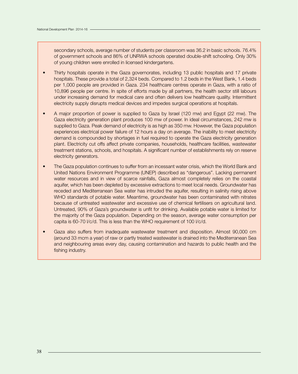secondary schools, average number of students per classroom was 36.2 in basic schools. 76.4% of government schools and 86% of UNRWA schools operated double-shift schooling. Only 30% of young children were enrolled in licensed kindergartens.

- Thirty hospitals operate in the Gaza governorates, including 13 public hospitals and 17 private hospitals. These provide a total of 2,324 beds. Compared to 1.2 beds in the West Bank, 1.4 beds per 1,000 people are provided in Gaza. 234 healthcare centres operate in Gaza, with a ratio of 10,896 people per centre. In spite of efforts made by all partners, the health sector still labours under increasing demand for medical care and often delivers low healthcare quality. Intermittent electricity supply disrupts medical devices and impedes surgical operations at hospitals.
- A major proportion of power is supplied to Gaza by Israel (120 mw) and Egypt (22 mw). The Gaza electricity generation plant produces 100 mw of power. In ideal circumstances, 242 mw is supplied to Gaza. Peak demand of electricity is as high as 350 mw. However, the Gaza population experiences electrical power failure of 12 hours a day on average. The inability to meet electricity demand is compounded by shortages in fuel required to operate the Gaza electricity generation plant. Electricity cut offs affect private companies, households, healthcare facilities, wastewater treatment stations, schools, and hospitals. A significant number of establishments rely on reserve electricity generators.
- The Gaza population continues to suffer from an incessant water crisis, which the World Bank and United Nations Environment Programme (UNEP) described as "dangerous". Lacking permanent water resources and in view of scarce rainfalls, Gaza almost completely relies on the coastal aquifer, which has been depleted by excessive extractions to meet local needs. Groundwater has receded and Mediterranean Sea water has intruded the aquifer, resulting in salinity rising above WHO standards of potable water. Meantime, groundwater has been contaminated with nitrates because of untreated wastewater and excessive use of chemical fertilisers on agricultural land. Untreated, 90% of Gaza's groundwater is unfit for drinking. Available potable water is limited for the majority of the Gaza population. Depending on the season, average water consumption per capita is 60-70 l/c/d. This is less than the WHO requirement of 100 l/c/d.
- Gaza also suffers from inadequate wastewater treatment and disposition. Almost 90,000 cm (around 33 mcm a year) of raw or partly treated wastewater is drained into the Mediterranean Sea and neighbouring areas every day, causing contamination and hazards to public health and the fishing industry.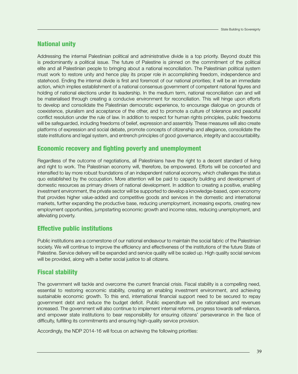# National unity

Addressing the internal Palestinian political and administrative divide is a top priority. Beyond doubt this is predominantly a political issue. The future of Palestine is pinned on the commitment of the political elite and all Palestinian people to bringing about a national reconciliation. The Palestinian political system must work to restore unity and hence play its proper role in accomplishing freedom, independence and statehood. Ending the internal divide is first and foremost of our national priorities; it will be an immediate action, which implies establishment of a national consensus government of competent national figures and holding of national elections under its leadership. In the medium term, national reconciliation can and will be materialised through creating a conducive environment for reconciliation. This will hinge upon efforts to develop and consolidate the Palestinian democratic experience, to encourage dialogue on grounds of coexistence, pluralism and acceptance of the other, and to promote a culture of tolerance and peaceful conflict resolution under the rule of law. In addition to respect for human rights principles, public freedoms will be safeguarded, including freedoms of belief, expression and assembly. These measures will also create platforms of expression and social debate, promote concepts of citizenship and allegiance, consolidate the state institutions and legal system, and entrench principles of good governance, integrity and accountability.

# Economic recovery and fighting poverty and unemployment

Regardless of the outcome of negotiations, all Palestinians have the right to a decent standard of living and right to work. The Palestinian economy will, therefore, be empowered. Efforts will be concerted and intensified to lay more robust foundations of an independent national economy, which challenges the status quo established by the occupation. More attention will be paid to capacity building and development of domestic resources as primary drivers of national development. In addition to creating a positive, enabling investment environment, the private sector will be supported to develop a knowledge-based, open economy that provides higher value-added and competitive goods and services in the domestic and international markets, further expanding the productive base, reducing unemployment, increasing exports, creating new employment opportunities, jumpstarting economic growth and income rates, reducing unemployment, and alleviating poverty.

# Effective public institutions

Public institutions are a cornerstone of our national endeavour to maintain the social fabric of the Palestinian society. We will continue to improve the efficiency and effectiveness of the institutions of the future State of Palestine. Service delivery will be expanded and service quality will be scaled up. High quality social services will be provided, along with a better social justice to all citizens.

# Fiscal stability

The government will tackle and overcome the current financial crisis. Fiscal stability is a compelling need, essential to restoring economic stability, creating an enabling investment environment, and achieving sustainable economic growth. To this end, international financial support need to be secured to repay government debt and reduce the budget deficit. Public expenditure will be rationalised and revenues increased. The government will also continue to implement internal reforms, progress towards self-reliance, and empower state institutions to bear responsibility for ensuring citizens' perseverance in the face of difficulty, fulfilling its commitments and ensuring high-quality service provision.

Accordingly, the NDP 2014-16 will focus on achieving the following priorities: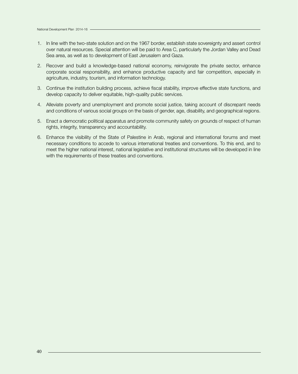- 1. In line with the two-state solution and on the 1967 border, establish state sovereignty and assert control over natural resources. Special attention will be paid to Area C, particularly the Jordan Valley and Dead Sea area, as well as to development of East Jerusalem and Gaza.
- 2. Recover and build a knowledge-based national economy, reinvigorate the private sector, enhance corporate social responsibility, and enhance productive capacity and fair competition, especially in agriculture, industry, tourism, and information technology.
- 3. Continue the institution building process, achieve fiscal stability, improve effective state functions, and develop capacity to deliver equitable, high-quality public services.
- 4. Alleviate poverty and unemployment and promote social justice, taking account of discrepant needs and conditions of various social groups on the basis of gender, age, disability, and geographical regions.
- 5. Enact a democratic political apparatus and promote community safety on grounds of respect of human rights, integrity, transparency and accountability.
- 6. Enhance the visibility of the State of Palestine in Arab, regional and international forums and meet necessary conditions to accede to various international treaties and conventions. To this end, and to meet the higher national interest, national legislative and institutional structures will be developed in line with the requirements of these treaties and conventions.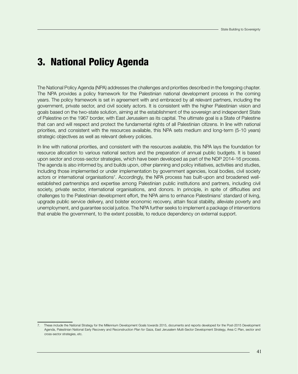# 3. National Policy Agenda

The National Policy Agenda (NPA) addresses the challenges and priorities described in the foregoing chapter. The NPA provides a policy framework for the Palestinian national development process in the coming years. The policy framework is set in agreement with and embraced by all relevant partners, including the government, private sector, and civil society actors. It is consistent with the higher Palestinian vision and goals based on the two-state solution, aiming at the establishment of the sovereign and independent State of Palestine on the 1967 border, with East Jerusalem as its capital. The ultimate goal is a State of Palestine that can and will respect and protect the fundamental rights of all Palestinian citizens. In line with national priorities, and consistent with the resources available, this NPA sets medium and long-term (5-10 years) strategic objectives as well as relevant delivery policies.

In line with national priorities, and consistent with the resources available, this NPA lays the foundation for resource allocation to various national sectors and the preparation of annual public budgets. It is based upon sector and cross-sector strategies, which have been developed as part of the NDP 2014-16 process. The agenda is also informed by, and builds upon, other planning and policy initiatives, activities and studies, including those implemented or under implementation by government agencies, local bodies, civil society actors or international organisations<sup>7</sup>. Accordingly, the NPA process has built-upon and broadened wellestablished partnerships and expertise among Palestinian public institutions and partners, including civil society, private sector, international organisations, and donors. In principle, in spite of difficulties and challenges to the Palestinian development effort, the NPA aims to enhance Palestinians' standard of living, upgrade public service delivery, and bolster economic recovery, attain fiscal stability, alleviate poverty and unemployment, and guarantee social justice. The NPA further seeks to implement a package of interventions that enable the government, to the extent possible, to reduce dependency on external support.

<sup>7.</sup> These include the National Strategy for the Millennium Development Goals towards 2015, documents and reports developed for the Post-2015 Development Agenda, Palestinian National Early Recovery and Reconstruction Plan for Gaza, East Jerusalem Multi-Sector Development Strategy, Area C Plan, sector and cross-sector strategies, etc.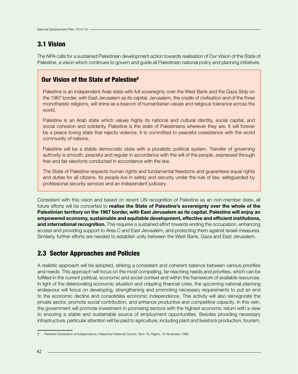# 3.1 Vision

The NPA calls for a sustained Palestinian development action towards realisation of Our Vision of the State of Palestine, a vision which continues to govern and guide all Palestinian national policy and planning initiatives.

# **Our Vision of the State of Palestine<sup>8</sup>**

Palestine is an independent Arab state with full sovereignty over the West Bank and the Gaza Strip on the 1967 border, with East Jerusalem as its capital. Jerusalem, the cradle of civilisation and of the three monotheistic religions, will shine as a beacon of humanitarian values and religious tolerance across the world.

Palestine is an Arab state which values highly its national and cultural identity, social capital, and social cohesion and solidarity. Palestine is the state of Palestinians wherever they are. It will forever be a peace loving state that rejects violence. It is committed to peaceful coexistence with the world community of nations.

Palestine will be a stable democratic state with a pluralistic political system. Transfer of governing authority is smooth, peaceful and regular in accordance with the will of the people, expressed through free and fair elections conducted in accordance with the law.

The State of Palestine respects human rights and fundamental freedoms and guarantees equal rights and duties for all citizens. Its people live in safety and security under the rule of law, safeguarded by professional security services and an independent judiciary.

Consistent with this vision and based on recent UN recognition of Palestine as an non-member state, all future efforts will be concerted to realise the State of Palestine's sovereignty over the whole of the Palestinian territory on the 1967 border, with East Jerusalem as its capital. Palestine will enjoy an empowered economy, sustainable and equitable development, effective and efficient institutions, and international recognition. This requires a sustained effort towards ending the occupation, enhancing access and providing support to Area C and East Jerusalem, and protecting them against Israeli measures. Similarly, further efforts are needed to establish unity between the West Bank, Gaza and East Jerusalem.

# 2.3 Sector Approaches and Policies

A realistic approach will be adopted, striking a consistent and coherent balance between various priorities and needs. This approach will focus on the most compelling, far-reaching needs and priorities, which can be fulfilled in the current political, economic and social context and within the framework of available resources. In light of the deteriorating economic situation and crippling financial crisis, the upcoming national planning endeavour will focus on developing, strengthening and promoting necessary requirements to put an end to the economic decline and consolidate economic independence. This activity will also reinvigorate the private sector, promote social contribution, and enhance productive and competitive capacity. In this vein, the government will promote investment in promising sectors with the highest economic return with a view to ensuring a stable and sustainable source of employment opportunities. Besides providing necessary infrastructure, particular attention will be paid to agriculture, including plant and livestock production, tourism,

<sup>8</sup> Palestine Declaration of Independence, Palestinian National Council, Term 19, Algiers, 15 November 1998.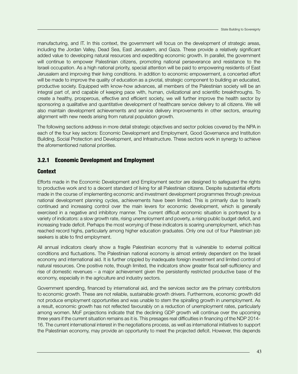manufacturing, and IT. In this context, the government will focus on the development of strategic areas, including the Jordan Valley, Dead Sea, East Jerusalem, and Gaza. These provide a relatively significant added value to developing natural resources and expediting economic growth. In parallel, the government will continue to empower Palestinian citizens, promoting national perseverance and resistance to the Israeli occupation. As a high national priority, special attention will be paid to empowering residents of East Jerusalem and improving their living conditions. In addition to economic empowerment, a concerted effort will be made to improve the quality of education as a pivotal, strategic component to building an educated, productive society. Equipped with know-how advances, all members of the Palestinian society will be an integral part of, and capable of keeping pace with, human, civilizational and scientific breakthroughs. To create a healthy, prosperous, effective and efficient society, we will further improve the health sector by sponsoring a qualitative and quantitative development of healthcare service delivery to all citizens. We will also maintain development achievements and service delivery improvements in other sectors, ensuring alignment with new needs arising from natural population growth.

The following sections address in more detail strategic objectives and sector policies covered by the NPA in each of the four key sectors: Economic Development and Employment, Good Governance and Institution Building, Social Protection and Development, and Infrastructure. These sectors work in synergy to achieve the aforementioned national priorities.

## 3.2.1 Economic Development and Employment

#### **Context**

Efforts made in the Economic Development and Employment sector are designed to safeguard the rights to productive work and to a decent standard of living for all Palestinian citizens. Despite substantial efforts made in the course of implementing economic and investment development programmes through previous national development planning cycles, achievements have been limited. This is primarily due to Israel's continued and increasing control over the main levers for economic development, which is generally exercised in a negative and inhibitory manner. The current difficult economic situation is portrayed by a variety of indicators: a slow growth rate, rising unemployment and poverty, a rising public budget deficit, and increasing trade deficit. Perhaps the most worrying of these indicators is soaring unemployment, which has reached record highs, particularly among higher education graduates. Only one out of four Palestinian job seekers is able to find employment.

All annual indicators clearly show a fragile Palestinian economy that is vulnerable to external political conditions and fluctuations. The Palestinian national economy is almost entirely dependent on the Israeli economy and international aid. It is further crippled by inadequate foreign investment and limited control of natural resources. One positive note, though limited, the indicators show greater fiscal self-sufficiency and rise of domestic revenues – a major achievement given the persistently restricted productive base of the economy, especially in the agriculture and industry sectors.

Government spending, financed by international aid, and the services sector are the primary contributors to economic growth. These are not reliable, sustainable growth drivers. Furthermore, economic growth did not produce employment opportunities and was unable to stem the spiralling growth in unemployment. As a result, economic growth has not reflected favourably on a reduction of unemployment rates, particularly among women. MoF projections indicate that the declining GDP growth will continue over the upcoming three years if the current situation remains as it is. This presages real difficulties in financing of the NDP 2014- 16. The current international interest in the negotiations process, as well as international initiatives to support the Palestinian economy, may provide an opportunity to meet the projected deficit. However, this depends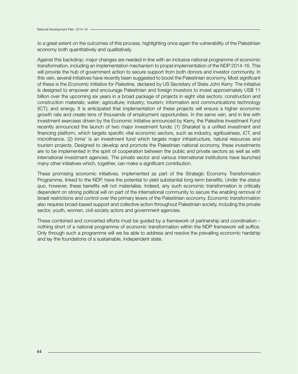to a great extent on the outcomes of this process, highlighting once again the vulnerability of the Palestinian economy both quantitatively and qualitatively.

Against this backdrop, major changes are needed in line with an inclusive national programme of economic transformation, including an implementation mechanism to propel implementation of the NDP 2014-16. This will provide the hub of government action to secure support from both donors and investor community. In this vein, several initiatives have recently been suggested to boost the Palestinian economy. Most significant of these is the *Economic Initiative for Palestine*, declared by US Secretary of State John Kerry. The initiative is designed to empower and encourage Palestinian and foreign investors to invest approximately US\$ 11 billion over the upcoming six years in a broad package of projects in eight vital sectors: construction and construction materials; water; agriculture; industry; tourism; information and communications technology (ICT); and energy. It is anticipated that implementation of these projects will ensure a higher economic growth rate and create tens of thousands of employment opportunities. In the same vein, and in line with investment exercises driven by the Economic Initiative announced by Kerry, the Palestine Investment Fund recently announced the launch of two major investment funds: (1) *Sharakat* is a unified investment and financing platform, which targets specific vital economic sectors, such as industry, agribusiness, ICT, and microfinance. (2) *Inma'* is an investment fund which targets major infrastructure, natural resources and tourism projects. Designed to develop and promote the Palestinian national economy, these investments are to be implemented in the spirit of cooperation between the public and private sectors as well as with international investment agencies. The private sector and various international institutions have launched many other initiatives which, together, can make a significant contribution.

These promising economic initiatives, implemented as part of the Strategic Economy Transformation Programme, linked to the NDP, have the potential to yield substantial long-term benefits. Under the *status quo*, however, these benefits will not materialise. Indeed, any such economic transformation is critically dependent on strong political will on part of the international community to secure the enabling removal of Israeli restrictions and control over the primary levers of the Palestinian economy. Economic transformation also requires broad-based support and collective action throughout Palestinian society, including the private sector, youth, women, civil society actors and government agencies.

These combined and concerted efforts must be guided by a framework of partnership and coordination – nothing short of a national programme of economic transformation within the NDP framework will suffice. Only through such a programme will we be able to address and resolve the prevailing economic hardship and lay the foundations of a sustainable, independent state.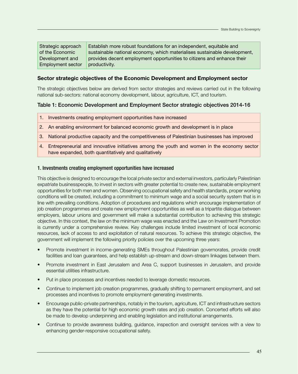| Strategic approach | Establish more robust foundations for an independent, equitable and       |
|--------------------|---------------------------------------------------------------------------|
| of the Economic    | sustainable national economy, which materialises sustainable development, |
| Development and    | provides decent employment opportunities to citizens and enhance their    |
| Employment sector  | productivity.                                                             |

#### Sector strategic objectives of the Economic Development and Employment sector

The strategic objectives below are derived from sector strategies and reviews carried out in the following national sub-sectors: national economy development, labour, agriculture, ICT, and tourism.

#### Table 1: Economic Development and Employment Sector strategic objectives 2014-16

- 1. Investments creating employment opportunities have increased
- 2. An enabling environment for balanced economic growth and development is in place
- 3. National productive capacity and the competitiveness of Palestinian businesses has improved
- 4. Entrepreneurial and innovative initiatives among the youth and women in the economy sector have expanded, both quantitatively and qualitatively

#### 1. Investments creating employment opportunities have increased

This objective is designed to encourage the local private sector and external investors, particularly Palestinian expatriate businesspeople, to invest in sectors with greater potential to create new, sustainable employment opportunities for both men and women. Observing occupational safety and health standards, proper working conditions will be created, including a commitment to minimum wage and a social security system that is in line with prevailing conditions. Adoption of procedures and regulations which encourage implementation of job creation programmes and create new employment opportunities as well as a tripartite dialogue between employers, labour unions and government will make a substantial contribution to achieving this strategic objective. In this context, the law on the minimum wage was enacted and the Law on Investment Promotion is currently under a comprehensive review. Key challenges include limited investment of local economic resources, lack of access to and exploitation of natural resources. To achieve this strategic objective, the government will implement the following priority policies over the upcoming three years:

- Promote investment in income-generating SMEs throughout Palestinian governorates, provide credit facilities and loan guarantees, and help establish up-stream and down-stream linkages between them.
- Promote investment in East Jerusalem and Area C, support businesses in Jerusalem, and provide essential utilities infrastructure.
- Put in place processes and incentives needed to leverage domestic resources.
- Continue to implement job creation programmes, gradually shifting to permanent employment, and set processes and incentives to promote employment-generating investments.
- Encourage public-private partnerships, notably in the tourism, agriculture, ICT and infrastructure sectors as they have the potential for high economic growth rates and job creation. Concerted efforts will also be made to develop underpinning and enabling legislation and institutional arrangements.
- Continue to provide awareness building, guidance, inspection and oversight services with a view to enhancing gender-responsive occupational safety.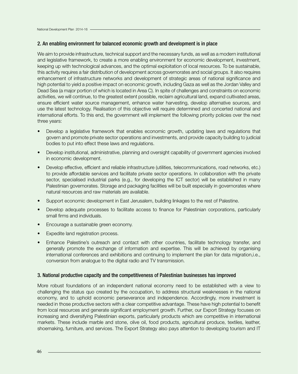#### 2. An enabling environment for balanced economic growth and development is in place

We aim to provide infrastructure, technical support and the necessary funds, as well as a modern institutional and legislative framework, to create a more enabling environment for economic development, investment, keeping up with technological advances, and the optimal exploitation of local resources. To be sustainable, this activity requires a fair distribution of development across governorates and social groups. It also requires enhancement of infrastructure networks and development of strategic areas of national significance and high potential to yield a positive impact on economic growth, including Gaza as well as the Jordan Valley and Dead Sea (a major portion of which is located in Area C). In spite of challenges and constraints on economic activities, we will continue, to the greatest extent possible, reclaim agricultural land, expand cultivated areas, ensure efficient water source management, enhance water harvesting, develop alternative sources, and use the latest technology. Realisation of this objective will require determined and concerted national and international efforts. To this end, the government will implement the following priority policies over the next three years:

- Develop a legislative framework that enables economic growth, updating laws and regulations that govern and promote private sector operations and investments, and provide capacity building to judicial bodies to put into effect these laws and regulations.
- Develop institutional, administrative, planning and oversight capability of government agencies involved in economic development.
- • Develop effective, efficient and reliable infrastructure (utilities, telecommunications, road networks, etc.) to provide affordable services and facilitate private sector operations. In collaboration with the private sector, specialised industrial parks (e.g., for developing the ICT sector) will be established in many Palestinian governorates. Storage and packaging facilities will be built especially in governorates where natural resources and raw materials are available.
- Support economic development in East Jerusalem, building linkages to the rest of Palestine.
- • Develop adequate processes to facilitate access to finance for Palestinian corporations, particularly small firms and individuals.
- Encourage a sustainable green economy.
- Expedite land registration process.
- Enhance Palestine's outreach and contact with other countries, facilitate technology transfer, and generally promote the exchange of information and expertise. This will be achieved by organising international conferences and exhibitions and continuing to implement the plan for data migration,i.e., conversion from analogue to the digital radio and TV transmission.

#### 3. National productive capacity and the competitiveness of Palestinian businesses has improved

More robust foundations of an independent national economy need to be established with a view to challenging the status quo created by the occupation, to address structural weaknesses in the national economy, and to uphold economic perseverance and independence. Accordingly, more investment is needed in those productive sectors with a clear competitive advantage. These have high potential to benefit from local resources and generate significant employment growth. Further, our Export Strategy focuses on increasing and diversifying Palestinian exports, particularly products which are competitive in international markets. These include marble and stone, olive oil, food products, agricultural produce, textiles, leather, shoemaking, furniture, and services. The Export Strategy also pays attention to developing tourism and IT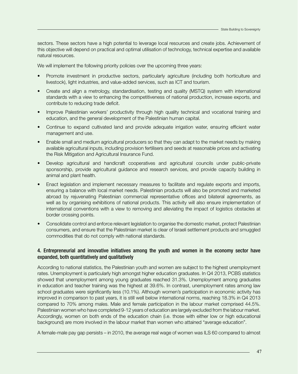sectors. These sectors have a high potential to leverage local resources and create jobs. Achievement of this objective will depend on practical and optimal utilisation of technology, technical expertise and available natural resources.

We will implement the following priority policies over the upcoming three years:

- Promote investment in productive sectors, particularly agriculture (including both horticulture and livestock), light industries, and value-added services, such as ICT and tourism.
- Create and align a metrology, standardisation, testing and quality (MSTQ) system with international standards with a view to enhancing the competitiveness of national production, increase exports, and contribute to reducing trade deficit.
- Improve Palestinian workers' productivity through high quality technical and vocational training and education, and the general development of the Palestinian human capital.
- Continue to expand cultivated land and provide adequate irrigation water, ensuring efficient water management and use.
- Enable small and medium agricultural producers so that they can adapt to the market needs by making available agricultural inputs, including provision fertilisers and seeds at reasonable prices and activating the Risk Mitigation and Agricultural Insurance Fund.
- • Develop agricultural and handicraft cooperatives and agricultural councils under public-private sponsorship, provide agricultural guidance and research services, and provide capacity building in animal and plant health.
- Enact legislation and implement necessary measures to facilitate and regulate exports and imports, ensuring a balance with local market needs. Palestinian products will also be promoted and marketed abroad by rejuvenating Palestinian commercial representative offices and bilateral agreements, as well as by organising exhibitions of national products. This activity will also ensure implementation of international conventions with a view to removing and alleviating the impact of logistics obstacles at border crossing points.
- Consolidate control and enforce relevant legislation to organise the domestic market, protect Palestinian consumers, and ensure that the Palestinian market is clear of Israeli settlement products and smuggled commodities that do not comply with national standards.

#### 4. Entrepreneurial and innovative initiatives among the youth and women in the economy sector have expanded, both quantitatively and qualitatively

According to national statistics, the Palestinian youth and women are subject to the highest unemployment rates. Unemployment is particularly high amongst higher education graduates. In Q4 2013, PCBS statistics showed that unemployment among young graduates reached 31.3%. Unemployment among graduates in education and teacher training was the highest at 39.6%. In contrast, unemployment rates among law school graduates were significantly less (10.1%). Although women's participation in economic activity has improved in comparison to past years, it is still well below international norms, reaching 18.3% in Q4 2013 compared to 70% among males. Male and female participation in the labour market comprised 44.5%. Palestinian women who have completed 9-12 years of education are largely excluded from the labour market. Accordingly, women on both ends of the education chain (i.e. those with either low or high educational background) are more involved in the labour market than women who attained "average education".

A female-male pay gap persists – in 2010, the average real wage of women was ILS 60 compared to almost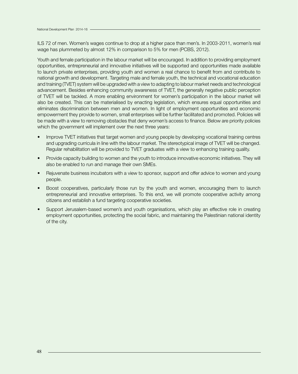ILS 72 of men. Women's wages continue to drop at a higher pace than men's. In 2003-2011, women's real wage has plummeted by almost 12% in comparison to 5% for men (PCBS, 2012).

Youth and female participation in the labour market will be encouraged. In addition to providing employment opportunities, entrepreneurial and innovative initiatives will be supported and opportunities made available to launch private enterprises, providing youth and women a real chance to benefit from and contribute to national growth and development. Targeting male and female youth, the technical and vocational education and training (TVET) system will be upgraded with a view to adapting to labour market needs and technological advancement. Besides enhancing community awareness of TVET, the generally negative public perception of TVET will be tackled. A more enabling environment for women's participation in the labour market will also be created. This can be materialised by enacting legislation, which ensures equal opportunities and eliminates discrimination between men and women. In light of employment opportunities and economic empowerment they provide to women, small enterprises will be further facilitated and promoted. Policies will be made with a view to removing obstacles that deny women's access to finance. Below are priority policies which the government will implement over the next three years:

- Improve TVET initiatives that target women and young people by developing vocational training centres and upgrading curricula in line with the labour market. The stereotypical image of TVET will be changed. Regular rehabilitation will be provided to TVET graduates with a view to enhancing training quality.
- Provide capacity building to women and the youth to introduce innovative economic initiatives. They will also be enabled to run and manage their own SMEs.
- Rejuvenate business incubators with a view to sponsor, support and offer advice to women and young people.
- Boost cooperatives, particularly those run by the youth and women, encouraging them to launch entrepreneurial and innovative enterprises. To this end, we will promote cooperative activity among citizens and establish a fund targeting cooperative societies.
- Support Jerusalem-based women's and youth organisations, which play an effective role in creating employment opportunities, protecting the social fabric, and maintaining the Palestinian national identity of the city.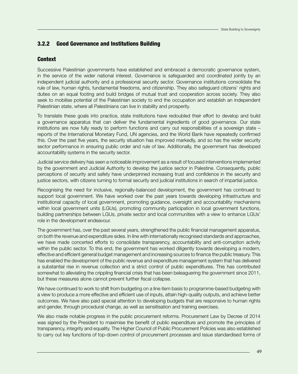# 3.2.2 Good Governance and Institutions Building

#### **Context**

Successive Palestinian governments have established and embraced a democratic governance system, in the service of the wider national interest. Governance is safeguarded and coordinated jointly by an independent judicial authority and a professional security sector. Governance institutions consolidate the rule of law, human rights, fundamental freedoms, and citizenship. They also safeguard citizens' rights and duties on an equal footing and build bridges of mutual trust and cooperation across society. They also seek to mobilise potential of the Palestinian society to end the occupation and establish an independent Palestinian state, where all Palestinians can live in stability and prosperity.

To translate these goals into practice, state institutions have redoubled their effort to develop and build a governance apparatus that can deliver the fundamental ingredients of good governance. Our state institutions are now fully ready to perform functions and carry out responsibilities of a sovereign state – reports of the International Monetary Fund, UN agencies, and the World Bank have repeatedly confirmed this. Over the past five years, the security situation has improved markedly, and so has the wider security sector performance in ensuring public order and rule of law. Additionally, the government has developed accountability systems in the security sector.

Judicial service delivery has seen a noticeable improvement as a result of focused interventions implemented by the government and Judicial Authority to develop the justice sector in Palestine. Consequently, public perceptions of security and safety have underpinned increasing trust and confidence in the security and justice sectors, with citizens turning to formal security and judicial institutions in search of impartial justice.

Recognising the need for inclusive, regionally-balanced development, the government has continued to support local government. We have worked over the past years towards developing infrastructure and institutional capacity of local government, promoting guidance, oversight and accountability mechanisms within local government units (LGUs), promoting community participation in local government functions, building partnerships between LGUs, private sector and local communities with a view to enhance LGUs' role in the development endeavour.

The government has, over the past several years, strengthened the public financial management apparatus, on both the revenue and expenditure sides. In line with internationally recognised standards and approaches, we have made concerted efforts to consolidate transparency, accountability and anti-corruption activity within the public sector. To this end, the government has worked diligently towards developing a modern, effective and efficient general budget management and increasing sources to finance the public treasury. This has enabled the development of the public revenue and expenditure management system that has delivered a substantial rise in revenue collection and a strict control of public expenditures. This has contributed somewhat to alleviating the crippling financial crisis that has been beleaguering the government since 2011, but these measures alone cannot prevent further fiscal collapse.

We have continued to work to shift from budgeting on a line item basis to programme-based budgeting with a view to produce a more effective and efficient use of inputs, attain high-quality outputs, and achieve better outcomes. We have also paid special attention to developing budgets that are responsive to human rights and gender, through procedural change, as well as sensitisation and training exercises.

We also made notable progress in the public procurement reforms. Procurement Law by Decree of 2014 was signed by the President to maximise the benefit of public expenditure and promote the principles of transparency, integrity and equality. The Higher Council of Public Procurement Policies was also established to carry out key functions of top-down control of procurement processes and issue standardised forms of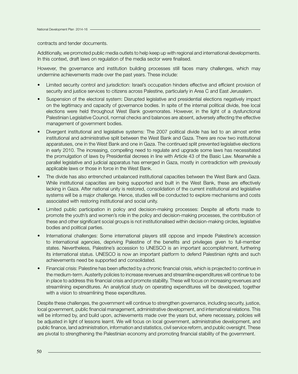contracts and tender documents.

Additionally, we promoted public media outlets to help keep up with regional and international developments. In this context, draft laws on regulation of the media sector were finalised.

However, the governance and institution building processes still faces many challenges, which may undermine achievements made over the past years. These include:

- • Limited security control and jurisdiction: Israel's occupation hinders effective and efficient provision of security and justice services to citizens across Palestine, particularly in Area C and East Jerusalem.
- Suspension of the electoral system: Disrupted legislative and presidential elections negatively impact on the legitimacy and capacity of governance bodies. In spite of the internal political divide, free local elections were held throughout West Bank governorates. However, in the light of a dysfunctional Palestinian Legislative Council, normal checks and balances are absent, adversely affecting the effective management of government bodies.
- Divergent institutional and legislative systems: The 2007 political divide has led to an almost entire institutional and administrative split between the West Bank and Gaza. There are now two institutional apparatuses, one in the West Bank and one in Gaza. The continued split prevented legislative elections in early 2010. The increasing, compelling need to regulate and upgrade some laws has necessitated the promulgation of laws by Presidential decrees in line with Article 43 of the Basic Law. Meanwhile a parallel legislative and judicial apparatus has emerged in Gaza, mostly in contradiction with previously applicable laws or those in force in the West Bank.
- The divide has also entrenched unbalanced institutional capacities between the West Bank and Gaza. While institutional capacities are being supported and built in the West Bank, these are effectively lacking in Gaza. After national unity is restored, consolidation of the current institutional and legislative systems will be a major challenge. Hence, studies will be conducted to explore mechanisms and costs associated with restoring institutional and social unity.
- Limited public participation in policy and decision-making processes: Despite all efforts made to promote the youth's and women's role in the policy and decision-making processes, the contribution of these and other significant social groups is not institutionalised within decision-making circles, legislative bodies and political parties.
- International challenges: Some international players still oppose and impede Palestine's accession to international agencies, depriving Palestine of the benefits and privileges given to full-member states. Nevertheless, Palestine's accession to UNESCO is an important accomplishment, furthering its international status. UNESCO is now an important platform to defend Palestinian rights and such achievements need be supported and consolidated.
- Financial crisis: Palestine has been affected by a chronic financial crisis, which is projected to continue in the medium-term. Austerity policies to increase revenues and streamline expenditures will continue to be in place to address this financial crisis and promote stability. These will focus on increasing revenues and streamlining expenditures. An analytical study on operating expenditures will be developed, together with a vision to streamlining these expenditures.

Despite these challenges, the government will continue to strengthen governance, including security, justice, local government, public financial management, administrative development, and international relations. This will be informed by, and build upon, achievements made over the years but, where necessary, policies will be adjusted in light of lessons learnt. We will focus on local government, administrative development, and public finance, land administration, information and statistics, civil service reform, and public oversight. These are pivotal to strengthening the Palestinian economy and promoting financial stability of the government.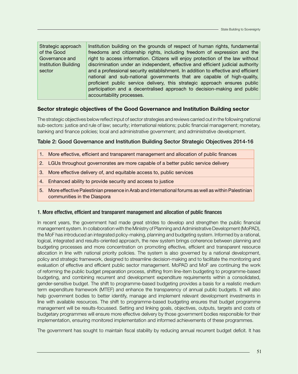| Strategic approach          | Institution building on the grounds of respect of human rights, fundamental       |
|-----------------------------|-----------------------------------------------------------------------------------|
| of the Good                 | freedoms and citizenship rights, including freedom of expression and the          |
| Governance and              | right to access information. Citizens will enjoy protection of the law without    |
| <b>Institution Building</b> | discrimination under an independent, effective and efficient judicial authority   |
| sector                      | and a professional security establishment. In addition to effective and efficient |
|                             | national and sub-national governments that are capable of high-quality,           |
|                             | proficient public service delivery, this strategic approach ensures public        |
|                             | participation and a decentralised approach to decision-making and public          |
|                             | accountability processes.                                                         |

#### Sector strategic objectives of the Good Governance and Institution Building sector

The strategic objectives below reflect input of sector strategies and reviews carried out in the following national sub-sectors: justice and rule of law; security; international relations; public financial management; monetary, banking and finance policies; local and administrative government; and administrative development.

#### Table 2: Good Governance and Institution Building Sector Strategic Objectives 2014-16

- 1. More effective, efficient and transparent management and allocation of public finances
- 2. LGUs throughout governorates are more capable of a better public service delivery
- 3. More effective delivery of, and equitable access to, public services
- 4. Enhanced ability to provide security and access to justice
- 5. More effective Palestinian presence in Arab and international forums as well as within Palestinian communities in the Diaspora

#### 1. More effective, efficient and transparent management and allocation of public finances

In recent years, the government had made great strides to develop and strengthen the public financial management system. In collaboration with the Ministry of Planning and Administrative Development (MoPAD), the MoF has introduced an integrated policy-making, planning and budgeting system. Informed by a rational, logical, integrated and results-oriented approach, the new system brings coherence between planning and budgeting processes and more concentration on promoting effective, efficient and transparent resource allocation in line with national priority policies. The system is also governed by a national development, policy and strategic framework, designed to streamline decision-making and to facilitate the monitoring and evaluation of effective and efficient public sector management. MoPAD and MoF are continuing the work of reforming the public budget preparation process, shifting from line-item budgeting to programme-based budgeting, and combining recurrent and development expenditure requirements within a consolidated, gender-sensitive budget. The shift to programme-based budgeting provides a basis for a realistic medium term expenditure framework (MTEF) and enhance the transparency of annual public budgets. It will also help government bodies to better identify, manage and implement relevant development investments in line with available resources. The shift to programme-based budgeting ensures that budget programme management will be results-focussed. Setting and linking goals, objectives, outputs, targets and costs of budgetary programmes will ensure more effective delivery by those government bodies responsible for their implementation, ensuring monitored implementation and informed achievements of these programmes.

The government has sought to maintain fiscal stability by reducing annual recurrent budget deficit. It has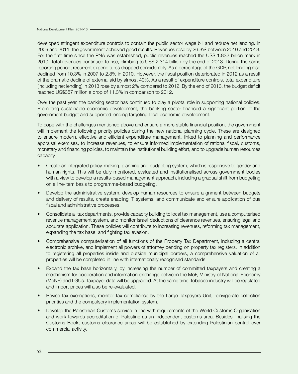developed stringent expenditure controls to contain the public sector wage bill and reduce net lending. In 2009 and 2011, the government achieved good results. Revenues rose by 26.3% between 2010 and 2013. For the first time since the PNA was established, public revenues reached the US\$ 1.832 billion mark in 2010. Total revenues continued to rise, climbing to US\$ 2.314 billion by the end of 2013. During the same reporting period, recurrent expenditures dropped considerably. As a percentage of the GDP, net lending also declined from 10.3% in 2007 to 2.8% in 2010. However, the fiscal position deteriorated in 2012 as a result of the dramatic decline of external aid by almost 40%. As a result of expenditure controls, total expenditure (including net lending) in 2013 rose by almost 2% compared to 2012. By the end of 2013, the budget deficit reached US\$357 million a drop of 11.3% in comparison to 2012.

Over the past year, the banking sector has continued to play a pivotal role in supporting national policies. Promoting sustainable economic development, the banking sector financed a significant portion of the government budget and supported lending targeting local economic development.

To cope with the challenges mentioned above and ensure a more stable financial position, the government will implement the following priority policies during the new national planning cycle. These are designed to ensure modern, effective and efficient expenditure management, linked to planning and performance appraisal exercises, to increase revenues, to ensure informed implementation of rational fiscal, customs, monetary and financing policies, to maintain the institutional building effort, and to upgrade human resources capacity.

- Create an integrated policy-making, planning and budgeting system, which is responsive to gender and human rights. This will be duly monitored, evaluated and institutionalised across government bodies with a view to develop a results-based management approach, including a gradual shift from budgeting on a line-item basis to programme-based budgeting.
- Develop the administrative system, develop human resources to ensure alignment between budgets and delivery of results, create enabling IT systems, and communicate and ensure application of due fiscal and administrative processes.
- Consolidate all tax departments, provide capacity building to local tax management, use a computerised revenue management system, and monitor Israeli deductions of clearance revenues, ensuring legal and accurate application. These policies will contribute to increasing revenues, reforming tax management, expanding the tax base, and fighting tax evasion.
- Comprehensive computerisation of all functions of the Property Tax Department, including a central electronic archive, and implement all powers of attorney pending on property tax registers. In addition to registering all properties inside and outside municipal borders, a comprehensive valuation of all properties will be completed in line with internationally recognised standards.
- Expand the tax base horizontally, by increasing the number of committed taxpayers and creating a mechanism for cooperation and information exchange between the MoF, Ministry of National Economy (MoNE) and LGUs. Taxpayer data will be upgraded. At the same time, tobacco industry will be regulated and import prices will also be re-evaluated.
- Revise tax exemptions, monitor tax compliance by the Large Taxpayers Unit, reinvigorate collection priorities and the compulsory implementation system.
- Develop the Palestinian Customs service in line with requirements of the World Customs Organisation and work towards accreditation of Palestine as an independent customs area. Besides finalising the Customs Book, customs clearance areas will be established by extending Palestinian control over commercial activity.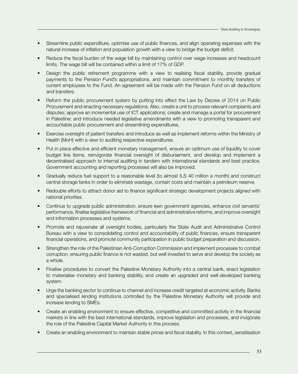- Streamline public expenditure, optimise use of public finances, and align operating expenses with the natural increase of inflation and population growth with a view to bridge the budget deficit.
- Reduce the fiscal burden of the wage bill by maintaining control over wage increases and headcount limits. The wage bill will be contained within a limit of 17% of GDP.
- Design the public retirement programme with a view to realising fiscal stability, provide gradual payments to the Pension Fund's appropriations, and maintain commitment to monthly transfers of current employees to the Fund. An agreement will be made with the Pension Fund on all deductions and transfers.
- Reform the public procurement system by putting into effect the Law by Decree of 2014 on Public Procurement and enacting necessary regulations. Also, create a unit to process relevant complaints and disputes; approve an incremental use of ICT applications; create and manage a portal for procurement in Palestine; and introduce needed legislative amendments with a view to promoting transparent and accountable public procurement and streamlining expenditures.
- Exercise oversight of patient transfers and introduce as well as implement reforms within the Ministry of Health (MoH) with a view to auditing respective expenditures.
- Put in place effective and efficient monetary management, ensure an optimum use of liquidity to cover budget line items, reinvigorate financial oversight of disbursement, and develop and implement a decentralised approach to internal auditing in tandem with international standards and best practice. Government accounting and reporting processes will also be improved.
- Gradually reduce fuel support to a reasonable level (to almost ILS 40 million a month) and construct central storage tanks in order to eliminate wastage, contain costs and maintain a petroleum reserve.
- Redouble efforts to attract donor aid to finance significant strategic development projects aligned with national priorities.
- • Continue to upgrade public administration, ensure leen government agencies, enhance civil servants' performance, finalise legislative framework of financial and administrative reforms, and improve oversight and information processes and systems.
- Promote and rejuvenate all oversight bodies, particularly the State Audit and Administrative Control Bureau with a view to consolidating control and accountability of public finances, ensure transparent financial operations, and promote community participation in public budget preparation and discussion.
- Strengthen the role of the Palestinian Anti-Corruption Commission and implement processes to combat corruption, ensuring public finance is not wasted, but well invested to serve and develop the society as a whole.
- Finalise procedures to convert the Palestine Monetary Authority into a central bank, enact legislation to materialise monetary and banking stability, and create an upgraded and well-developed banking system.
- Urge the banking sector to continue to channel and increase credit targeted at economic activity. Banks and specialised lending institutions controlled by the Palestine Monetary Authority will provide and increase lending to SMEs.
- Create an enabling environment to ensure effective, competitive and committed activity in the financial markets in line with the best international standards, improve legislation and processes, and invigorate the role of the Palestine Capital Market Authority in this process.
- Create an enabling environment to maintain stable prices and fiscal stability. In this context, sensitisation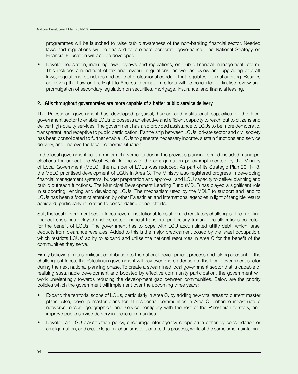programmes will be launched to raise public awareness of the non-banking financial sector. Needed laws and regulations will be finalised to promote corporate governance. The National Strategy on Financial Education will also be developed.

Develop legislation, including laws, bylaws and regulations, on public financial management reform. This includes amendment of tax and revenue regulations, as well as review and upgrading of draft laws, regulations, standards and code of professional conduct that regulates internal auditing. Besides approving the Law on the Right to Access Information, efforts will be concerted to finalise review and promulgation of secondary legislation on securities, mortgage, insurance, and financial leasing.

#### 2. LGUs throughout governorates are more capable of a better public service delivery

The Palestinian government has developed physical, human and institutional capacities of the local government sector to enable LGUs to possess an effective and efficient capacity to reach out to citizens and deliver high-quality services. The government has also provided assistance to LGUs to be more democratic, transparent, and receptive to public participation. Partnership between LGUs, private sector and civil society has been consolidated to further enable LGUs to generate necessary income, sustain functions and service delivery, and improve the local economic situation.

In the local government sector, major achievements during the previous planning period included municipal elections throughout the West Bank. In line with the amalgamation policy implemented by the Ministry of Local Government (MoLG), the number of LGUs was reduced. As part of its Strategic Plan 2011-13, the MoLG prioritised development of LGUs in Area C. The Ministry also registered progress in developing financial management systems, budget preparation and approval, and LGU capacity to deliver planning and public outreach functions. The Municipal Development Lending Fund (MDLF) has played a significant role in supporting, lending and developing LGUs. The mechanism used by the MDLF to support and lend to LGUs has been a focus of attention by other Palestinian and international agencies in light of tangible results achieved, particularly in relation to consolidating donor efforts.

Still, the local government sector faces several institutional, legislative and regulatory challenges. The crippling financial crisis has delayed and disrupted financial transfers, particularly tax and fee allocations collected for the benefit of LGUs. The government has to cope with LGU accumulated utility debt, which Israel deducts from clearance revenues. Added to this is the major predicament posed by the Israeli occupation, which restricts LGUs' ability to expand and utilise the national resources in Area C for the benefit of the communities they serve.

Firmly believing in its significant contribution to the national development process and taking account of the challenges it faces, the Palestinian government will pay even more attention to the local government sector during the next national planning phase. To create a streamlined local government sector that is capable of realising sustainable development and boosted by effective community participation, the government will work unrelentingly towards reducing the development gap between communities. Below are the priority policies which the government will implement over the upcoming three years:

- Expand the territorial scope of LGUs, particularly in Area C, by adding new vital areas to current master plans. Also, develop master plans for all residential communities in Area C, enhance infrastructure networks, ensure geographical and service contiguity with the rest of the Palestinian territory, and improve public service delivery in these communities.
- Develop an LGU classification policy, encourage inter-agency cooperation either by consolidation or amalgamation, and create legal mechanisms to facilitate this process, while at the same time maintaining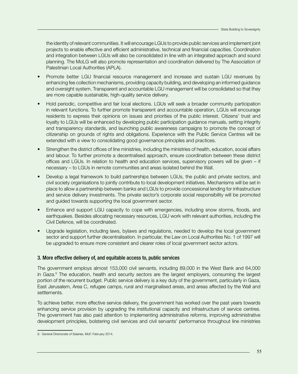the identity of relevant communities. It will encourage LGUs to provide public services and implement joint projects to enable effective and efficient administrative, technical and financial capacities. Coordination and integration between LGUs will also be consolidated in line with an integrated approach and sound planning. The MoLG will also promote representation and coordination delivered by The Association of Palestinian Local Authorities (APLA).

- Promote better LGU financial resource management and increase and sustain LGU revenues by enhancing fee collection mechanisms, providing capacity building, and developing an informed guidance and oversight system. Transparent and accountable LGU management will be consolidated so that they are more capable sustainable, high-quality service delivery.
- Hold periodic, competitive and fair local elections. LGUs will seek a broader community participation in relevant functions. To further promote transparent and accountable operation, LGUs will encourage residents to express their opinions on issues and priorities of the public interest. Citizens' trust and loyalty to LGUs will be enhanced by developing public participation guidance manuals, setting integrity and transparency standards, and launching public awareness campaigns to promote the concept of citizenship on grounds of rights and obligations. Experience with the Public Service Centres will be extended with a view to consolidating good governance principles and practices.
- Strengthen the district offices of line ministries, including the ministries of health, education, social affairs and labour. To further promote a decentralised approach, ensure coordination between these district offices and LGUs. In relation to health and education services, supervisory powers will be given – if necessary – to LGUs in remote communities and areas isolated behind the Wall.
- Develop a legal framework to build partnerships between LGUs, the public and private sectors, and civil society organisations to jointly contribute to local development initiatives. Mechanisms will be set in place to allow a partnership between banks and LGUs to provide concessional lending for infrastructure and service delivery investments. The private sector's corporate social responsibility will be promoted and guided towards supporting the local government sector.
- Enhance and support LGU capacity to cope with emergencies, including snow storms, floods, and earthquakes. Besides allocating necessary resources, LGU work with relevant authorities, including the Civil Defence, will be coordinated.
- Upgrade legislation, including laws, bylaws and regulations, needed to develop the local government sector and support further decentralisation. In particular, the Law on Local Authorities No. 1 of 1997 will be upgraded to ensure more consistent and clearer roles of local government sector actors.

#### 3. More effective delivery of, and equitable access to, public services

The government employs almost 153,000 civil servants, including 89,000 in the West Bank and 64,000 in Gaza.<sup>9</sup> The education, health and security sectors are the largest employers, consuming the largest portion of the recurrent budget. Public service delivery is a key duty of the government, particularly in Gaza, East Jerusalem, Area C, refugee camps, rural and marginalised areas, and areas affected by the Wall and settlements.

To achieve better, more effective service delivery, the government has worked over the past years towards enhancing service provision by upgrading the institutional capacity and infrastructure of service centres. The government has also paid attention to implementing administrative reforms, improving administrative development principles, bolstering civil services and civil servants' performance throughout line ministries

<sup>9.</sup> General Directorate of Salaries, MoF, February 2014.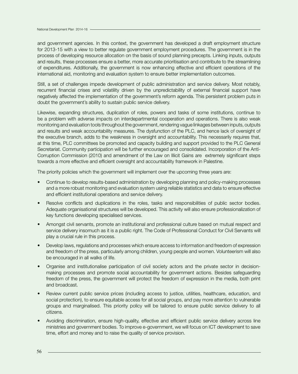and government agencies. In this context, the government has developed a draft employment structure for 2013-15 with a view to better regulate government employment procedures. The government is in the process of developing resource allocation on the basis of sound planning precepts. Linking inputs, outputs and results, these processes ensure a better, more accurate prioritisation and contribute to the streamlining of expenditures. Additionally, the government is now enhancing effective and efficient operations of the international aid, monitoring and evaluation system to ensure better implementation outcomes.

Still, a set of challenges impede development of public administration and service delivery. Most notably, recurrent financial crises and volatility driven by the unpredictability of external financial support have negatively affected the implementation of the government's reform agenda. This persistent problem puts in doubt the government's ability to sustain public service delivery.

Likewise, expanding structures, duplication of roles, powers and tasks of some institutions, continue to be a problem with adverse impacts on interdepartmental cooperation and operations. There is also weak monitoring and evaluation tools throughout the government, rendering vague linkages between inputs, outputs and results and weak accountability measures. The dysfunction of the PLC, and hence lack of oversight of the executive branch, adds to the weakness in oversight and accountability. This necessarily requires that, at this time, PLC committees be promoted and capacity building and support provided to the PLC General Secretariat. Community participation will be further encouraged and consolidated. Incorporation of the Anti-Corruption Commission (2010) and amendment of the Law on Illicit Gains are extremely significant steps towards a more effective and efficient oversight and accountability framework in Palestine.

The priority policies which the government will implement over the upcoming three years are:

- Continue to develop results-based administration by developing planning and policy-making processes and a more robust monitoring and evaluation system using reliable statistics and data to ensure effective and efficient institutional operations and service delivery.
- Resolve conflicts and duplications in the roles, tasks and responsibilities of public sector bodies. Adequate organisational structures will be developed. This activity will also ensure professionalization of key functions developing specialised services.
- Amongst civil servants, promote an institutional and professional culture based on mutual respect and service delivery insomuch as it is a public right. The Code of Professional Conduct for Civil Servants will play a crucial rule in this process.
- Develop laws, regulations and processes which ensure access to information and freedom of expression and freedom of the press, particularly among children, young people and women. Volunteerism will also be encouraged in all walks of life.
- Organise and institutionalise participation of civil society actors and the private sector in decisionmaking processes and promote social accountability for government actions. Besides safeguarding freedom of the press, the government will protect the freedom of expression in the media, both print and broadcast.
- Review current public service prices (including access to justice, utilities, healthcare, education, and social protection), to ensure equitable access for all social groups, and pay more attention to vulnerable groups and marginalised. This priority policy will be tailored to ensure public service delivery to all citizens.
- • Avoiding discrimination, ensure high-quality, effective and efficient public service delivery across line ministries and government bodies. To improve e-government, we will focus on ICT development to save time, effort and money and to raise the quality of service provision.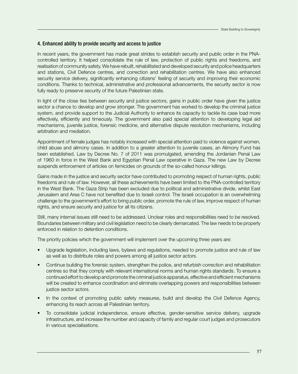#### 4. Enhanced ability to provide security and access to justice

In recent years, the government has made great strides to establish security and public order in the PNAcontrolled territory. It helped consolidate the rule of law, protection of public rights and freedoms, and realisation of community safety. We have rebuilt, rehabilitated and developed security and police headquarters and stations, Civil Defence centres, and correction and rehabilitation centres. We have also enhanced security service delivery, significantly enhancing citizens' feeling of security and improving their economic conditions. Thanks to technical, administrative and professional advancements, the security sector is now fully ready to preserve security of the future Palestinian state.

In light of the close ties between security and justice sectors, gains in public order have given the justice sector a chance to develop and grow stronger. The government has worked to develop the criminal justice system, and provide support to the Judicial Authority to enhance its capacity to tackle its case load more effectively, efficiently and timeously. The government also paid special attention to developing legal aid mechanisms, juvenile justice, forensic medicine, and alternative dispute resolution mechanisms, including arbitration and mediation.

Appointment of female judges has notably increased with special attention paid to violence against women, child abuse and alimony cases. In addition to a greater attention to juvenile cases, an Alimony Fund has been established. Law by Decree No. 7 of 2011 was promulgated, amending the Jordanian Penal Law of 1960 in force in the West Bank and Egyptian Penal Law operative in Gaza. The new Law by Decree suspends enforcement of articles on femicides on grounds of the so-called honour killings.

Gains made in the justice and security sector have contributed to promoting respect of human rights, public freedoms and rule of law. However, all these achievements have been limited to the PNA-controlled territory in the West Bank. The Gaza Strip has been excluded due to political and administrative divide, whilst East Jerusalem and Area C have not benefited due to Israeli control. The Israeli occupation is an overwhelming challenge to the government's effort to bring public order, promote the rule of law, improve respect of human rights, and ensure security and justice for all its citizens.

Still, many internal issues still need to be addressed. Unclear roles and responsibilities need to be resolved. Boundaries between military and civil legislation need to be clearly demarcated. The law needs to be properly enforced in relation to detention conditions.

The priority policies which the government will implement over the upcoming three years are:

- Upgrade legislation, including laws, bylaws and regulations, needed to promote justice and rule of law as well as to distribute roles and powers among all justice sector actors.
- Continue building the forensic system, strengthen the police, and refurbish correction and rehabilitation centres so that they comply with relevant international norms and human rights standards. To ensure a continued effort to develop and promote the criminal justice apparatus, effective and efficient mechanisms will be created to enhance coordination and eliminate overlapping powers and responsibilities between justice sector actors.
- In the context of promoting public safety measures, build and develop the Civil Defence Agency, enhancing its reach across all Palestinian territory.
- To consolidate judicial independence, ensure effective, gender-sensitive service delivery, upgrade infrastructure, and increase the number and capacity of family and regular court judges and prosecutors in various specialisations.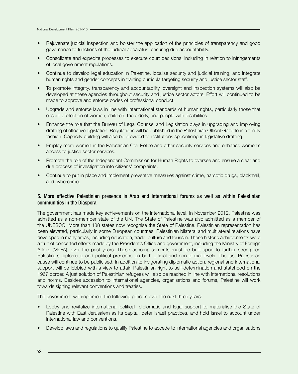- Rejuvenate judicial inspection and bolster the application of the principles of transparency and good governance to functions of the judicial apparatus, ensuring due accountability.
- Consolidate and expedite processes to execute court decisions, including in relation to infringements of local government regulations.
- Continue to develop legal education in Palestine, localise security and judicial training, and integrate human rights and gender concepts in training curricula targeting security and justice sector staff.
- To promote integrity, transparency and accountability, oversight and inspection systems will also be developed at these agencies throughout security and justice sector actors. Effort will continued to be made to approve and enforce codes of professional conduct.
- Upgrade and enforce laws in line with international standards of human rights, particularly those that ensure protection of women, children, the elderly, and people with disabilities.
- Enhance the role that the Bureau of Legal Counsel and Legislation plays in upgrading and improving drafting of effective legislation. Regulations will be published in the Palestinian Official Gazette in a timely fashion. Capacity building will also be provided to institutions specialising in legislative drafting.
- Employ more women in the Palestinian Civil Police and other security services and enhance women's access to justice sector services.
- Promote the role of the Independent Commission for Human Rights to oversee and ensure a clear and due process of investigation into citizens' complaints.
- Continue to put in place and implement preventive measures against crime, narcotic drugs, blackmail, and cybercrime.

#### 5. More effective Palestinian presence in Arab and international forums as well as within Palestinian communities in the Diaspora

The government has made key achievements on the international level. In November 2012, Palestine was admitted as a non-member state of the UN. The State of Palestine was also admitted as a member of the UNESCO. More than 138 states now recognise the State of Palestine. Palestinian representation has been elevated, particularly in some European countries. Palestinian bilateral and multilateral relations have developed in many areas, including education, trade, culture and tourism. These historic achievements were a fruit of concerted efforts made by the President's Office and government, including the Ministry of Foreign Affairs (MoFA), over the past years. These accomplishments must be built-upon to further strengthen Palestine's diplomatic and political presence on both official and non-official levels. The just Palestinian cause will continue to be publicised. In addition to invigorating diplomatic action, regional and international support will be lobbied with a view to attain Palestinian right to self-determination and statehood on the 1967 border. A just solution of Palestinian refugees will also be reached in line with international resolutions and norms. Besides accession to international agencies, organisations and forums, Palestine will work towards signing relevant conventions and treaties.

The government will implement the following policies over the next three years:

- Lobby and revitalize international political, diplomatic and legal support to materialise the State of Palestine with East Jerusalem as its capital, deter Israeli practices, and hold Israel to account under international law and conventions.
- Develop laws and regulations to qualify Palestine to accede to international agencies and organisations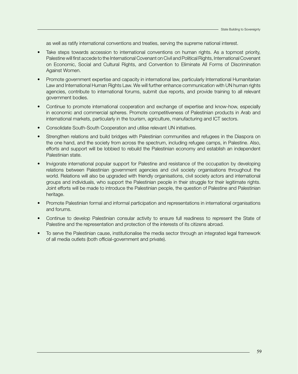as well as ratify international conventions and treaties, serving the supreme national interest.

- Take steps towards accession to international conventions on human rights. As a topmost priority, Palestine will first accede to the International Covenant on Civil and Political Rights, International Covenant on Economic, Social and Cultural Rights, and Convention to Eliminate All Forms of Discrimination Against Women.
- Promote government expertise and capacity in international law, particularly International Humanitarian Law and International Human Rights Law. We will further enhance communication with UN human rights agencies, contribute to international forums, submit due reports, and provide training to all relevant government bodies.
- Continue to promote international cooperation and exchange of expertise and know-how, especially in economic and commercial spheres. Promote competitiveness of Palestinian products in Arab and international markets, particularly in the tourism, agriculture, manufacturing and ICT sectors.
- Consolidate South-South Cooperation and utilise relevant UN initiatives.
- Strengthen relations and build bridges with Palestinian communities and refugees in the Diaspora on the one hand, and the society from across the spectrum, including refugee camps, in Palestine. Also, efforts and support will be lobbied to rebuild the Palestinian economy and establish an independent Palestinian state.
- Invigorate international popular support for Palestine and resistance of the occupation by developing relations between Palestinian government agencies and civil society organisations throughout the world. Relations will also be upgraded with friendly organisations, civil society actors and international groups and individuals, who support the Palestinian people in their struggle for their legitimate rights. Joint efforts will be made to introduce the Palestinian people, the question of Palestine and Palestinian heritage.
- Promote Palestinian formal and informal participation and representations in international organisations and forums.
- Continue to develop Palestinian consular activity to ensure full readiness to represent the State of Palestine and the representation and protection of the interests of its citizens abroad.
- To serve the Palestinian cause, institutionalise the media sector through an integrated legal framework of all media outlets (both official-government and private).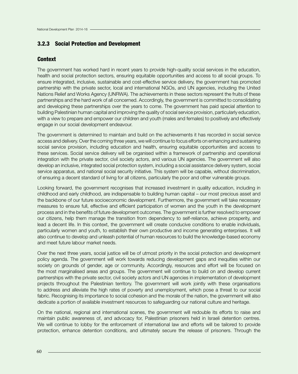## 3.2.3 Social Protection and Development

#### **Context**

The government has worked hard in recent years to provide high-quality social services in the education, health and social protection sectors, ensuring equitable opportunities and access to all social groups. To ensure integrated, inclusive, sustainable and cost-effective service delivery, the government has promoted partnership with the private sector, local and international NGOs, and UN agencies, including the United Nations Relief and Works Agency (UNRWA). The achievements in these sectors represent the fruits of these partnerships and the hard work of all concerned. Accordingly, the government is committed to consolidating and developing these partnerships over the years to come. The government has paid special attention to building Palestinian human capital and improving the quality of social service provision, particularly education, with a view to prepare and empower our children and youth (males and females) to positively and effectively engage in our social development endeavour.

The government is determined to maintain and build on the achievements it has recorded in social service access and delivery. Over the coming three years, we will continue to focus efforts on enhancing and sustaining social service provision, including education and health, ensuring equitable opportunities and access to these services. Social service delivery will be organised within a framework of partnership and operational integration with the private sector, civil society actors, and various UN agencies. The government will also develop an inclusive, integrated social protection system, including a social assistance delivery system, social service apparatus, and national social security initiative. This system will be capable, without discrimination, of ensuring a decent standard of living for all citizens, particularly the poor and other vulnerable groups.

Looking forward, the government recognises that increased investment in quality education, including in childhood and early childhood, are indispensable to building human capital – our most precious asset and the backbone of our future socioeconomic development. Furthermore, the government will take necessary measures to ensure full, effective and efficient participation of women and the youth in the development process and in the benefits of future development outcomes. The government is further resolved to empower our citizens, help them manage the transition from dependency to self-reliance, achieve prosperity, and lead a decent life. In this context, the government will create conducive conditions to enable individuals, particularly women and youth, to establish their own productive and income generating enterprises. It will also continue to develop and unleash potential of human resources to build the knowledge-based economy and meet future labour market needs.

Over the next three years, social justice will be of utmost priority in the social protection and development policy agenda. The government will work towards reducing development gaps and inequities within our society on grounds of gender, age or community. Accordingly, resources and effort will be focused on the most marginalised areas and groups. The government will continue to build on and develop current partnerships with the private sector, civil society actors and UN agencies in implementation of development projects throughout the Palestinian territory. The government will work jointly with these organisations to address and alleviate the high rates of poverty and unemployment, which pose a threat to our social fabric. Recognising its importance to social cohesion and the morale of the nation, the government will also dedicate a portion of available investment resources to safeguarding our national culture and heritage.

On the national, regional and international scenes, the government will redouble its efforts to raise and maintain public awareness of, and advocacy for, Palestinian prisoners held in Israeli detention centres. We will continue to lobby for the enforcement of international law and efforts will be tailored to provide protection, enhance detention conditions, and ultimately secure the release of prisoners. Through the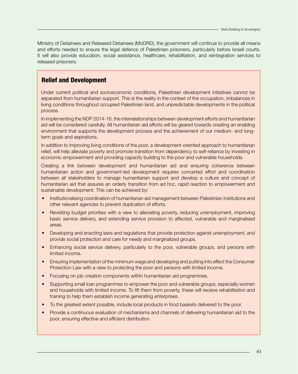Ministry of Detainees and Released Detainees (MoDRD), the government will continue to provide all means and efforts needed to ensure the legal defence of Palestinian prisoners, particularly before Israeli courts. It will also provide education, social assistance, healthcare, rehabilitation, and reintegration services to released prisoners.

# Relief and Development

Under current political and socioeconomic conditions, Palestinian development initiatives cannot be separated from humanitarian support. This is the reality in the context of the occupation, imbalances in living conditions throughout occupied Palestinian land, and unpredictable developments in the political process.

In implementing the NDP 2014-16, the interrelationships between development efforts and humanitarian aid will be considered carefully. All humanitarian aid efforts will be geared towards creating an enabling environment that supports the development process and the achievement of our medium- and longterm goals and aspirations.

In addition to improving living conditions of the poor, a development-oriented approach to humanitarian relief, will help alleviate poverty and promote transition from dependency to self-reliance by investing in economic empowerment and providing capacity building to the poor and vulnerable households.

Creating a link between development and humanitarian aid and ensuring coherence between humanitarian action and government-led development requires concerted effort and coordination between all stakeholders to manage humanitarian support and develop a culture and concept of humanitarian aid that assures an orderly transition from ad hoc, rapid reaction to empowerment and sustainable development. This can be achieved by:

- Institutionalising coordination of humanitarian aid management between Palestinian institutions and other relevant agencies to prevent duplication of efforts.
- Revisiting budget priorities with a view to alleviating poverty, reducing unemployment, improving basic service delivery, and extending service provision to affected, vulnerable and marginalised areas.
- Developing and enacting laws and regulations that provide protection against unemployment, and provide social protection and care for needy and marginalized groups.
- Enhancing social service delivery, particularly to the poor, vulnerable groups, and persons with limited income.
- Ensuring implementation of the minimum wage and developing and putting into effect the Consumer Protection Law with a view to protecting the poor and persons with limited income.
- Focusing on job creation components within humanitarian aid programmes.
- Supporting small loan programmes to empower the poor and vulnerable groups, especially women and households with limited income. To lift them from poverty, these will receive rehabilitation and training to help them establish income generating enterprises.
- To the greatest extent possible, include local products in food baskets delivered to the poor.
- Provide a continuous evaluation of mechanisms and channels of delivering humanitarian aid to the poor, ensuring effective and efficient distribution.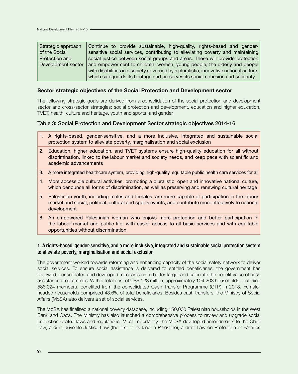| Strategic approach | Continue to provide sustainable, high-quality, rights-based and gender-                |
|--------------------|----------------------------------------------------------------------------------------|
| of the Social      | sensitive social services, contributing to alleviating poverty and maintaining         |
| Protection and     | social justice between social groups and areas. These will provide protection          |
| Development sector | and empowerment to children, women, young people, the elderly and people               |
|                    | with disabilities in a society governed by a pluralistic, innovative national culture, |
|                    | which safeguards its heritage and preserves its social cohesion and solidarity.        |

#### Sector strategic objectives of the Social Protection and Development sector

The following strategic goals are derived from a consolidation of the social protection and development sector and cross-sector strategies: social protection and development, education and higher education, TVET, health, culture and heritage, youth and sports, and gender.

#### Table 3: Social Protection and Development Sector strategic objectives 2014-16

- 1. A rights-based, gender-sensitive, and a more inclusive, integrated and sustainable social protection system to alleviate poverty, marginalisation and social exclusion
- 2. Education, higher education, and TVET systems ensure high-quality education for all without discrimination, linked to the labour market and society needs, and keep pace with scientific and academic advancements
- 3. A more integrated healthcare system, providing high-quality, equitable public health care services for all
- 4. More accessible cultural activities, promoting a pluralistic, open and innovative national culture, which denounce all forms of discrimination, as well as preserving and renewing cultural heritage
- 5. Palestinian youth, including males and females, are more capable of participation in the labour market and social, political, cultural and sports events, and contribute more effectively to national development
- 6. An empowered Palestinian woman who enjoys more protection and better participation in the labour market and public life, with easier access to all basic services and with equitable opportunities without discrimination

#### 1. A rights-based, gender-sensitive, and a more inclusive, integrated and sustainable social protection system to alleviate poverty, marginalisation and social exclusion

The government worked towards reforming and enhancing capacity of the social safety network to deliver social services. To ensure social assistance is delivered to entitled beneficiaries, the government has reviewed, consolidated and developed mechanisms to better target and calculate the benefit value of cash assistance programmes. With a total cost of US\$ 128 million, approximately 104,203 households, including 586,024 members, benefited from the consolidated Cash Transfer Programme (CTP) in 2013. Femaleheaded households comprised 43.6% of total beneficiaries. Besides cash transfers, the Ministry of Social Affairs (MoSA) also delivers a set of social services.

The MoSA has finalised a national poverty database, including 150,000 Palestinian households in the West Bank and Gaza. The Ministry has also launched a comprehensive process to review and upgrade social protection-related laws and regulations. Most importantly, the MoSA developed amendments to the Child Law, a draft Juvenile Justice Law (the first of its kind in Palestine), a draft Law on Protection of Families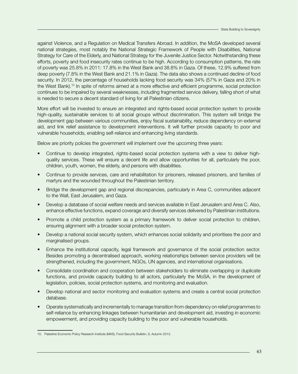against Violence, and a Regulation on Medical Transfers Abroad. In addition, the MoSA developed several national strategies, most notably the National Strategic Framework of People with Disabilities, National Strategy for Care of the Elderly, and National Strategy for the Juvenile Justice Sector. Notwithstanding these efforts, poverty and food insecurity rates continue to be high. According to consumption patterns, the rate of poverty was 25.8% in 2011: 17.8% in the West Bank and 38.8% in Gaza. Of these, 12.9% suffered from deep poverty (7.8% in the West Bank and 21.1% in Gaza). The data also shows a continued decline of food security. In 2012, the percentage of households lacking food security was 34% (57% in Gaza and 20% in the West Bank).<sup>10</sup> In spite of reforms aimed at a more effective and efficient programme, social protection continues to be impaired by several weaknesses, including fragmented service delivery, falling short of what is needed to secure a decent standard of living for all Palestinian citizens.

More effort will be invested to ensure an integrated and rights-based social protection system to provide high-quality, sustainable services to all social groups without discrimination. This system will bridge the development gap between various communities, enjoy fiscal sustainability, reduce dependency on external aid, and link relief assistance to development interventions. It will further provide capacity to poor and vulnerable households, enabling self-reliance and enhancing living standards.

Below are priority policies the government will implement over the upcoming three years:

- Continue to develop integrated, rights-based social protection systems with a view to deliver highquality services. These will ensure a decent life and allow opportunities for all, particularly the poor, children, youth, women, the elderly, and persons with disabilities.
- Continue to provide services, care and rehabilitation for prisoners, released prisoners, and families of martyrs and the wounded throughout the Palestinian territory.
- Bridge the development gap and regional discrepancies, particularly in Area C, communities adjacent to the Wall, East Jerusalem, and Gaza.
- Develop a database of social welfare needs and services available in East Jerusalem and Area C. Also, enhance effective functions, expand coverage and diversify services delivered by Palestinian institutions.
- Promote a child protection system as a primary framework to deliver social protection to children, ensuring alignment with a broader social protection system.
- Develop a national social security system, which enhances social solidarity and prioritises the poor and marginalised groups.
- Enhance the institutional capacity, legal framework and governance of the social protection sector. Besides promoting a decentralised approach, working relationships between service providers will be strengthened, including the government, NGOs, UN agencies, and international organisations.
- Consolidate coordination and cooperation between stakeholders to eliminate overlapping or duplicate functions, and provide capacity building to all actors, particularly the MoSA, in the development of legislation, policies, social protection systems, and monitoring and evaluation.
- Develop national and sector monitoring and evaluation systems and create a central social protection database.
- • Operate systematically and incrementally to manage transition from dependency on relief programmes to self-reliance by enhancing linkages between humanitarian and development aid, investing in economic empowerment, and providing capacity building to the poor and vulnerable households.

<sup>10.</sup> Palestine Economic Policy Research Institute (MAS), Food Security Bulletin, 9, Autumn 2013.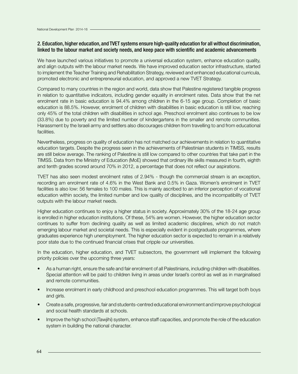#### 2. Education, higher education, and TVET systems ensure high-quality education for all without discrimination, linked to the labour market and society needs, and keep pace with scientific and academic advancements

We have launched various initiatives to promote a universal education system, enhance education quality, and align outputs with the labour market needs. We have improved education sector infrastructure, started to implement the Teacher Training and Rehabilitation Strategy, reviewed and enhanced educational curricula, promoted electronic and entrepreneurial education, and approved a new TVET Strategy.

Compared to many countries in the region and world, data show that Palestine registered tangible progress in relation to quantitative indicators, including gender equality in enrolment rates. Data show that the net enrolment rate in basic education is 94.4% among children in the 6-15 age group. Completion of basic education is 88.5%. However, enrolment of children with disabilities in basic education is still low, reaching only 45% of the total children with disabilities in school age. Preschool enrolment also continues to be low (33.8%) due to poverty and the limited number of kindergartens in the smaller and remote communities. Harassment by the Israeli army and settlers also discourages children from travelling to and from educational facilities.

Nevertheless, progress on quality of education has not matched our achievements in relation to quantitative education targets. Despite the progress seen in the achievements of Palestinian students in TIMSS, results are still below average. The ranking of Palestine is still low compared to other countries that take part in the TIMSS. Data from the Ministry of Education (MoE) showed that ordinary life skills measured in fourth, eighth and tenth grades scored around 70% in 2012, a percentage that does not reflect our aspirations.

TVET has also seen modest enrolment rates of 2.94% - though the commercial stream is an exception, recording am enrolment rate of 4.6% in the West Bank and 0.5% in Gaza. Women's enrolment in TVET facilities is also low: 56 females to 100 males. This is mainly ascribed to an inferior perception of vocational education within society, the limited number and low quality of disciplines, and the incompatibility of TVET outputs with the labour market needs.

Higher education continues to enjoy a higher status in society. Approximately 30% of the 18-24 age group is enrolled in higher education institutions. Of these, 54% are women. However, the higher education sector continues to suffer from declining quality as well as limited academic disciplines, which do not match emerging labour market and societal needs. This is especially evident in postgraduate programmes, where graduates experience high unemployment. The higher education sector is expected to remain in a relatively poor state due to the continued financial crises that cripple our universities.

In the education, higher education, and TVET subsectors, the government will implement the following priority policies over the upcoming three years:

- As a human right, ensure the safe and fair enrolment of all Palestinians, including children with disabilities. Special attention will be paid to children living in areas under Israel's control as well as in marginalised and remote communities.
- Increase enrolment in early childhood and preschool education programmes. This will target both boys and girls.
- Create a safe, progressive, fair and students-centred educational environment and improve psychological and social health standards at schools.
- Improve the high school (Tawiihi) system, enhance staff capacities, and promote the role of the education system in building the national character.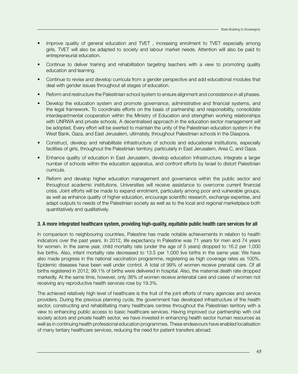- Improve quality of general education and TVET, increasing enrolment to TVET especially among girls. TVET will also be adapted to society and labour market needs. Attention will also be paid to entrepreneurial education.
- Continue to deliver training and rehabilitation targeting teachers with a view to promoting quality education and learning.
- Continue to revise and develop curricula from a gender perspective and add educational modules that deal with gender issues throughout all stages of education.
- Reform and restructure the Palestinian school system to ensure alignment and consistence in all phases.
- Develop the education system and promote governance, administrative and financial systems, and the legal framework. To coordinate efforts on the basis of partnership and responsibility, consolidate interdepartmental cooperation within the Ministry of Education and strengthen working relationships with UNRWA and private schools. A decentralised approach in the education sector management will be adopted. Every effort will be exerted to maintain the unity of the Palestinian education system in the West Bank, Gaza, and East Jerusalem, ultimately, throughout Palestinian schools in the Diaspora.
- Construct, develop and rehabilitate infrastructure of schools and educational institutions, especially facilities of girls, throughout the Palestinian territory, particularly in East Jerusalem, Area C, and Gaza.
- Enhance quality of education in East Jerusalem, develop education infrastructure, integrate a larger number of schools within the education apparatus, and confront efforts by Israel to distort Palestinian curricula.
- Reform and develop higher education management and governance within the public sector and throughout academic institutions. Universities will receive assistance to overcome current financial crisis. Joint efforts will be made to expand enrolment, particularly among poor and vulnerable groups, as well as enhance quality of higher education, encourage scientific research, exchange expertise, and adapt outputs to needs of the Palestinian society as well as to the local and regional marketplace both quantitatively and qualitatively.

#### 3. A more integrated healthcare system, providing high-quality, equitable public health care services for all

In comparison to neighbouring countries, Palestine has made notable achievements in relation to health indicators over the past years. In 2012, life expectancy in Palestine was 71 years for men and 74 years for women. In the same year, child mortality rate (under the age of 5 years) dropped to 16.2 per 1,000 live births. Also, infant mortality rate decreased to 13.5 per 1,000 live births in the same year. We have also made progress in the national vaccination programme, registering as high coverage rates as 100%. Epidemic diseases have been well under control. A total of 99% of women receive prenatal care. Of all births registered in 2012, 99.1% of births were delivered in hospital. Also, the maternal death rate dropped markedly. At the same time, however, only 38% of women receive antenatal care and cases of women not receiving any reproductive health services rose by 19.3%.

The achieved relatively high level of healthcare is the fruit of the joint efforts of many agencies and service providers. During the previous planning cycle, the government has developed infrastructure of the health sector, constructing and rehabilitating many healthcare centres throughout the Palestinian territory with a view to enhancing public access to basic healthcare services. Having improved our partnership with civil society actors and private health sector, we have invested in enhancing health sector human resources as well as in continuing health professional education programmes. These endeavours have enabled localisation of many tertiary healthcare services, reducing the need for patient transfers abroad.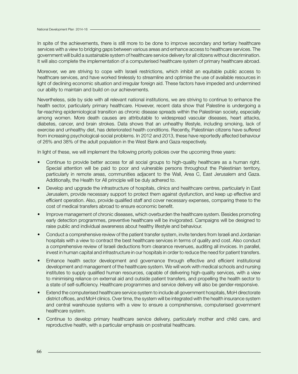In spite of the achievements, there is still more to be done to improve secondary and tertiary healthcare services with a view to bridging gaps between various areas and enhance access to healthcare services. The government will build a sustainable system of healthcare service delivery for all citizens without discrimination. It will also complete the implementation of a computerised healthcare system of primary healthcare abroad.

Moreover, we are striving to cope with Israeli restrictions, which inhibit an equitable public access to healthcare services, and have worked tirelessly to streamline and optimise the use of available resources in light of declining economic situation and irregular foreign aid. These factors have impeded and undermined our ability to maintain and build on our achievements.

Nevertheless, side by side with all relevant national institutions, we are striving to continue to enhance the health sector, particularly primary healthcare. However, recent data show that Palestine is undergoing a far-reaching epidemiological transition as chronic disease spreads within the Palestinian society, especially among women. More death causes are attributable to widespread vascular diseases, heart attacks, diabetes, cancer, and brain strokes. Data shows that an unhealthy lifestyle, including smoking, lack of exercise and unhealthy diet, has deteriorated health conditions. Recently, Palestinian citizens have suffered from increasing psychological-social problems. In 2012 and 2013, these have reportedly affected behaviour of 26% and 38% of the adult population in the West Bank and Gaza respectively.

In light of these, we will implement the following priority policies over the upcoming three years:

- • Continue to provide better access for all social groups to high-quality healthcare as a human right. Special attention will be paid to poor and vulnerable persons throughout the Palestinian territory, particularly in remote areas, communities adjacent to the Wall, Area C, East Jerusalem and Gaza. Additionally, the Health for All principle will be duly adhered to.
- Develop and upgrade the infrastructure of hospitals, clinics and healthcare centres, particularly in East Jerusalem, provide necessary support to protect them against dysfunction, and keep up effective and efficient operation. Also, provide qualified staff and cover necessary expenses, comparing these to the cost of medical transfers abroad to ensure economic benefit.
- Improve management of chronic diseases, which overburden the healthcare system. Besides promoting early detection programmes, preventive healthcare will be invigorated. Campaigns will be designed to raise public and individual awareness about healthy lifestyle and behaviour.
- Conduct a comprehensive review of the patient transfer system, invite tenders from Israeli and Jordanian hospitals with a view to contract the best healthcare services in terms of quality and cost. Also conduct a comprehensive review of Israeli deductions from clearance revenues, auditing all invoices. In parallel, invest in human capital and infrastructure in our hospitals in order to reduce the need for patient transfers.
- Enhance health sector development and governance through effective and efficient institutional development and management of the healthcare system. We will work with medical schools and nursing institutes to supply qualified human resources, capable of delivering high-quality services, with a view to minimising reliance on external aid and outside patient transfers, and propelling the health sector to a state of self-sufficiency. Healthcare programmes and service delivery will also be gender-responsive.
- Extend the computerised healthcare service system to include all government hospitals, MoH directorate district offices, and MoH clinics. Over time, the system will be integrated with the health insurance system and central warehouse systems with a view to ensure a comprehensive, computerised government healthcare system.
- Continue to develop primary healthcare service delivery, particularly mother and child care, and reproductive health, with a particular emphasis on postnatal healthcare.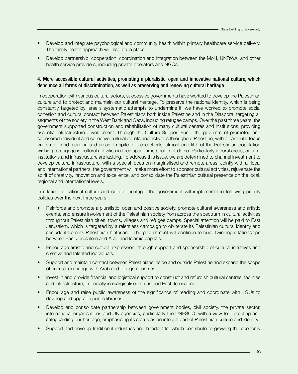- Develop and integrate psychological and community health within primary healthcare service delivery. The family health approach will also be in place.
- Develop partnership, cooperation, coordination and integration between the MoH, UNRWA, and other health service providers, including private operators and NGOs.

#### 4. More accessible cultural activities, promoting a pluralistic, open and innovative national culture, which denounce all forms of discrimination, as well as preserving and renewing cultural heritage

In cooperation with various cultural actors, successive governments have worked to develop the Palestinian culture and to protect and maintain our cultural heritage. To preserve the national identity, which is being constantly targeted by Israel's systematic attempts to undermine it, we have worked to promote social cohesion and cultural contact between Palestinians both inside Palestine and in the Diaspora, targeting all segments of the society in the West Bank and Gaza, including refugee camps. Over the past three years, the government supported construction and rehabilitation of many cultural centres and institutions, providing essential infrastructure development. Through the Culture Support Fund, the government promoted and sponsored individual and collective cultural events and activities throughout Palestine, with a particular focus on remote and marginalised areas. In spite of these efforts, almost one fifth of the Palestinian population wishing to engage is cultural activities in their spare time could not do so. Particularly in rural areas, cultural institutions and infrastructure are lacking. To address this issue, we are determined to channel investment to develop cultural infrastructure, with a special focus on marginalised and remote areas. Jointly with all local and international partners, the government will make more effort to sponsor cultural activities, rejuvenate the spirit of creativity, innovation and excellence, and consolidate the Palestinian cultural presence on the local, regional and international levels.

In relation to national culture and cultural heritage, the government will implement the following priority policies over the next three years:

- Reinforce and promote a pluralistic, open and positive society, promote cultural awareness and artistic events, and ensure involvement of the Palestinian society from across the spectrum in cultural activities throughout Palestinian cities, towns, villages and refugee camps. Special attention will be paid to East Jerusalem, which is targeted by a relentless campaign to obliterate its Palestinian cultural identity and seclude it from its Palestinian hinterland. The government will continue to build twinning relationships between East Jerusalem and Arab and Islamic capitals.
- Encourage artistic and cultural expression, through support and sponsorship of cultural initiatives and creative and talented individuals.
- • Support and maintain contact between Palestinians inside and outside Palestine and expand the scope of cultural exchange with Arab and foreign countries.
- Invest in and provide financial and logistical support to construct and refurbish cultural centres, facilities and infrastructure, especially in marginalised areas and East Jerusalem.
- Encourage and raise public awareness of the significance of reading and coordinate with LGUs to develop and upgrade public libraries.
- Develop and consolidate partnership between government bodies, civil society, the private sector, international organisations and UN agencies, particularly the UNESCO, with a view to protecting and safeguarding our heritage, emphasising its status as an integral part of Palestinian culture and identity.
- Support and develop traditional industries and handcrafts, which contribute to growing the economy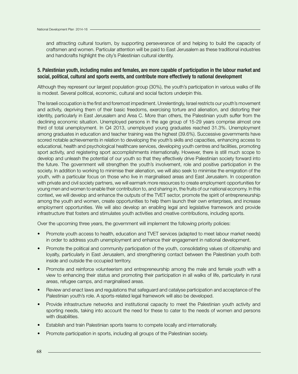and attracting cultural tourism, by supporting perseverance of and helping to build the capacity of craftsmen and women. Particular attention will be paid to East Jerusalem as these traditional industries and handcrafts highlight the city's Palestinian cultural identity.

#### 5. Palestinian youth, including males and females, are more capable of participation in the labour market and social, political, cultural and sports events, and contribute more effectively to national development

Although they represent our largest population group (30%), the youth's participation in various walks of life is modest. Several political, economic, cultural and social factors underpin this.

The Israeli occupation is the first and foremost impediment. Unrelentingly, Israel restricts our youth's movement and activity, depriving them of their basic freedoms, exercising torture and alienation, and distorting their identity, particularly in East Jerusalem and Area C. More than others, the Palestinian youth suffer from the declining economic situation. Unemployed persons in the age group of 15-29 years comprise almost one third of total unemployment. In Q4 2013, unemployed young graduates reached 31.3%. Unemployment among graduates in education and teacher training was the highest (39.6%). Successive governments have scored notable achievements in relation to developing the youth's skills and capacities, enhancing access to educational, health and psychological healthcare services, developing youth centres and facilities, promoting sport activity, and registering sport accomplishments internationally. However, there is still much scope to develop and unleash the potential of our youth so that they effectively drive Palestinian society forward into the future. The government will strengthen the youth's involvement, role and positive participation in the society. In addition to working to minimise their alienation, we will also seek to minimise the emigration of the youth, with a particular focus on those who live in marginalised areas and East Jerusalem. In cooperation with private and civil society partners, we will earmark more resources to create employment opportunities for young men and women to enable their contribution to, and sharing in, the fruits of our national economy. In this context, we will develop and enhance the outputs of the TVET sector, promote the spirit of entrepreneurship among the youth and women, create opportunities to help them launch their own enterprises, and increase employment opportunities. We will also develop an enabling legal and legislative framework and provide infrastructure that fosters and stimulates youth activities and creative contributions, including sports.

Over the upcoming three years, the government will implement the following priority policies:

- Promote youth access to health, education and TVET services (adapted to meet labour market needs) in order to address youth unemployment and enhance their engagement in national development.
- Promote the political and community participation of the youth, consolidating values of citizenship and loyalty, particularly in East Jerusalem, and strengthening contact between the Palestinian youth both inside and outside the occupied territory.
- Promote and reinforce volunteerism and entrepreneurship among the male and female youth with a view to enhancing their status and promoting their participation in all walks of life, particularly in rural areas, refugee camps, and marginalised areas.
- Review and enact laws and regulations that safeguard and catalyse participation and acceptance of the Palestinian youth's role. A sports-related legal framework will also be developed.
- Provide infrastructure networks and institutional capacity to meet the Palestinian youth activity and sporting needs, taking into account the need for these to cater to the needs of women and persons with disabilities.
- Establish and train Palestinian sports teams to compete locally and internationally.
- Promote participation in sports, including all groups of the Palestinian society.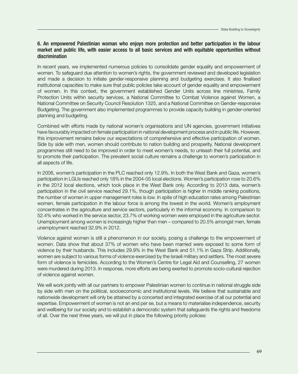#### 6. An empowered Palestinian woman who enjoys more protection and better participation in the labour market and public life, with easier access to all basic services and with equitable opportunities without discrimination

In recent years, we implemented numerous policies to consolidate gender equality and empowerment of women. To safeguard due attention to women's rights, the government reviewed and developed legislation and made a decision to initiate gender-responsive planning and budgeting exercises. It also finalised institutional capacities to make sure that public policies take account of gender equality and empowerment of women. In this context, the government established Gender Units across line ministries, Family Protection Units within security services, a National Committee to Combat Violence against Women, a National Committee on Security Council Resolution 1325, and a National Committee on Gender-responsive Budgeting. The government also implemented programmes to provide capacity building in gender-oriented planning and budgeting.

Combined with efforts made by national women's organisations and UN agencies, government initiatives have favourably impacted on female participation in national development process and in public life. However, this improvement remains below our expectations of comprehensive and effective participation of women. Side by side with men, women should contribute to nation building and prosperity. National development programmes still need to be improved in order to meet women's needs, to unleash their full potential, and to promote their participation. The prevalent social culture remains a challenge to women's participation in all aspects of life.

In 2006, women's participation in the PLC reached only 12.9%. In both the West Bank and Gaza, women's participation in LGUs reached only 18% in the 2004-05 local elections. Women's participation rose to 20.6% in the 2012 local elections, which took place in the West Bank only. According to 2013 data, women's participation in the civil service reached 29.1%, though participation is higher in middle ranking positions, the number of women in upper management roles is low. In spite of high education rates among Palestinian women, female participation in the labour force is among the lowest in the world. Women's employment concentrates in the agriculture and service sectors, particularly in the informal economy. In comparison to 52.4% who worked in the service sector, 23.7% of working women were employed in the agriculture sector. Unemployment among women is increasingly higher than men – compared to 20.5% amongst men, female unemployment reached 32.9% in 2012.

Violence against women is still a phenomenon in our society, posing a challenge to the empowerment of women. Data show that about 37% of women who have been married were exposed to some form of violence by their husbands. This includes 29.9% in the West Bank and 51.1% in Gaza Strip. Additionally, women are subject to various forms of violence exercised by the Israeli military and settlers. The most severe form of violence is femicides. According to the Women's Centre for Legal Aid and Counselling, 27 women were murdered during 2013. In response, more efforts are being exerted to promote socio-cultural rejection of violence against women.

We will work jointly with all our partners to empower Palestinian women to continue in national struggle side by side with men on the political, socioeconomic and institutional levels. We believe that sustainable and nationwide development will only be attained by a concerted and integrated exercise of all our potential and expertise. Empowerment of women is not an end per se, but a means to materialise independence, security and wellbeing for our society and to establish a democratic system that safeguards the rights and freedoms of all. Over the next three years, we will put in place the following priority policies: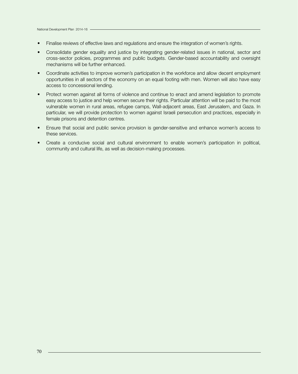- Finalise reviews of effective laws and regulations and ensure the integration of women's rights.
- Consolidate gender equality and justice by integrating gender-related issues in national, sector and cross-sector policies, programmes and public budgets. Gender-based accountability and oversight mechanisms will be further enhanced.
- Coordinate activities to improve women's participation in the workforce and allow decent employment opportunities in all sectors of the economy on an equal footing with men. Women will also have easy access to concessional lending.
- Protect women against all forms of violence and continue to enact and amend legislation to promote easy access to justice and help women secure their rights. Particular attention will be paid to the most vulnerable women in rural areas, refugee camps, Wall-adjacent areas, East Jerusalem, and Gaza. In particular, we will provide protection to women against Israeli persecution and practices, especially in female prisons and detention centres.
- Ensure that social and public service provision is gender-sensitive and enhance women's access to these services.
- Create a conducive social and cultural environment to enable women's participation in political, community and cultural life, as well as decision-making processes.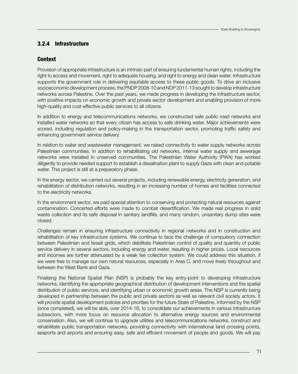# 3.2.4 Infrastructure

#### **Context**

Provision of appropriate infrastructure is an intrinsic part of ensuring fundamental human rights, including the right to access and movement, right to adequate housing, and right to energy and clean water. Infrastructure supports the government role in delivering equitable access to these public goods. To drive an inclusive socioeconomic development process, the PNDP 2008-10 and NDP 2011-13 sought to develop infrastructure networks across Palestine. Over the past years, we made progress in developing the infrastructure sector, with positive impacts on economic growth and private sector development and enabling provision of more high-quality and cost-effective public services to all citizens.

In addition to energy and telecommunications networks, we constructed safe public road networks and installed water networks so that every citizen has access to safe drinking water. Major achievements were scored, including regulation and policy-making in the transportation sector, promoting traffic safety and enhancing government service delivery.

In relation to water and wastewater management, we raised connectivity to water supply networks across Palestinian communities. In addition to rehabilitating old networks, internal water supply and sewerage networks were installed in unserved communities. The Palestinian Water Authority (PWA) has worked diligently to provide needed support to establish a desalination plant to supply Gaza with clean and potable water. This project is still at a preparatory phase.

In the energy sector, we carried out several projects, including renewable energy, electricity generation, and rehabilitation of distribution networks, resulting in an increasing number of homes and facilities connected to the electricity networks.

In the environment sector, we paid special attention to conserving and protecting natural resources against contamination. Concerted efforts were made to combat desertification. We made real progress in solid waste collection and its safe disposal in sanitary landfills, and many random, unsanitary dump sites were closed.

Challenges remain in ensuring infrastructure connectivity in regional networks and in construction and rehabilitation of key infrastructure systems. We continue to face the challenge of compulsory connection between Palestinian and Israeli grids, which debilitate Palestinian control of quality and quantity of public service delivery in several sectors, including energy and water, resulting in higher prices. Local resources and incomes are further attenuated by a weak fee collection system. We could address this situation, if we were free to manage our own natural resources, especially in Area C, and move freely throughout and between the West Bank and Gaza.

Finalising the National Spatial Plan (NSP) is probably the key entry-point to developing infrastructure networks, identifying the appropriate geographical distribution of development interventions and the spatial distribution of public services, and identifying urban or economic growth areas. The NSP is currently being developed in partnership between the public and private sectors as well as relevant civil society actors. It will provide spatial development policies and priorities for the future State of Palestine. Informed by the NSP (once completed), we will be able, over 2014-16, to consolidate our achievements in various infrastructure subsectors, with more focus on resource allocation to alternative energy sources and environmental conservation. Also, we will continue to upgrade utilities and telecommunications networks, construct and rehabilitate public transportation networks, providing connectivity with international land crossing points, seaports and airports and ensuring easy, safe and efficient movement of people and goods. We will pay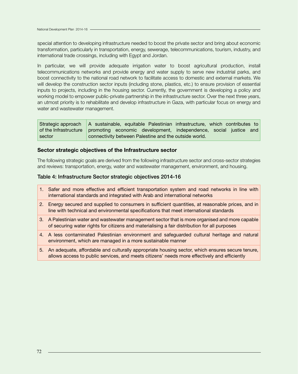special attention to developing infrastructure needed to boost the private sector and bring about economic transformation, particularly in transportation, energy, sewerage, telecommunications, tourism, industry, and international trade crossings, including with Egypt and Jordan.

In particular, we will provide adequate irrigation water to boost agricultural production, install telecommunications networks and provide energy and water supply to serve new industrial parks, and boost connectivity to the national road network to facilitate access to domestic and external markets. We will develop the construction sector inputs (including stone, plastics, etc.) to ensure provision of essential inputs to projects, including in the housing sector. Currently, the government is developing a policy and working model to empower public-private partnership in the infrastructure sector. Over the next three years, an utmost priority is to rehabilitate and develop infrastructure in Gaza, with particular focus on energy and water and wastewater management.

Strategic approach of the Infrastructure sector A sustainable, equitable Palestinian infrastructure, which contributes to promoting economic development, independence, social justice and connectivity between Palestine and the outside world.

#### Sector strategic objectives of the Infrastructure sector

The following strategic goals are derived from the following infrastructure sector and cross-sector strategies and reviews: transportation, energy, water and wastewater management, environment, and housing.

#### Table 4: Infrastructure Sector strategic objectives 2014-16

- 1. Safer and more effective and efficient transportation system and road networks in line with international standards and integrated with Arab and international networks
- 2. Energy secured and supplied to consumers in sufficient quantities, at reasonable prices, and in line with technical and environmental specifications that meet international standards
- 3. A Palestinian water and wastewater management sector that is more organised and more capable of securing water rights for citizens and materialising a fair distribution for all purposes
- 4. A less contaminated Palestinian environment and safeguarded cultural heritage and natural environment, which are managed in a more sustainable manner
- 5. An adequate, affordable and culturally appropriate housing sector, which ensures secure tenure, allows access to public services, and meets citizens' needs more effectively and efficiently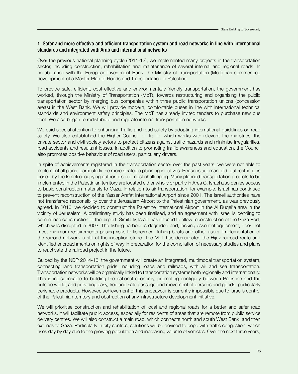#### 1. Safer and more effective and efficient transportation system and road networks in line with international standards and integrated with Arab and international networks

Over the previous national planning cycle (2011-13), we implemented many projects in the transportation sector, including construction, rehabilitation and maintenance of several internal and regional roads. In collaboration with the European Investment Bank, the Ministry of Transportation (MoT) has commenced development of a Master Plan of Roads and Transportation in Palestine.

To provide safe, efficient, cost-effective and environmentally-friendly transportation, the government has worked, through the Ministry of Transportation (MoT), towards restructuring and organising the public transportation sector by merging bus companies within three public transportation unions (concession areas) in the West Bank. We will provide modern, comfortable buses in line with international technical standards and environment safety principles. The MoT has already invited tenders to purchase new bus fleet. We also began to redistribute and regulate internal transportation networks.

We paid special attention to enhancing traffic and road safety by adopting international guidelines on road safety. We also established the Higher Council for Traffic, which works with relevant line ministries, the private sector and civil society actors to protect citizens against traffic hazards and minimise irregularities, road accidents and resultant losses. In addition to promoting traffic awareness and education, the Council also promotes positive behaviour of road users, particularly drivers.

In spite of achievements registered in the transportation sector over the past years, we were not able to implement all plans, particularly the more strategic planning initiatives. Reasons are manifold, but restrictions posed by the Israeli occupying authorities are most challenging. Many planned transportation projects to be implemented in the Palestinian territory are located either wholly or partly in Area C. Israel also denies access to basic construction materials to Gaza. In relation to air transportation, for example, Israel has continued to prevent reconstruction of the Yasser Arafat International Airport since 2001. The Israeli authorities have not transferred responsibility over the Jerusalem Airport to the Palestinian government, as was previously agreed. In 2010, we decided to construct the Palestine International Airport in the Al Buqei'a area in the vicinity of Jerusalem. A preliminary study has been finalised, and an agreement with Israel is pending to commence construction of the airport. Similarly, Israel has refused to allow reconstruction of the Gaza Port, which was disrupted in 2003. The fishing harbour is degraded and, lacking essential equipment, does not meet minimum requirements posing risks to fishermen, fishing boats and other users. Implementation of the railroad network is still at the inception stage. The MoT has demarcated the Hijaz railroad route and identified encroachments on rights of way in preparation for the compilation of necessary studies and plans to reactivate the railroad project in the future.

Guided by the NDP 2014-16, the government will create an integrated, multimodal transportation system, connecting land transportation grids, including roads and railroads, with air and sea transportation. Transportation networks will be organically linked to transportation systems both regionally and internationally. This is indispensable to building the national economy, promoting contiguity between Palestine and the outside world, and providing easy, free and safe passage and movement of persons and goods, particularly perishable products. However, achievement of this endeavour is currently impossible due to Israel's control of the Palestinian territory and obstruction of any infrastructure development initiative.

We will prioritise construction and rehabilitation of local and regional roads for a better and safer road networks. It will facilitate public access, especially for residents of areas that are remote from public service delivery centres. We will also construct a main road, which connects north and south West Bank, and then extends to Gaza. Particularly in city centres, solutions will be devised to cope with traffic congestion, which rises day by day due to the growing population and increasing volume of vehicles. Over the next three years,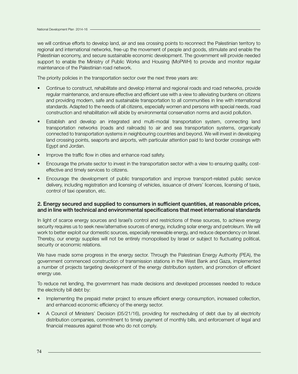we will continue efforts to develop land, air and sea crossing points to reconnect the Palestinian territory to regional and international networks, free-up the movement of people and goods, stimulate and enable the Palestinian economy, and secure sustainable economic development. The government will provide needed support to enable the Ministry of Public Works and Housing (MoPWH) to provide and monitor regular maintenance of the Palestinian road network.

The priority policies in the transportation sector over the next three years are:

- Continue to construct, rehabilitate and develop internal and regional roads and road networks, provide regular maintenance, and ensure effective and efficient use with a view to alleviating burdens on citizens and providing modern, safe and sustainable transportation to all communities in line with international standards. Adapted to the needs of all citizens, especially women and persons with special needs, road construction and rehabilitation will abide by environmental conservation norms and avoid pollution.
- Establish and develop an integrated and multi-modal transportation system, connecting land transportation networks (roads and railroads) to air and sea transportation systems, organically connected to transportation systems in neighbouring countries and beyond. We will invest in developing land crossing points, seaports and airports, with particular attention paid to land border crossings with Egypt and Jordan.
- Improve the traffic flow in cities and enhance road safety.
- Encourage the private sector to invest in the transportation sector with a view to ensuring quality, costeffective and timely services to citizens.
- Encourage the development of public transportation and improve transport-related public service delivery, including registration and licensing of vehicles, issuance of drivers' licences, licensing of taxis, control of taxi operation, etc.

#### 2. Energy secured and supplied to consumers in sufficient quantities, at reasonable prices, and in line with technical and environmental specifications that meet international standards

In light of scarce energy sources and Israel's control and restrictions of these sources, to achieve energy security requires us to seek new/alternative sources of energy, including solar energy and petroleum. We will work to better exploit our domestic sources, especially renewable energy, and reduce dependency on Israel. Thereby, our energy supplies will not be entirely monopolised by Israel or subject to fluctuating political, security or economic relations.

We have made some progress in the energy sector. Through the Palestinian Energy Authority (PEA), the government commenced construction of transmission stations in the West Bank and Gaza, implemented a number of projects targeting development of the energy distribution system, and promotion of efficient energy use.

To reduce net lending, the government has made decisions and developed processes needed to reduce the electricity bill debt by:

- Implementing the prepaid meter project to ensure efficient energy consumption, increased collection, and enhanced economic efficiency of the energy sector.
- A Council of Ministers' Decision (05/21/16), providing for rescheduling of debt due by all electricity distribution companies, commitment to timely payment of monthly bills, and enforcement of legal and financial measures against those who do not comply.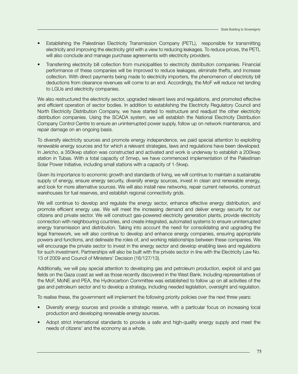- Establishing the Palestinian Electricity Transmission Company (PETL), responsible for transmitting electricity and improving the electricity grid with a view to reducing leakages. To reduce prices, the PETL will also conclude and manage purchase agreements with electricity providers.
- Transferring electricity bill collection from municipalities to electricity distribution companies. Financial performance of these companies will be improved to reduce leakages, eliminate thefts, and increase collection. With direct payments being made to electricity importers, the phenomenon of electricity bill deductions from clearance revenues will come to an end. Accordingly, the MoF will reduce net lending to LGUs and electricity companies.

We also restructured the electricity sector, upgraded relevant laws and regulations, and promoted effective and efficient operation of sector bodies. In addition to establishing the Electricity Regulatory Council and North Electricity Distribution Company, we have started to restructure and readjust the other electricity distribution companies. Using the SCADA system, we will establish the National Electricity Distribution Company Control Centre to ensure an uninterrupted power supply, follow up on network maintenance, and repair damage on an ongoing basis.

To diversify electricity sources and promote energy independence, we paid special attention to exploiting renewable energy sources and for which a relevant strategies, laws and regulations have been developed. In Jericho, a 350kwp station was constructed and activated and work is underway to establish a 200kwp station in Tubas. With a total capacity of 5mwp, we have commenced implementation of the Palestinian Solar Power Initiative, including small stations with a capacity of 1-5kwp.

Given its importance to economic growth and standards of living, we will continue to maintain a sustainable supply of energy, ensure energy security, diversify energy sources, invest in clean and renewable energy, and look for more alternative sources. We will also install new networks, repair current networks, construct warehouses for fuel reserves, and establish regional connectivity grids.

We will continue to develop and regulate the energy sector, enhance effective energy distribution, and promote efficient energy use. We will meet the increasing demand and deliver energy security for our citizens and private sector. We will construct gas-powered electricity generation plants, provide electricity connection with neighbouring countries, and create integrated, automated systems to ensure uninterrupted energy transmission and distribution. Taking into account the need for consolidating and upgrading the legal framework, we will also continue to develop and enhance energy companies, ensuring appropriate powers and functions, and delineate the roles of, and working relationships between these companies. We will encourage the private sector to invest in the energy sector and develop enabling laws and regulations for such investment. Partnerships will also be built with the private sector in line with the Electricity Law No. 13 of 2009 and Council of Ministers' Decision (16/127/13).

Additionally, we will pay special attention to developing gas and petroleum production, exploit oil and gas fields on the Gaza coast as well as those recently discovered in the West Bank. Including representatives of the MoF, MoNE and PEA, the Hydrocarbon Committee was established to follow up on all activities of the gas and petroleum sector and to develop a strategy, including needed legislation, oversight and regulation.

To realise these, the government will implement the following priority policies over the next three years:

- Diversify energy sources and provide a strategic reserve, with a particular focus on increasing local production and developing renewable energy sources.
- Adopt strict international standards to provide a safe and high-quality energy supply and meet the needs of citizens' and the economy as a whole.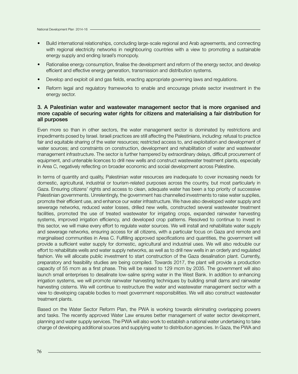- Build international relationships, concluding large-scale regional and Arab agreements, and connecting with regional electricity networks in neighbouring countries with a view to promoting a sustainable energy supply and ending Israel's monopoly.
- Rationalise energy consumption, finalise the development and reform of the energy sector, and develop efficient and effective energy generation, transmission and distribution systems.
- Develop and exploit oil and gas fields, enacting appropriate governing laws and regulations.
- Reform legal and regulatory frameworks to enable and encourage private sector investment in the energy sector.

#### 3. A Palestinian water and wastewater management sector that is more organised and more capable of securing water rights for citizens and materialising a fair distribution for all purposes

Even more so than in other sectors, the water management sector is dominated by restrictions and impediments posed by Israel. Israeli practices are still affecting the Palestinians, including: refusal to practice fair and equitable sharing of the water resources; restricted access to, and exploitation and development of water sources; and constraints on construction, development and rehabilitation of water and wastewater management infrastructure. The sector is further hampered by extraordinary delays, difficult procurement of equipment, and untenable licences to drill new wells and construct wastewater treatment plants, especially in Area C, negatively reflecting on broader economic and social development across Palestine.

In terms of quantity and quality, Palestinian water resources are inadequate to cover increasing needs for domestic, agricultural, industrial or tourism-related purposes across the country, but most particularly in Gaza. Ensuring citizens' rights and access to clean, adequate water has been a top priority of successive Palestinian governments. Unrelentingly, the government has channelled investments to raise water supplies, promote their efficient use, and enhance our water infrastructure. We have also developed water supply and sewerage networks, reduced water losses, drilled new wells, constructed several wastewater treatment facilities, promoted the use of treated wastewater for irrigating crops, expanded rainwater harvesting systems, improved irrigation efficiency, and developed crop patterns. Resolved to continue to invest in this sector, we will make every effort to regulate water sources. We will install and rehabilitate water supply and sewerage networks, ensuring access for all citizens, with a particular focus on Gaza and remote and marginalised communities in Area C. Fulfilling approved specifications and quantities, the government will provide a sufficient water supply for domestic, agricultural and industrial uses. We will also redouble our effort to rehabilitate wells and water supply networks, as well as to drill new wells in an orderly and regulated fashion. We will allocate public investment to start construction of the Gaza desalination plant. Currently, preparatory and feasibility studies are being compiled. Towards 2017, the plant will provide a production capacity of 55 mcm as a first phase. This will be raised to 129 mcm by 2035. The government will also launch small enterprises to desalinate low-saline spring water in the West Bank. In addition to enhancing irrigation systems, we will promote rainwater harvesting techniques by building small dams and rainwater harvesting cisterns. We will continue to restructure the water and wastewater management sector with a view to developing capable bodies to meet government responsibilities. We will also construct wastewater treatment plants.

Based on the Water Sector Reform Plan, the PWA is working towards eliminating overlapping powers and tasks. The recently approved Water Law ensures better management of water sector development, planning and water supply services. The PWA will also work to establish a national water undertaking to take charge of developing additional sources and supplying water to distribution agencies. In Gaza, the PWA and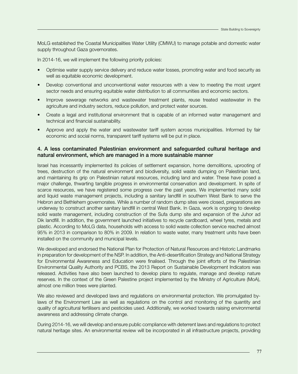MoLG established the Coastal Municipalities Water Utility (CMWU) to manage potable and domestic water supply throughout Gaza governorates.

In 2014-16, we will implement the following priority policies:

- • Optimise water supply service delivery and reduce water losses, promoting water and food security as well as equitable economic development.
- Develop conventional and unconventional water resources with a view to meeting the most urgent sector needs and ensuring equitable water distribution to all communities and economic sectors.
- Improve sewerage networks and wastewater treatment plants, reuse treated wastewater in the agriculture and industry sectors, reduce pollution, and protect water sources.
- Create a legal and institutional environment that is capable of an informed water management and technical and financial sustainability.
- Approve and apply the water and wastewater tariff system across municipalities. Informed by fair economic and social norms, transparent tariff systems will be put in place.

#### 4. A less contaminated Palestinian environment and safeguarded cultural heritage and natural environment, which are managed in a more sustainable manner

Israel has incessantly implemented its policies of settlement expansion, home demolitions, uprooting of trees, destruction of the natural environment and biodiversity, solid waste dumping on Palestinian land, and maintaining its grip on Palestinian natural resources, including land and water. These have posed a major challenge, thwarting tangible progress in environmental conservation and development. In spite of scarce resources, we have registered some progress over the past years. We implemented many solid and liquid waste management projects, including a sanitary landfill in southern West Bank to serve the Hebron and Bethlehem governorates. While a number of random dump sites were closed, preparations are underway to construct another sanitary landfill in central West Bank. In Gaza, work is ongoing to develop solid waste management, including construction of the Sufa dump site and expansion of the Juhor ad Dik landfill. In addition, the government launched initiatives to recycle cardboard, wheel tyres, metals and plastic. According to MoLG data, households with access to solid waste collection service reached almost 95% in 2013 in comparison to 80% in 2009. In relation to waste water, many treatment units have been installed on the community and municipal levels.

We developed and endorsed the National Plan for Protection of Natural Resources and Historic Landmarks in preparation for development of the NSP. In addition, the Anti-desertification Strategy and National Strategy for Environmental Awareness and Education were finalised. Through the joint efforts of the Palestinian Environmental Quality Authority and PCBS, the 2013 Report on Sustainable Development Indicators was released. Activities have also been launched to develop plans to regulate, manage and develop nature reserves. In the context of the Green Palestine project implemented by the Ministry of Agriculture (MoA), almost one million trees were planted.

We also reviewed and developed laws and regulations on environmental protection. We promulgated bylaws of the Environment Law as well as regulations on the control and monitoring of the quantity and quality of agricultural fertilisers and pesticides used. Additionally, we worked towards raising environmental awareness and addressing climate change.

During 2014-16, we will develop and ensure public compliance with deterrent laws and regulations to protect natural heritage sites. An environmental review will be incorporated in all infrastructure projects, providing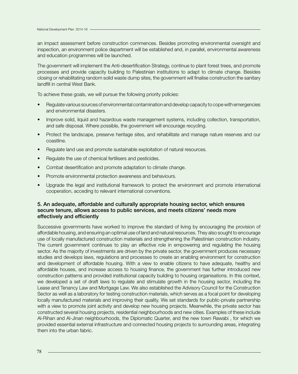an impact assessment before construction commences. Besides promoting environmental oversight and inspection, an environment police department will be established and, in parallel, environmental awareness and education programmes will be launched.

The government will implement the Anti-desertification Strategy, continue to plant forest trees, and promote processes and provide capacity building to Palestinian institutions to adapt to climate change. Besides closing or rehabilitating random solid waste dump sites, the government will finalise construction the sanitary landfill in central West Bank.

To achieve these goals, we will pursue the following priority policies:

- Regulate various sources of environmental contamination and develop capacity to cope with emergencies and environmental disasters.
- Improve solid, liquid and hazardous waste management systems, including collection, transportation, and safe disposal. Where possible, the government will encourage recycling.
- Protect the landscape, preserve heritage sites, and rehabilitate and manage nature reserves and our coastline.
- Regulate land use and promote sustainable exploitation of natural resources.
- Regulate the use of chemical fertilisers and pesticides.
- Combat desertification and promote adaptation to climate change.
- Promote environmental protection awareness and behaviours.
- Upgrade the legal and institutional framework to protect the environment and promote international cooperation, acceding to relevant international conventions.

#### 5. An adequate, affordable and culturally appropriate housing sector, which ensures secure tenure, allows access to public services, and meets citizens' needs more effectively and efficiently

Successive governments have worked to improve the standard of living by encouraging the provision of affordable housing, and ensuring an optimal use of land and natural resources. They also sought to encourage use of locally manufactured construction materials and strengthening the Palestinian construction industry. The current government continues to play an effective role in empowering and regulating the housing sector. As the majority of investments are driven by the private sector, the government produces necessary studies and develops laws, regulations and processes to create an enabling environment for construction and development of affordable housing. With a view to enable citizens to have adequate, healthy and affordable houses, and increase access to housing finance, the government has further introduced new construction patterns and provided institutional capacity building to housing organisations. In this context, we developed a set of draft laws to regulate and stimulate growth in the housing sector, including the Lease and Tenancy Law and Mortgage Law. We also established the Advisory Council for the Construction Sector as well as a laboratory for testing construction materials, which serves as a focal point for developing locally manufactured materials and improving their quality. We set standards for public-private partnership with a view to promote joint activity and develop new housing projects. Meanwhile, the private sector has constructed several housing projects, residential neighbourhoods and new cities. Examples of these include Al-Rihan and Al-Jinan neighbourhoods, the Diplomatic Quarter, and the new town Rawabi , for which we provided essential external infrastructure and connected housing projects to surrounding areas, integrating them into the urban fabric.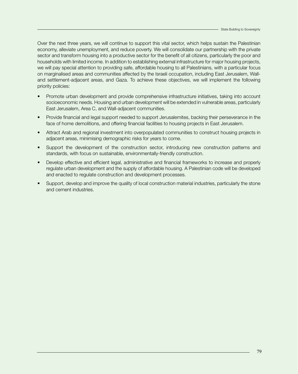Over the next three years, we will continue to support this vital sector, which helps sustain the Palestinian economy, alleviate unemployment, and reduce poverty. We will consolidate our partnership with the private sector and transform housing into a productive sector for the benefit of all citizens, particularly the poor and households with limited income. In addition to establishing external infrastructure for major housing projects, we will pay special attention to providing safe, affordable housing to all Palestinians, with a particular focus on marginalised areas and communities affected by the Israeli occupation, including East Jerusalem, Walland settlement-adjacent areas, and Gaza. To achieve these objectives, we will implement the following priority policies:

- Promote urban development and provide comprehensive infrastructure initiatives, taking into account socioeconomic needs. Housing and urban development will be extended in vulnerable areas, particularly East Jerusalem, Area C, and Wall-adjacent communities.
- Provide financial and legal support needed to support Jerusalemites, backing their perseverance in the face of home demolitions, and offering financial facilities to housing projects in East Jerusalem.
- Attract Arab and regional investment into overpopulated communities to construct housing projects in adjacent areas, minimising demographic risks for years to come.
- Support the development of the construction sector, introducing new construction patterns and standards, with focus on sustainable, environmentally-friendly construction.
- Develop effective and efficient legal, administrative and financial frameworks to increase and properly regulate urban development and the supply of affordable housing. A Palestinian code will be developed and enacted to regulate construction and development processes.
- Support, develop and improve the quality of local construction material industries, particularly the stone and cement industries.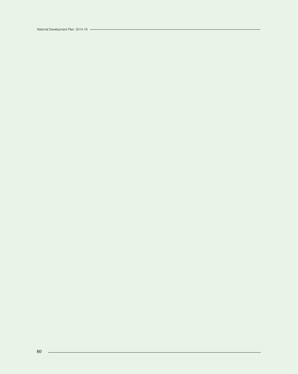National Development Plan 2014-16

ο.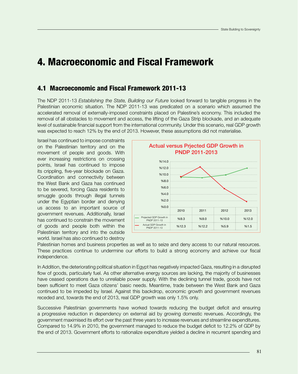# 4. Macroeconomic and Fiscal Framework

# 4.1 Macroeconomic and Fiscal Framework 2011-13

The NDP 2011-13 *Establishing the State, Building our Future* looked forward to tangible progress in the Palestinian economic situation. The NDP 2011-13 was predicated on a scenario which assumed the accelerated removal of externally-imposed constraints placed on Palestine's economy. This included the removal of all obstacles to movement and access, the lifting of the Gaza Strip blockade, and an adequate level of sustainable financial support from the international community. Under this scenario, real GDP growth was expected to reach 12% by the end of 2013. However, these assumptions did not materialise.

Israel has continued to impose constraints on the Palestinian territory and on the movement of people and goods. With ever increasing restrictions on crossing points, Israel has continued to impose its crippling, five-year blockade on Gaza. Coordination and connectivity between the West Bank and Gaza has continued to be severed, forcing Gaza residents to smuggle goods through illegal tunnels under the Egyptian border and denying us access to an important source of government revenues. Additionally, Israel has continued to constrain the movement of goods and people both within the Palestinian territory and into the outside world. Israel has also continued to destroy



Palestinian homes and business properties as well as to seize and deny access to our natural resources. These practices continue to undermine our efforts to build a strong economy and achieve our fiscal independence.

In Addition, the deteriorating political situation in Egypt has negatively impacted Gaza, resulting in a disrupted flow of goods, particularly fuel. As other alternative energy sources are lacking, the majority of businesses have ceased operations due to unreliable power supply. With the declining tunnel trade, goods have not been sufficient to meet Gaza citizens' basic needs. Meantime, trade between the West Bank and Gaza continued to be impeded by Israel. Against this backdrop, economic growth and government revenues receded and, towards the end of 2013, real GDP growth was only 1.5% only.

Successive Palestinian governments have worked towards reducing the budget deficit and ensuring a progressive reduction in dependency on external aid by growing domestic revenues. Accordingly, the government maximised its effort over the past three years to increase revenues and streamline expenditures. Compared to 14.9% in 2010, the government managed to reduce the budget deficit to 12.2% of GDP by the end of 2013. Government efforts to rationalize expenditure yielded a decline in recurrent spending and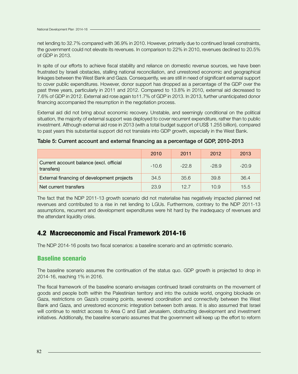net lending to 32.7% compared with 36.9% in 2010. However, primarily due to continued Israeli constraints, the government could not elevate its revenues. In comparison to 22% in 2010, revenues declined to 20.5% of GDP in 2013.

In spite of our efforts to achieve fiscal stability and reliance on domestic revenue sources, we have been frustrated by Israeli obstacles, stalling national reconciliation, and unrestored economic and geographical linkages between the West Bank and Gaza. Consequently, we are still in need of significant external support to cover public expenditures. However, donor support has dropped as a percentage of the GDP over the past three years, particularly in 2011 and 2012. Compared to 13.8% in 2010, external aid decreased to 7.6% of GDP in 2012. External aid rose again to11.7% of GDP in 2013. In 2013, further unanticipated donor financing accompanied the resumption in the negotiation process.

External aid did not bring about economic recovery. Unstable, and seemingly conditional on the political situation, the majority of external support was deployed to cover recurrent expenditure, rather than to public investment. Although external aid rose in 2013 (with a total budget support of US\$ 1.255 billion), compared to past years this substantial support did not translate into GDP growth, especially in the West Bank.

|                                                       | 2010    | 2011    | 2012    | 2013    |
|-------------------------------------------------------|---------|---------|---------|---------|
| Current account balance (excl. official<br>transfers) | $-10.6$ | $-22.8$ | $-28.9$ | $-20.9$ |
| External financing of development projects            | 34.5    | 35.6    | 39.8    | 36.4    |
| Net current transfers                                 | 23.9    | 12.7    | 10.9    | 15.5    |

Table 5: Current account and external financing as a percentage of GDP, 2010-2013

The fact that the NDP 2011-13 growth scenario did not materialise has negatively impacted planned net revenues and contributed to a rise in net lending to LGUs. Furthermore, contrary to the NDP 2011-13 assumptions, recurrent and development expenditures were hit hard by the inadequacy of revenues and the attendant liquidity crisis.

# 4.2 Macroeconomic and Fiscal Framework 2014-16

The NDP 2014-16 posits two fiscal scenarios: a baseline scenario and an optimistic scenario.

#### Baseline scenario

The baseline scenario assumes the continuation of the status quo. GDP growth is projected to drop in 2014-16, reaching 1% in 2016.

The fiscal framework of the baseline scenario envisages continued Israeli constraints on the movement of goods and people both within the Palestinian territory and into the outside world, ongoing blockade on Gaza, restrictions on Gaza's crossing points, severed coordination and connectivity between the West Bank and Gaza, and unrestored economic integration between both areas. It is also assumed that Israel will continue to restrict access to Area C and East Jerusalem, obstructing development and investment initiatives. Additionally, the baseline scenario assumes that the government will keep up the effort to reform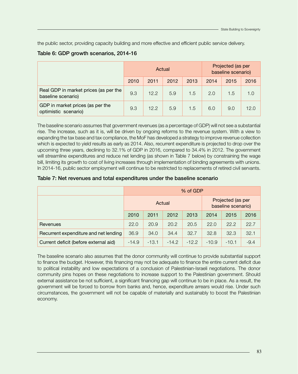the public sector, providing capacity building and more effective and efficient public service delivery.

#### Table 6: GDP growth scenarios, 2014-16

|                                                             |      |      | Actual | Projected (as per<br>baseline scenario) |      |               |      |
|-------------------------------------------------------------|------|------|--------|-----------------------------------------|------|---------------|------|
|                                                             | 2010 | 2011 | 2012   | 2013                                    | 2014 | 2015          | 2016 |
| Real GDP in market prices (as per the<br>baseline scenario) | 9.3  | 12.2 | 5.9    | 1.5                                     | 2.0  | $1.5^{\circ}$ | 1.0  |
| GDP in market prices (as per the<br>optimistic scenario)    | 9.3  | 12.2 | 5.9    | 1.5                                     | 6.0  | 9.0           | 12.0 |

The baseline scenario assumes that government revenues (as a percentage of GDP) will not see a substantial rise. The increase, such as it is, will be driven by ongoing reforms to the revenue system. With a view to expanding the tax base and tax compliance, the MoF has developed a strategy to improve revenue collection which is expected to yield results as early as 2014. Also, recurrent expenditure is projected to drop over the upcoming three years, declining to 32.1% of GDP in 2016, compared to 34.4% in 2012. The government will streamline expenditures and reduce net lending (as shown in Table 7 below) by constraining the wage bill, limiting its growth to cost of living increases through implementation of binding agreements with unions. In 2014-16, public sector employment will continue to be restricted to replacements of retired civil servants.

#### Table 7: Net revenues and total expenditures under the baseline scenario

|                                       | % of GDP                                          |         |         |         |         |         |        |  |  |
|---------------------------------------|---------------------------------------------------|---------|---------|---------|---------|---------|--------|--|--|
|                                       | Projected (as per<br>Actual<br>baseline scenario) |         |         |         |         |         |        |  |  |
|                                       | 2010                                              | 2011    | 2012    | 2013    | 2014    | 2015    | 2016   |  |  |
| Revenues                              | 22.0                                              | 20.9    | 20.2    | 20.5    | 22.0    | 22.2    | 22.7   |  |  |
| Recurrent expenditure and net lending | 36.9                                              | 34.0    | 34.4    | 32.7    | 32.8    | 32.3    | 32.1   |  |  |
| Current deficit (before external aid) | $-14.9$                                           | $-13.1$ | $-14.2$ | $-12.2$ | $-10.9$ | $-10.1$ | $-9.4$ |  |  |

The baseline scenario also assumes that the donor community will continue to provide substantial support to finance the budget. However, this financing may not be adequate to finance the entire current deficit due to political instability and low expectations of a conclusion of Palestinian-Israeli negotiations. The donor community pins hopes on these negotiations to increase support to the Palestinian government. Should external assistance be not sufficient, a significant financing gap will continue to be in place. As a result, the government will be forced to borrow from banks and, hence, expenditure arrears would rise. Under such circumstances, the government will not be capable of materially and sustainably to boost the Palestinian economy.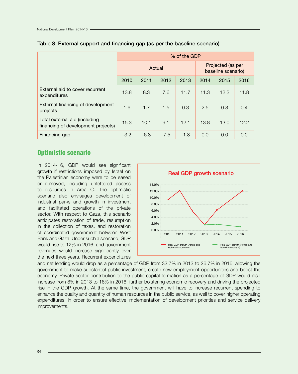|                                                                     |        |        |        | % of the GDP                            |      |      |      |
|---------------------------------------------------------------------|--------|--------|--------|-----------------------------------------|------|------|------|
|                                                                     |        |        | Actual | Projected (as per<br>baseline scenario) |      |      |      |
|                                                                     | 2010   | 2011   | 2012   | 2013                                    | 2014 | 2015 | 2016 |
| External aid to cover recurrent<br>expenditures                     | 13.8   | 8.3    | 7.6    | 11.7                                    | 11.3 | 12.2 | 11.8 |
| External financing of development<br>projects                       | 1.6    | 1.7    | 1.5    | 0.3                                     | 2.5  | 0.8  | 0.4  |
| Total external aid (including<br>financing of development projects) | 15.3   | 10.1   | 9.1    | 12.1                                    | 13.8 | 13.0 | 12.2 |
| Financing gap                                                       | $-3.2$ | $-6.8$ | $-7.5$ | $-1.8$                                  | 0.0  | 0.0  | 0.0  |

#### Table 8: External support and financing gap (as per the baseline scenario)

## Optimistic scenario

In 2014-16, GDP would see significant growth if restrictions imposed by Israel on the Palestinian economy were to be eased or removed, including unfettered access to resources in Area C. The optimistic scenario also envisages development of industrial parks and growth in investment and facilitated operations of the private sector. With respect to Gaza, this scenario anticipates restoration of trade, resumption in the collection of taxes, and restoration of coordinated government between West Bank and Gaza. Under such a scenario, GDP would rise to 12% in 2016, and government revenues would increase significantly over the next three years. Recurrent expenditures



and net lending would drop as a percentage of GDP from 32.7% in 2013 to 26.7% in 2016, allowing the government to make substantial public investment, create new employment opportunities and boost the economy. Private sector contribution to the public capital formation as a percentage of GDP would also increase from 8% in 2013 to 16% in 2016, further bolstering economic recovery and driving the projected rise in the GDP growth. At the same time, the government will have to increase recurrent spending to enhance the quality and quantity of human resources in the public service, as well to cover higher operating expenditures, in order to ensure effective implementation of development priorities and service delivery improvements.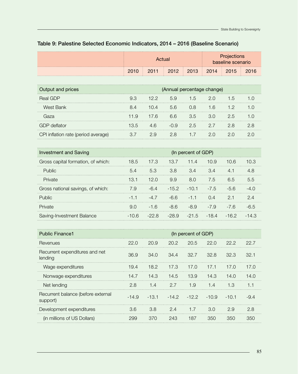## Table 9: Palestine Selected Economic Indicators, 2014 – 2016 (Baseline Scenario)

|                                     |                            | Actual |                          |     |                 | Projections<br>baseline scenario |     |  |
|-------------------------------------|----------------------------|--------|--------------------------|-----|-----------------|----------------------------------|-----|--|
|                                     | 2010                       |        | $2011 \pm 2012 \pm 2013$ |     | 2014            | 2015 2016                        |     |  |
|                                     |                            |        |                          |     |                 |                                  |     |  |
| Output and prices                   | (Annual percentage change) |        |                          |     |                 |                                  |     |  |
| Real GDP                            | 9.3                        | 122    | 59                       | 1.5 | 20              | 15                               |     |  |
| West Bank                           | 84                         | 104    | 56                       | 0.8 | 16              | 12                               | l N |  |
| Gaza                                | 11.9                       | 176    | 66                       | 35  | 30              | 25                               | 1 በ |  |
| <b>GDP</b> deflator                 | 13.5                       | 46     | -0.9                     | 25  | $\overline{27}$ | 28                               | 2 R |  |
| CPI inflation rate (period average) | 37                         | 2.9    | 28                       | 17  | 20              | 2 $\Omega$                       | 2 O |  |

| Investment and Saving              | (In percent of GDP) |                |           |                         |        |       |                          |  |
|------------------------------------|---------------------|----------------|-----------|-------------------------|--------|-------|--------------------------|--|
| Gross capital formation, of which: |                     | 18.5 17.3 13.7 |           | 114                     | 10.9   | 106   |                          |  |
| Public.                            | 54                  | 5.3            |           | 3 A                     |        |       |                          |  |
| Private                            | I3 1                | 12 በ           |           | 80.                     | 7.5    | 6.5   | 55                       |  |
| Gross national savings, of which:  |                     | $-6.4$         |           | $-15.2 - 10.1$          | $-7.5$ |       |                          |  |
| <b>Public</b>                      | $-11$ $-1$          | $-4.7$         | -66       | $-1$ 1                  |        |       |                          |  |
| Private                            |                     |                | $-16 -86$ | -8.9                    | $-7.9$ | $-76$ |                          |  |
| ng-Investment Balance              | N 6.                | $-22.8$        |           | $-28.9$ $-21.5$ $-18.4$ |        | 62    | $\overline{\phantom{0}}$ |  |

| <b>Public Finance1</b>                         |      |                                                 |                     | (In percent of GDP) |      |              |        |
|------------------------------------------------|------|-------------------------------------------------|---------------------|---------------------|------|--------------|--------|
| <b>Revenues</b>                                | 22 Q | 20.9                                            | 20.2 20.5           |                     | 220  | 222          | 22.7   |
| Recurrent expenditures and net<br>lending      | 36.9 | 34.0                                            | 34.4                | 32.7                | 32.8 | 32.3         | 32.1   |
| Wage expenditures                              | 19.4 |                                                 | 18.2 17.3 17.0 17.1 |                     |      | 17 Q         | 17 $($ |
| Nonwage expenditures                           | 14.7 | 14.3                                            |                     | 14.5 13.9           | 14.3 | 14. $\Omega$ | 14 Q   |
| Net lending                                    | 2.8  | 1.4                                             | 27                  | 1.9                 |      | 1 3          |        |
| Recurrent balance (before external<br>support) |      | $-14.9$ $-13.1$ $-14.2$ $-12.2$ $-10.9$ $-10.1$ |                     |                     |      |              |        |
| Development expenditures                       | 36   | 3.8                                             | 24                  | 17                  | 3 Q  | 29           | 28     |
| (in millions of US Dollars)                    |      | 370.                                            | 243                 | 187                 | 350  | 350          |        |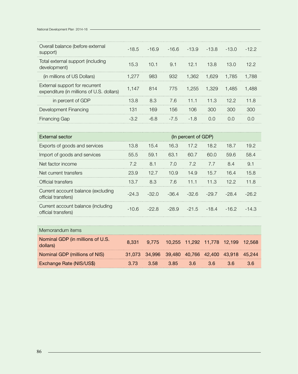| Overall balance (before external<br>support)                                |       | $-18.5$ $-16.9$ $-16.6$ $-13.9$ $-13.8$ $-13.0$ $-12.2$ |                 |            |               |      |        |
|-----------------------------------------------------------------------------|-------|---------------------------------------------------------|-----------------|------------|---------------|------|--------|
| Total external support (including<br>development)                           | 15.3  | 10.1                                                    |                 | $9.1$ 12.1 | 13.8          | 13.0 | 12.2   |
| (in millions of US Dollars)                                                 | 1.277 | 983                                                     | 932             | 1.362      | 1.629 1.785   |      | -1.788 |
| External support for recurrent<br>expenditure (in millions of U.S. dollars) |       | 1,147 814 775 1,255 1,329 1,485                         |                 |            |               |      | 1,488  |
| in percent of GDP                                                           | 13.8  | 8.3                                                     | $7.6$ 11.1 11.3 |            |               | 122  | 11 R   |
| Development Financing                                                       | 131   | 169                                                     | 156.            | 106        | 300.          | 300  | 300    |
| <b>Financing Gap</b>                                                        |       | $-32 -68 -75 -18$                                       |                 |            | $\cap$ $\cap$ | (1)  | (1)    |
|                                                                             |       |                                                         |                 |            |               |      |        |

| External sector                                           |      |                                                 |      | (In percent of GDP) |         |      |         |
|-----------------------------------------------------------|------|-------------------------------------------------|------|---------------------|---------|------|---------|
| Exports of goods and services                             | 13.8 | 15.4                                            | 16.3 | 17.2                | $-18.2$ | 18.7 | 19.2    |
| Import of goods and services                              | 55.5 | 59.1                                            | 63.1 | 60 Z                | 60 O    | 59.6 | 58.4    |
| Net factor income                                         | 7.2  | 8.1                                             | 7.O  | 7.2                 | 7.7     | 8.4  | 9.1     |
| Net current transfers                                     | 23.9 | 12.7                                            | 10.9 | 14.9                | 15.7    | 16.4 | 15.8    |
| Official transfers                                        | 13.7 | 8.3                                             | 7.6  | 11.1                | 11.3    | 12.2 | 11.8    |
| Current account balance (excluding<br>official transfers) |      | $-24.3$ $-32.0$ $-36.4$ $-32.6$ $-29.7$ $-28.4$ |      |                     |         |      | $-26.2$ |
| Current account balance (including<br>official transfers) |      | $-10.6$ $-22.8$ $-28.9$ $-21.5$ $-18.4$ $-16.2$ |      |                     |         |      | -14.3   |
|                                                           |      |                                                 |      |                     |         |      |         |
| Memorandum items                                          |      |                                                 |      |                     |         |      |         |

| Nominal GDP (in millions of U.S.<br>dollars) | 8.331 | 9,775 10,255 11,292 11,778 12,199 12,568         |      |    |    |    |
|----------------------------------------------|-------|--------------------------------------------------|------|----|----|----|
| Nominal GDP (millions of NIS)                |       | 31,073 34,996 39,480 40,766 42,400 43,918 45,244 |      |    |    |    |
| Exchange Rate (NIS/US\$)                     | 3.73  | 3.58                                             | 3.85 | 36 | 36 | 36 |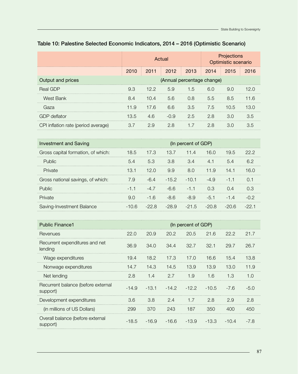|                                     | Actual                                     |      |        |      | Projections<br>Optimistic scenario |      |      |  |
|-------------------------------------|--------------------------------------------|------|--------|------|------------------------------------|------|------|--|
|                                     | 2010                                       | 2011 | 2012   | 2013 | 2014                               | 2015 | 2016 |  |
| Output and prices                   | (Annual percentage change)<br>9.3 12.2 5.9 |      |        |      |                                    |      |      |  |
| <b>Real GDP</b>                     |                                            |      |        | 1.5  | 60                                 | 9.0  |      |  |
| West Bank                           | 84                                         | 104  | 56     | 0.8  | 5.5                                | 8.5  | 11 6 |  |
| Gaza                                | 11.9                                       | 17.6 | 6.6    | 3.5  | 7.5                                | 10.5 |      |  |
| <b>GDP</b> deflator                 | $13.5 -$                                   | 46   | $-0.9$ | 2.5  | 2.8                                | 30   | 35   |  |
| CPI inflation rate (period average) | 37                                         | 29   | 2 R    |      | 2 R                                | 30   |      |  |

## Table 10: Palestine Selected Economic Indicators, 2014 – 2016 (Optimistic Scenario)

| <b>Investment and Saving</b>       | (In percent of GDP) |                |              |                       |          |                          |      |  |  |
|------------------------------------|---------------------|----------------|--------------|-----------------------|----------|--------------------------|------|--|--|
| Gross capital formation, of which: |                     | 18.5 17.3 13.7 |              | 11.4                  | 160      | 19.5                     | 22.2 |  |  |
| Public.                            | 54                  | 5.3            | 3.8          | 3.4                   |          | 54                       |      |  |  |
| Private                            |                     | 12 $\Omega$    | 99           | 8 O                   | 11.9     |                          |      |  |  |
| Gross national savings, of which:  | 7.9                 |                | $-152 - 101$ |                       |          | $\overline{\phantom{0}}$ |      |  |  |
| <b>Public</b>                      |                     | $-11 - 47$     | -66          | -11                   | $\Omega$ |                          |      |  |  |
| Private                            | 90                  | $-16$          | -86          | -8 9                  | $-51$    | $-1$ $\Delta$            |      |  |  |
| ing-Investment Balance             | $-106$              | $-22.8$        |              | $-28.9 - 21.5 - 20.8$ |          | า ค                      |      |  |  |

| <b>Public Finance1</b>                         |      |        |      | (In percent of GDP)                             |      |        |        |
|------------------------------------------------|------|--------|------|-------------------------------------------------|------|--------|--------|
| Revenues                                       | 22.0 | 20.9   | 20.2 | 20.5                                            | 21.6 | 22.2   | 21.7   |
| Recurrent expenditures and net<br>lending      | 36.9 | 34.0   | 34.4 | 32.7                                            | 32.1 | 29.7   | 26.7   |
| Wage expenditures                              | 19.4 | - 18.2 | 17.3 | 17. $\Omega$                                    | 16.6 | 15.4   | 13.8   |
| Nonwage expenditures                           | 14.7 | 14.3   | 14.5 | 13.9                                            | 13.9 | 13.0   | 11.9   |
| Net lending                                    | 2.8  | 1.4    | 2.7  | 1.9                                             | 1.6  | 1.3    | 1.0    |
| Recurrent balance (before external<br>support) |      |        |      | $-14.9$ $-13.1$ $-14.2$ $-12.2$ $-10.5$         |      | $-7.6$ | $-5.0$ |
| Development expenditures                       | 3.6  | 3.8    | 2.4  | 1.7                                             | 2.8  | 2.9    | 2.8    |
| (in millions of US Dollars)                    | 299  | 370    | 243  | 187                                             | 350  | 400    | 450    |
| Overall balance (before external<br>support)   |      |        |      | $-18.5$ $-16.9$ $-16.6$ $-13.9$ $-13.3$ $-10.4$ |      |        | $-7.8$ |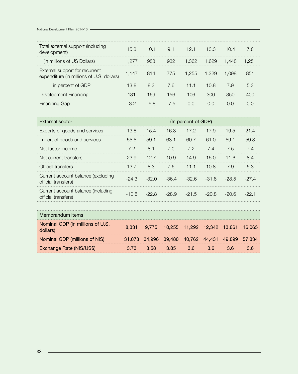| Total external support (including<br>development)                           | 15.3 | 10.1 | 9.1    | 12.1                      | $13.3^{\circ}$ | 10 $\sqrt{4}$ | 78 |
|-----------------------------------------------------------------------------|------|------|--------|---------------------------|----------------|---------------|----|
| (in millions of US Dollars)                                                 |      |      |        | .362                      | 1.629          |               |    |
| External support for recurrent<br>expenditure (in millions of U.S. dollars) |      |      |        | 1,147 814 775 1,255 1,329 |                |               | 85 |
| in percent of GDP                                                           | 13 R | 8.3  | 7.6    | 11.1                      | 10 R           | 7.9           |    |
| Development Financing                                                       |      |      |        |                           |                |               |    |
| Financing Gap                                                               |      | -6.8 | $-7.5$ |                           |                |               |    |
|                                                                             |      |      |        |                           |                |               |    |

| <b>External sector</b>                                    |         |         |         | (In percent of GDP)         |         |         |         |
|-----------------------------------------------------------|---------|---------|---------|-----------------------------|---------|---------|---------|
| Exports of goods and services                             | 13.8    | 15.4    | 16.3    | 17.2                        | 17.9    | 19.5    | 21.4    |
| Import of goods and services                              | 55.5    | 59.1    | 63.1    | 60.7                        | 61.0    | 59.1    | 59.3    |
| Net factor income                                         | 7.2     | 8.1     | 7.0     | 72                          | 7.4     | 7.5     | 7.4     |
| Net current transfers                                     | 23.9    | 12.7    | 10.9    | 14.9                        | 15.0    | 11.6    | 8.4     |
| Official transfers                                        | 13.7    | 8.3     | 7.6     | 11.1                        | 10.8    | 7.9     | 5.3     |
| Current account balance (excluding<br>official transfers) | $-24.3$ | $-32.0$ | $-36.4$ | $-32.6$                     | $-31.6$ | $-28.5$ | $-27.4$ |
| Current account balance (including<br>official transfers) | $-10.6$ | $-22.8$ | -28.9   | $-21.5$                     | $-20.8$ | $-20.6$ | $-22.1$ |
| Memorandum items                                          |         |         |         |                             |         |         |         |
| Nominal GDP (in millions of U.S.<br>dollars)              | 8.331   | 9.775   |         | 10,255 11,292 12,342 13,861 |         |         | 16.065  |
| Nominal GDP (millions of NIS)                             | 31.073  | 34,996  |         | 39,480 40,762 44,431        |         | 49.899  | 57.834  |
| Exchange Rate (NIS/US\$)                                  | 3.73    | 3.58    | 3.85    | 3.6                         | 3.6     | 3.6     | 3.6     |

 $\sim$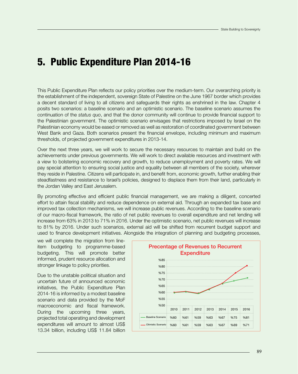# 5. Public Expenditure Plan 2014-16

This Public Expenditure Plan reflects our policy priorities over the medium-term. Our overarching priority is the establishment of the independent, sovereign State of Palestine on the June 1967 border which provides a decent standard of living to all citizens and safeguards their rights as enshrined in the law. Chapter 4 posits two scenarios: a baseline scenario and an optimistic scenario. The baseline scenario assumes the continuation of the *status quo*, and that the donor community will continue to provide financial support to the Palestinian government. The optimistic scenario envisages that restrictions imposed by Israel on the Palestinian economy would be eased or removed as well as restoration of coordinated government between West Bank and Gaza. Both scenarios present the financial envelope, including minimum and maximum thresholds, of projected government expenditures in 2013-14.

Over the next three years, we will work to secure the necessary resources to maintain and build on the achievements under previous governments. We will work to direct available resources and investment with a view to bolstering economic recovery and growth, to reduce unemployment and poverty rates. We will pay special attention to ensuring social justice and equality between all members of the society, wherever they reside in Palestine. Citizens will participate in, and benefit from, economic growth, further enabling their steadfastness and resistance to Israel's policies, designed to displace them from their land, particularly in the Jordan Valley and East Jerusalem.

By promoting effective and efficient public financial management, we are making a diligent, concerted effort to attain fiscal stability and reduce dependence on external aid. Through an expanded tax base and improved tax collection mechanisms, we will increase public revenues. According to the baseline scenario of our macro-fiscal framework, the ratio of net public revenues to overall expenditure and net lending will increase from 63% in 2013 to 71% in 2016. Under the optimistic scenario, net public revenues will increase to 81% by 2016. Under such scenarios, external aid will be shifted from recurrent budget support and used to finance development initiatives. Alongside the integration of planning and budgeting processes,

we will complete the migration from lineitem budgeting to programme-based budgeting. This will promote better informed, prudent resource allocation and stronger linkage to policy priorities.

Due to the unstable political situation and uncertain future of announced economic initiatives, the Public Expenditure Plan 2014-16 is informed by a modest baseline scenario and data provided by the MoF macroeconomic and fiscal framework. During the upcoming three years, projected total operating and development expenditures will amount to almost US\$ 13.34 billion, including US\$ 11.84 billion

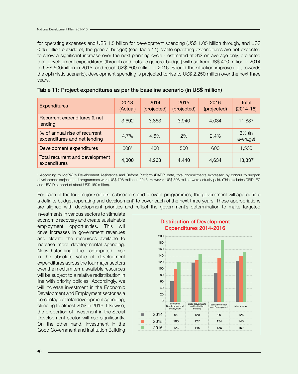for operating expenses and US\$ 1.5 billion for development spending (US\$ 1.05 billion through, and US\$ 0.45 billion outside of, the general budget) (see Table 11). While operating expenditures are not expected to show a significant increase over the next planning cycle - estimated at 3% on average only, projected total development expenditures (through and outside general budget) will rise from US\$ 400 million in 2014 to US\$ 500million in 2015, and reach US\$ 600 million in 2016. Should the situation improve (i.e., towards the optimistic scenario), development spending is projected to rise to US\$ 2,250 million over the next three years.

| <b>Expenditures</b>                                           | 2013<br>(Actual) | 2014<br>(projected) | 2015<br>(projected) | 2016<br>(projected) | Total<br>$(2014-16)$ |
|---------------------------------------------------------------|------------------|---------------------|---------------------|---------------------|----------------------|
| Recurrent expenditures & net<br>lending                       | 3,692            | 3,863               | 3.940               | 4,034               | 11,837               |
| % of annual rise of recurrent<br>expenditures and net lending | $4.7\%$          | 4.6%                | 2%                  | $2.4\%$             | 3% (in<br>average)   |
| Development expenditures                                      | $308*$           | 400                 | 500                 | 600                 | 1,500                |
| Total recurrent and development<br>expenditures               | 4,000            | 4,263               | 4,440               | 4,634               | 13,337               |

#### Table 11: Project expenditures as per the baseline scenario (in US\$ million)

\* According to MoPAD's Development Assistance and Reform Platform (DARP) data, total commitments expressed by donors to support development projects and programmes were US\$ 708 million in 2013. However, US\$ 308 million were actually paid. (This excludes DFID, EC and USAID support of about US\$ 150 million).

For each of the four major sectors, subsectors and relevant programmes, the government will appropriate a definite budget (operating and development) to cover each of the next three years. These appropriations are aligned with development priorities and reflect the government's determination to make targeted

investments in various sectors to stimulate economic recovery and create sustainable employment opportunities. This will drive increases in government revenues and elevate the resources available to increase more developmental spending. Notwithstanding the anticipated rise in the absolute value of development expenditures across the four major sectors over the medium term, available resources will be subject to a relative redistribution in line with priority policies. Accordingly, we will increase investment in the Economic Development and Employment sector as a percentage of total development spending, climbing to almost 20% in 2016. Likewise, the proportion of investment in the Social Development sector will rise significantly. On the other hand, investment in the Good Government and Institution Building

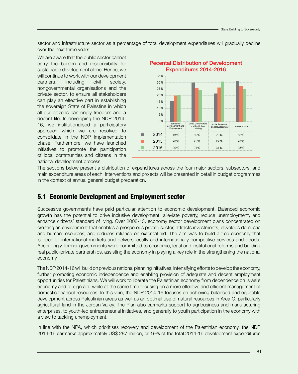sector and Infrastructure sector as a percentage of total development expenditures will gradually decline over the next three years.

We are aware that the public sector cannot carry the burden and responsibility for sustainable development alone. Hence, we will continue to work with our development partners, including civil society, nongovernmental organisations and the private sector, to ensure all stakeholders can play an effective part in establishing the sovereign State of Palestine in which all our citizens can enjoy freedom and a decent life. In developing the NDP 2014- 16, we institutionalised a participatory approach which we are resolved to consolidate in the NDP implementation phase. Furthermore, we have launched initiatives to promote the participation of local communities and citizens in the national development process.



The sections below present a distribution of expenditures across the four major sectors, subsectors, and main expenditure areas of each. Interventions and projects will be presented in detail in budget programmes in the context of annual general budget preparation.

# 5.1 Economic Development and Employment sector

Successive governments have paid particular attention to economic development. Balanced economic growth has the potential to drive inclusive development, alleviate poverty, reduce unemployment, and enhance citizens' standard of living. Over 2008-13, economy sector development plans concentrated on creating an environment that enables a prosperous private sector, attracts investments, develops domestic and human resources, and reduces reliance on external aid. The aim was to build a free economy that is open to international markets and delivers locally and internationally competitive services and goods. Accordingly, former governments were committed to economic, legal and institutional reforms and building real public-private partnerships, assisting the economy in playing a key role in the strengthening the national economy.

The NDP 2014-16 will build on previous national planning initiatives, intensifying efforts to develop the economy, further promoting economic independence and enabling provision of adequate and decent employment opportunities for Palestinians. We will work to liberate the Palestinian economy from dependence on Israel's economy and foreign aid, while at the same time focusing on a more effective and efficient management of domestic financial resources. In this vein, the NDP 2014-16 focuses on achieving balanced and equitable development across Palestinian areas as well as an optimal use of natural resources in Area C, particularly agricultural land in the Jordan Valley. The Plan also earmarks support to agribusiness and manufacturing enterprises, to youth-led entrepreneurial initiatives, and generally to youth participation in the economy with a view to tackling unemployment.

In line with the NPA, which prioritises recovery and development of the Palestinian economy, the NDP 2014-16 earmarks approximately US\$ 287 million, or 19% of the total 2014-16 development expenditures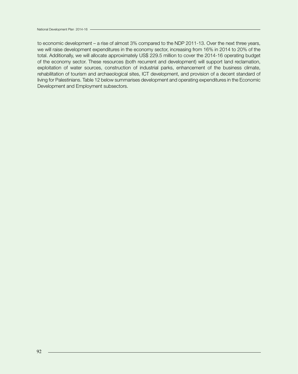to economic development – a rise of almost 3% compared to the NDP 2011-13. Over the next three years, we will raise development expenditures in the economy sector, increasing from 16% in 2014 to 20% of the total. Additionally, we will allocate approximately US\$ 229.5 million to cover the 2014-16 operating budget of the economy sector. These resources (both recurrent and development) will support land reclamation, exploitation of water sources, construction of industrial parks, enhancement of the business climate, rehabilitation of tourism and archaeological sites, ICT development, and provision of a decent standard of living for Palestinians. Table 12 below summarises development and operating expenditures in the Economic Development and Employment subsectors.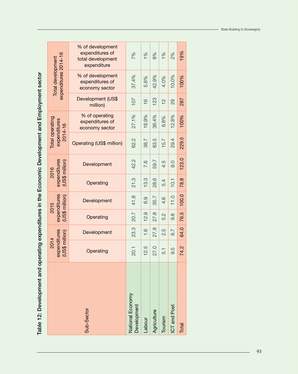Table 12: Development and operating expenditures in the Economic Development and Employment sector Table 12: Development and operating expenditures in the Economic Development and Employment sector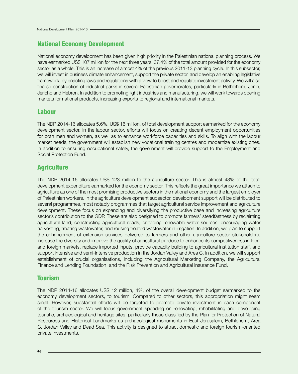## National Economy Development

National economy development has been given high priority in the Palestinian national planning process. We have earmarked US\$ 107 million for the next three years, 37.4% of the total amount provided for the economy sector as a whole. This is an increase of almost 4% of the previous 2011-13 planning cycle. In this subsector, we will invest in business climate enhancement, support the private sector, and develop an enabling legislative framework, by enacting laws and regulations with a view to boost and regulate investment activity. We will also finalise construction of industrial parks in several Palestinian governorates, particularly in Bethlehem, Jenin, Jericho and Hebron. In addition to promoting light industries and manufacturing, we will work towards opening markets for national products, increasing exports to regional and international markets.

#### Labour

The NDP 2014-16 allocates 5.6%, US\$ 16 million, of total development support earmarked for the economy development sector. In the labour sector, efforts will focus on creating decent employment opportunities for both men and women, as well as to enhance workforce capacities and skills. To align with the labour market needs, the government will establish new vocational training centres and modernize existing ones. In addition to ensuring occupational safety, the government will provide support to the Employment and Social Protection Fund.

#### **Agriculture**

The NDP 2014-16 allocates US\$ 123 million to the agriculture sector. This is almost 43% of the total development expenditure earmarked for the economy sector. This reflects the great importance we attach to agriculture as one of the most promising productive sectors in the national economy and the largest employer of Palestinian workers. In the agriculture development subsector, development support will be distributed to several programmes, most notably programmes that target agricultural service improvement and agriculture development. These focus on expanding and diversifying the productive base and increasing agriculture sector's contribution to the GDP. These are also designed to promote farmers' steadfastness by reclaiming agricultural land, constructing agricultural roads, providing renewable water sources, encouraging water harvesting, treating wastewater, and reusing treated wastewater in irrigation. In addition, we plan to support the enhancement of extension services delivered to farmers and other agriculture sector stakeholders, increase the diversity and improve the quality of agricultural produce to enhance its competitiveness in local and foreign markets, replace imported inputs, provide capacity building to agricultural institution staff, and support intensive and semi-intensive production in the Jordan Valley and Area C. In addition, we will support establishment of crucial organisations, including the Agricultural Marketing Company, the Agricultural Finance and Lending Foundation, and the Risk Prevention and Agricultural Insurance Fund.

#### Tourism

The NDP 2014-16 allocates US\$ 12 million, 4%, of the overall development budget earmarked to the economy development sectors, to tourism. Compared to other sectors, this appropriation might seem small. However, substantial efforts will be targeted to promote private investment in each component of the tourism sector. We will focus government spending on renovating, rehabilitating and developing touristic, archaeological and heritage sites, particularly those classified by the Plan for Protection of Natural Resources and Historical Landmarks as archaeological monuments in East Jerusalem, Bethlehem, Area C, Jordan Valley and Dead Sea. This activity is designed to attract domestic and foreign tourism-oriented private investments.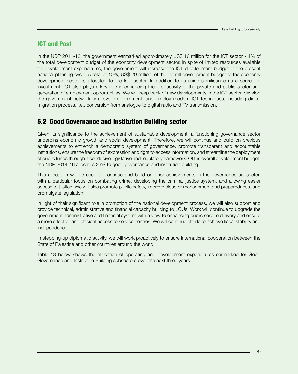## ICT and Post

In the NDP 2011-13, the government earmarked approximately US\$ 16 million for the ICT sector - 4% of the total development budget of the economy development sector. In spite of limited resources available for development expenditures, the government will increase the ICT development budget in the present national planning cycle. A total of 10%, US\$ 29 million, of the overall development budget of the economy development sector is allocated to the ICT sector. In addition to its rising significance as a source of investment, ICT also plays a key role in enhancing the productivity of the private and public sector and generation of employment opportunities. We will keep track of new developments in the ICT sector, develop the government network, improve e-government, and employ modern ICT techniques, including digital migration process, i.e., conversion from analogue to digital radio and TV transmission.

# 5.2 Good Governance and Institution Building sector

Given its significance to the achievement of sustainable development, a functioning governance sector underpins economic growth and social development. Therefore, we will continue and build on previous achievements to entrench a democratic system of governance, promote transparent and accountable institutions, ensure the freedom of expression and right to access information, and streamline the deployment of public funds through a conducive legislative and regulatory framework. Of the overall development budget, the NDP 2014-16 allocates 26% to good governance and institution building.

This allocation will be used to continue and build on prior achievements in the governance subsector, with a particular focus on combating crime, developing the criminal justice system, and allowing easier access to justice. We will also promote public safety, improve disaster management and preparedness, and promulgate legislation.

In light of their significant role in promotion of the national development process, we will also support and provide technical, administrative and financial capacity building to LGUs. Work will continue to upgrade the government administrative and financial system with a view to enhancing public service delivery and ensure a more effective and efficient access to service centres. We will continue efforts to achieve fiscal stability and independence.

In stepping-up diplomatic activity, we will work proactively to ensure international cooperation between the State of Palestine and other countries around the world.

Table 13 below shows the allocation of operating and development expenditures earmarked for Good Governance and Institution Building subsectors over the next three years.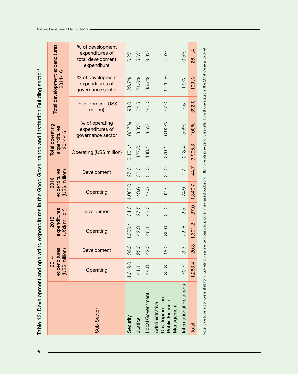96

| Table 13: Development and operating expenditures in the Good Governance and Institution Building sector |                                                    |             |                                        |             |                                        |             |                          |                                                        |                               |                                                          |                                                                         |
|---------------------------------------------------------------------------------------------------------|----------------------------------------------------|-------------|----------------------------------------|-------------|----------------------------------------|-------------|--------------------------|--------------------------------------------------------|-------------------------------|----------------------------------------------------------|-------------------------------------------------------------------------|
|                                                                                                         | expenditures<br>(US\$ million)<br>$\overline{201}$ | ᅼ           | expenditures<br>(US\$ million)<br>2015 |             | expenditures<br>(US\$ million)<br>2016 |             |                          | Total operating<br>expenditures<br>2014-16             |                               | Total development expenditures<br>2014-16                |                                                                         |
| Sub-Sector                                                                                              | Operating                                          | Development | Operating                              | Development | Operating                              | Development | Operating (US\$ million) | % of operating<br>expenditures of<br>governance sector | Development (US\$<br>million) | % of development<br>expenditures of<br>governance sector | % of development<br>expenditures of<br>total development<br>expenditure |
| Security                                                                                                | 1,019.0                                            | 32.0        | 1,050.4                                | 34.0        | 1,082.0                                | 27.0        | 3,151.4                  | 80.7%                                                  | 93.0                          | 23.7%                                                    | 6.2%                                                                    |
| Justice                                                                                                 | 41.1                                               | 25.0        | 42.3                                   | 27.5        | 43.6                                   | 32.0        | 127.0                    | 3.3%                                                   | 84.5                          | 21.6%                                                    | .6%<br>ξ.                                                               |
| <b>Local Government</b>                                                                                 | 44.8                                               | 42.0        | 46.1                                   | 43.0        | 47.5                                   | 55.0        | 138.4                    | 3.5%                                                   | 140.0                         | 35.7%                                                    | 9.3%                                                                    |
| Development and<br>Public Financial<br>Administrative<br>Management                                     | 87.8                                               | 18.0        | 89.6                                   | 20.0        | 92.7                                   | 29.0        | 270.1                    | 6.90%                                                  | 67.0                          | 17.10%                                                   | 4.5%                                                                    |
| <b>International Relations</b>                                                                          | 70.7                                               | 3.3         | $\infty$<br>72.                        | 2.5         | 74.9                                   | 7.7         | 218.4                    | 5.6%                                                   | 7.5                           | 1.9%                                                     | 0.5%                                                                    |
| Total                                                                                                   | 1,263.4                                            | 120.3       | 1,301.2                                | 127.0       | 1,340.7                                | 144.7       | 3,905.3                  | 100%                                                   | 392.0                         | 100%                                                     | 26.1%                                                                   |
|                                                                                                         |                                                    |             |                                        |             |                                        |             |                          |                                                        |                               |                                                          |                                                                         |

Note: Due to an incomplete shift from budgeting on a line item basis to programme-based budgeting, NDP operating expenditures differ from those stated in the 2014 General Budget Note: Due to an incomplete shift from budgeting on a line item basis to programme-based budgeting, NDP operating expenditures differ from those stated in the 2014 General Budget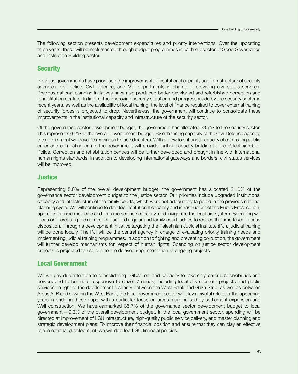The following section presents development expenditures and priority interventions. Over the upcoming three years, these will be implemented through budget programmes in each subsector of Good Governance and Institution Building sector.

## **Security**

Previous governments have prioritised the improvement of institutional capacity and infrastructure of security agencies, civil police, Civil Defence, and MoI departments in charge of providing civil status services. Previous national planning initiatives have also produced better developed and refurbished correction and rehabilitation centres. In light of the improving security situation and progress made by the security sector in recent years, as well as the availability of local training, the level of finance required to cover external training of security forces is projected to drop. Nevertheless, the government will continue to consolidate these improvements in the institutional capacity and infrastructure of the security sector.

Of the governance sector development budget, the government has allocated 23.7% to the security sector. This represents 6.2% of the overall development budget. By enhancing capacity of the Civil Defence agency, the government will develop readiness to face disasters. With a view to enhance capacity of controlling public order and combating crime, the government will provide further capacity building to the Palestinian Civil Police. Correction and rehabilitation centres will be further developed and brought in line with international human rights standards. In addition to developing international gateways and borders, civil status services will be improved.

#### Justice

Representing 5.6% of the overall development budget, the government has allocated 21.6% of the governance sector development budget to the justice sector. Our priorities include upgraded institutional capacity and infrastructure of the family courts, which were not adequately targeted in the previous national planning cycle. We will continue to develop institutional capacity and infrastructure of the Public Prosecution, upgrade forensic medicine and forensic science capacity, and invigorate the legal aid system. Spending will focus on increasing the number of qualified regular and family court judges to reduce the time taken in case disposition. Through a development initiative targeting the Palestinian Judicial Institute (PJI), judicial training will be done locally. The PJI will be the central agency in charge of evaluating priority training needs and implementing judicial training programmes. In addition to fighting and preventing corruption, the government will further develop mechanisms for respect of human rights. Spending on justice sector development projects is projected to rise due to the delayed implementation of ongoing projects.

## Local Government

We will pay due attention to consolidating LGUs' role and capacity to take on greater responsibilities and powers and to be more responsive to citizens' needs, including local development projects and public services. In light of the development disparity between the West Bank and Gaza Strip, as well as between Areas A, B and C within the West Bank, the local government sector will play a pivotal role over the upcoming years in bridging these gaps, with a particular focus on areas marginalised by settlement expansion and Wall construction. We have earmarked 35.7% of the governance sector development budget to local government – 9.3% of the overall development budget. In the local government sector, spending will be directed at improvement of LGU infrastructure, high-quality public service delivery, and master planning and strategic development plans. To improve their financial position and ensure that they can play an effective role in national development, we will develop LGU financial policies.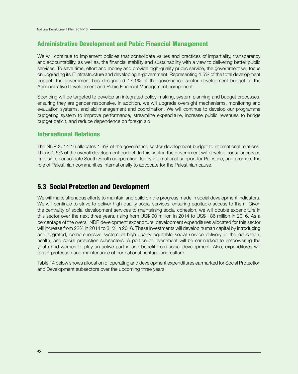## Administrative Development and Pubic Financial Management

We will continue to implement policies that consolidate values and practices of impartiality, transparency and accountability, as well as, the financial stability and sustainability with a view to delivering better public services. To save time, effort and money and provide high-quality public service, the government will focus on upgrading its IT infrastructure and developing e-government. Representing 4.5% of the total development budget, the government has designated 17.1% of the governance sector development budget to the Administrative Development and Pubic Financial Management component.

Spending will be targeted to develop an integrated policy-making, system planning and budget processes, ensuring they are gender responsive. In addition, we will upgrade oversight mechanisms, monitoring and evaluation systems, and aid management and coordination. We will continue to develop our programme budgeting system to improve performance, streamline expenditure, increase public revenues to bridge budget deficit, and reduce dependence on foreign aid.

#### International Relations

The NDP 2014-16 allocates 1.9% of the governance sector development budget to international relations. This is 0.5% of the overall development budget. In this sector, the government will develop consular service provision, consolidate South-South cooperation, lobby international support for Palestine, and promote the role of Palestinian communities internationally to advocate for the Palestinian cause.

## 5.3 Social Protection and Development

We will make strenuous efforts to maintain and build on the progress made in social development indicators. We will continue to strive to deliver high-quality social services, ensuring equitable access to them. Given the centrality of social development services to maintaining social cohesion, we will double expenditure in this sector over the next three years, rising from US\$ 90 million in 2014 to US\$ 186 million in 2016. As a percentage of the overall NDP development expenditure, development expenditures allocated for this sector will increase from 22% in 2014 to 31% in 2016. These investments will develop human capital by introducing an integrated, comprehensive system of high-quality equitable social service delivery in the education, health, and social protection subsectors. A portion of investment will be earmarked to empowering the youth and women to play an active part in and benefit from social development. Also, expenditures will target protection and maintenance of our national heritage and culture.

Table 14 below shows allocation of operating and development expenditures earmarked for Social Protection and Development subsectors over the upcoming three years.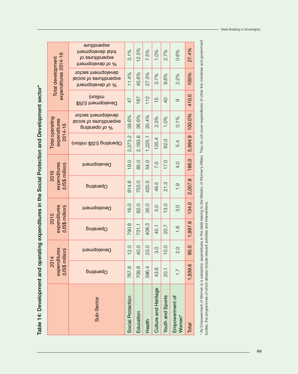| -<br><<br><<br><<br>l<br>, |
|----------------------------|
|                            |
|                            |
|                            |
|                            |
|                            |
|                            |
|                            |
|                            |
|                            |
|                            |
|                            |
| うりりりりり                     |
|                            |
|                            |
|                            |
|                            |
|                            |
|                            |
| <b>ノヘクサ ミュ くろこもて</b>       |
|                            |
|                            |
|                            |
|                            |
|                            |
|                            |
|                            |
|                            |
|                            |
|                            |
|                            |
| į                          |
|                            |
| יימות הנוחר                |
|                            |
|                            |
|                            |
| ً<br>ا                     |
|                            |
|                            |
|                            |
|                            |
|                            |
|                            |
|                            |
|                            |
|                            |
|                            |
|                            |
|                            |
|                            |
|                            |
|                            |
| .<br>,                     |
|                            |
|                            |
|                            |
|                            |

\* As Empowerment of Women is a subsector, expenditures in this table belong to the Ministry of Women's Affairs. They do not cover expenditures of other line ministries and government<br>bodies, the programmes of which already \* As Empowerment of Women is a subsector, expenditures in this table belong to the Ministry of Women's Affairs. They do not cover expenditures of other line ministries and government bodies, the programmes of which already include relevant activities and interventions.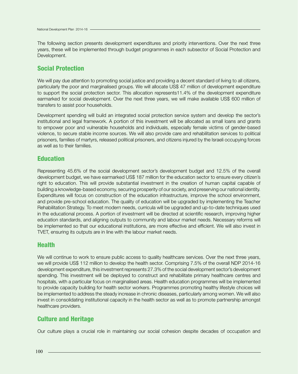The following section presents development expenditures and priority interventions. Over the next three years, these will be implemented through budget programmes in each subsector of Social Protection and Development.

## Social Protection

We will pay due attention to promoting social justice and providing a decent standard of living to all citizens, particularly the poor and marginalised groups. We will allocate US\$ 47 million of development expenditure to support the social protection sector. This allocation represents11.4% of the development expenditure earmarked for social development. Over the next three years, we will make available US\$ 600 million of transfers to assist poor households.

Development spending will build an integrated social protection service system and develop the sector's institutional and legal framework. A portion of this investment will be allocated as small loans and grants to empower poor and vulnerable households and individuals, especially female victims of gender-based violence, to secure stable income sources. We will also provide care and rehabilitation services to political prisoners, families of martyrs, released political prisoners, and citizens injured by the Israeli occupying forces as well as to their families.

## **Education**

Representing 45.6% of the social development sector's development budget and 12.5% of the overall development budget, we have earmarked US\$ 187 million for the education sector to ensure every citizen's right to education. This will provide substantial investment in the creation of human capital capable of building a knowledge-based economy, securing prosperity of our society, and preserving our national identity. Expenditures will focus on construction of the education infrastructure, improve the school environment, and provide pre-school education. The quality of education will be upgraded by implementing the Teacher Rehabilitation Strategy. To meet modern needs, curricula will be upgraded and up-to-date techniques used in the educational process. A portion of investment will be directed at scientific research, improving higher education standards, and aligning outputs to community and labour market needs. Necessary reforms will be implemented so that our educational institutions, are more effective and efficient. We will also invest in TVET, ensuring its outputs are in line with the labour market needs.

#### **Health**

We will continue to work to ensure public access to quality healthcare services. Over the next three years, we will provide US\$ 112 million to develop the health sector. Comprising 7.5% of the overall NDP 2014-16 development expenditure, this investment represents 27.3% of the social development sector's development spending. This investment will be deployed to construct and rehabilitate primary healthcare centres and hospitals, with a particular focus on marginalised areas. Health education programmes will be implemented to provide capacity building for health sector workers. Programmes promoting healthy lifestyle choices will be implemented to address the steady increase in chronic diseases, particularly among women. We will also invest in consolidating institutional capacity in the health sector as well as to promote partnership amongst healthcare providers.

## Culture and Heritage

Our culture plays a crucial role in maintaining our social cohesion despite decades of occupation and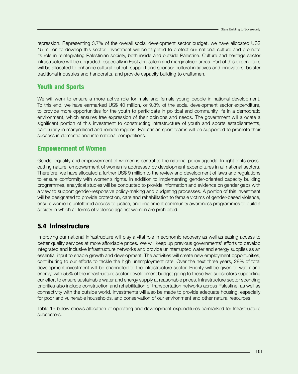repression. Representing 3.7% of the overall social development sector budget, we have allocated US\$ 15 million to develop this sector. Investment will be targeted to protect our national culture and promote its role in reintegrating Palestinian society, both inside and outside Palestine. Culture and heritage sector infrastructure will be upgraded, especially in East Jerusalem and marginalised areas. Part of this expenditure will be allocated to enhance cultural output, support and sponsor cultural initiatives and innovators, bolster traditional industries and handcrafts, and provide capacity building to craftsmen.

## Youth and Sports

We will work to ensure a more active role for male and female young people in national development. To this end, we have earmarked US\$ 40 million, or 9.8% of the social development sector expenditure, to provide more opportunities for the youth to participate in political and community life in a democratic environment, which ensures free expression of their opinions and needs. The government will allocate a significant portion of this investment to constructing infrastructure of youth and sports establishments, particularly in marginalised and remote regions. Palestinian sport teams will be supported to promote their success in domestic and international competitions.

## Empowerment of Women

Gender equality and empowerment of women is central to the national policy agenda. In light of its crosscutting nature, empowerment of women is addressed by development expenditures in all national sectors. Therefore, we have allocated a further US\$ 9 million to the review and development of laws and regulations to ensure conformity with women's rights. In addition to implementing gender-oriented capacity building programmes, analytical studies will be conducted to provide information and evidence on gender gaps with a view to support gender-responsive policy-making and budgeting processes. A portion of this investment will be designated to provide protection, care and rehabilitation to female victims of gender-based violence, ensure women's unfettered access to justice, and implement community awareness programmes to build a society in which all forms of violence against women are prohibited.

# 5.4 Infrastructure

Improving our national infrastructure will play a vital role in economic recovery as well as easing access to better quality services at more affordable prices. We will keep up previous governments' efforts to develop integrated and inclusive infrastructure networks and provide uninterrupted water and energy supplies as an essential input to enable growth and development. The activities will create new employment opportunities, contributing to our efforts to tackle the high unemployment rate. Over the next three years, 28% of total development investment will be channelled to the infrastructure sector. Priority will be given to water and energy, with 55% of the infrastructure sector development budget going to these two subsectors supporting our effort to ensure sustainable water and energy supply at reasonable prices. Infrastructure sector spending priorities also include construction and rehabilitation of transportation networks across Palestine, as well as connectivity with the outside world. Investments will also be made to provide adequate housing, especially for poor and vulnerable households, and conservation of our environment and other natural resources.

Table 15 below shows allocation of operating and development expenditures earmarked for Infrastructure subsectors.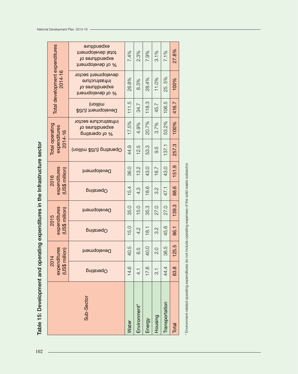| こうへん くろこう<br>່<br> <br> <br> <br> <br> <br> <br>                                                                    |
|---------------------------------------------------------------------------------------------------------------------|
| ミシニュー                                                                                                               |
| יניינינינים ברסת המונים ביטוח ביטוח ביטוח ביטוח ביטוח ביטוח ביטוח ביטוח ביטוח ביטוח ביטוח ביטוח ביטוח ביטוח בי<br>׃ |
| どうこう ユくソ アニュット                                                                                                      |
| <b>DEVENIE LI GILLO DE L'ANNE</b>                                                                                   |
| .<br>.<br>.                                                                                                         |

| Table 15: Development and op |                           | perating expenditures in the Infrastructure sector |                        |              |                  |                                        |                          |                                                           |                               |                                                                            |                                                                        |
|------------------------------|---------------------------|----------------------------------------------------|------------------------|--------------|------------------|----------------------------------------|--------------------------|-----------------------------------------------------------|-------------------------------|----------------------------------------------------------------------------|------------------------------------------------------------------------|
|                              | expenditures<br>S<br>1850 | million<br>14                                      | (US\$ million)<br>2015 | expenditures |                  | expenditures<br>(US\$ million)<br>2016 | expenditures<br>2014-16  | Total operating                                           |                               | Total development expenditures<br>2014-16                                  |                                                                        |
| Sub-Sector                   | <b>Operating</b>          | <b>Development</b>                                 | <b>Operating</b>       | Development  | <b>Operating</b> | Development                            | (noillim \$2U) pnitsteqO | infrastructure sector<br>to zendibnegxe<br>% of operating | (uoj  ju<br>Development (US\$ | development sector<br>infrastructure<br>to zendibnegxe<br>% of development | exbeuqiture<br>total development<br>to zendibnegxe<br>% of development |
| Water                        | 14.6                      | 40.5                                               | 0.5 <sub>1</sub>       | 35.0         | 15.4             | 36.0                                   | 44.9                     | 17.5%                                                     | r.<br>$\frac{1}{1}$           | 26.8%                                                                      | 7.4%                                                                   |
| Environment*                 | $\frac{1}{4}$             | 6.5                                                | 4.2                    | 15.0         | $4.\overline{3}$ | 13.2                                   | 12.5                     | 4.9%                                                      | 34.7                          | 8.3%                                                                       | 2.3%                                                                   |
| Energy                       | 17.6                      | 40.0                                               | 18.1                   | 35.3         | 18.6             | 43.0                                   | 53.3                     | 20.7%                                                     | 118.3                         | 28.4%                                                                      | 7.9%                                                                   |
| Housing                      | $\overline{3}$ .          | 2.0                                                | 3.2                    | 27.0         | 3.2              | 16.7                                   | 9.5                      | 3.7%                                                      | 45.7                          | 11.0%                                                                      | 3.1%                                                                   |
| Transportation               | 44.4                      | 36.5                                               | 45.6                   | 27.0         | 47.1             | 43.0                                   | 137.1                    | 53.2%                                                     | 106.5                         | 5%<br>25.                                                                  | 7.1%                                                                   |
| Total                        | 83.8                      | 125.5                                              | 86.1                   | 139.3        | 88.6             | 151.9                                  | 257.3                    | 100%                                                      | 416.7                         | 100%                                                                       | 27.8%                                                                  |
|                              |                           |                                                    |                        |              |                  |                                        |                          |                                                           |                               |                                                                            |                                                                        |

\* Environment-related operating expenditures do not include operating expenses of the solid waste subsector. \* Environment-related operating expenditures do not include operating expenses of the solid waste subsector.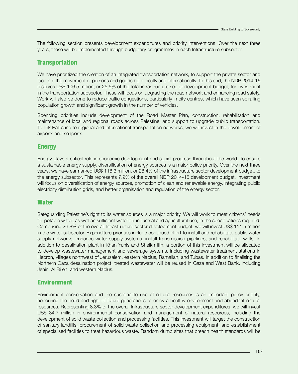The following section presents development expenditures and priority interventions. Over the next three years, these will be implemented through budgetary programmes in each Infrastructure subsector.

## **Transportation**

We have prioritized the creation of an integrated transportation network, to support the private sector and facilitate the movement of persons and goods both locally and internationally. To this end, the NDP 2014-16 reserves US\$ 106.5 million, or 25.5% of the total infrastructure sector development budget, for investment in the transportation subsector. These will focus on upgrading the road network and enhancing road safety. Work will also be done to reduce traffic congestions, particularly in city centres, which have seen spiralling population growth and significant growth in the number of vehicles.

Spending priorities include development of the Road Master Plan, construction, rehabilitation and maintenance of local and regional roads across Palestine, and support to upgrade public transportation. To link Palestine to regional and international transportation networks, we will invest in the development of airports and seaports.

## **Energy**

Energy plays a critical role in economic development and social progress throughout the world. To ensure a sustainable energy supply, diversification of energy sources is a major policy priority. Over the next three years, we have earmarked US\$ 118.3 million, or 28.4% of the infrastructure sector development budget, to the energy subsector. This represents 7.9% of the overall NDP 2014-16 development budget. Investment will focus on diversification of energy sources, promotion of clean and renewable energy, integrating public electricity distribution grids, and better organisation and regulation of the energy sector.

## **Water**

Safeguarding Palestine's right to its water sources is a major priority. We will work to meet citizens' needs for potable water, as well as sufficient water for industrial and agricultural use, in the specifications required. Comprising 26.8% of the overall Infrastructure sector development budget, we will invest US\$ 111.5 million in the water subsector. Expenditure priorities include continued effort to install and rehabilitate public water supply networks, enhance water supply systems, install transmission pipelines, and rehabilitate wells. In addition to desalination plant in Khan Yunis and Sheikh Ijlin, a portion of this investment will be allocated to develop wastewater management and sewerage systems, including wastewater treatment stations in Hebron, villages northwest of Jerusalem, eastern Nablus, Ramallah, and Tubas. In addition to finalising the Northern Gaza desalination project, treated wastewater will be reused in Gaza and West Bank, including Jenin, Al Bireh, and western Nablus.

## Environment

Environment conservation and the sustainable use of natural resources is an important policy priority, honouring the need and right of future generations to enjoy a healthy environment and abundant natural resources. Representing 8.3% of the overall Infrastructure sector development expenditures, we will invest US\$ 34.7 million in environmental conservation and management of natural resources, including the development of solid waste collection and processing facilities. This investment will target the construction of sanitary landfills, procurement of solid waste collection and processing equipment, and establishment of specialised facilities to treat hazardous waste. Random dump sites that breach health standards will be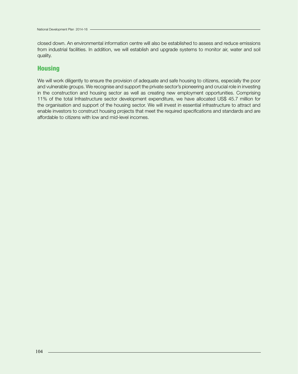closed down. An environmental information centre will also be established to assess and reduce emissions from industrial facilities. In addition, we will establish and upgrade systems to monitor air, water and soil quality.

# **Housing**

We will work diligently to ensure the provision of adequate and safe housing to citizens, especially the poor and vulnerable groups. We recognise and support the private sector's pioneering and crucial role in investing in the construction and housing sector as well as creating new employment opportunities. Comprising 11% of the total Infrastructure sector development expenditure, we have allocated US\$ 45.7 million for the organisation and support of the housing sector. We will invest in essential infrastructure to attract and enable investors to construct housing projects that meet the required specifications and standards and are affordable to citizens with low and mid-level incomes.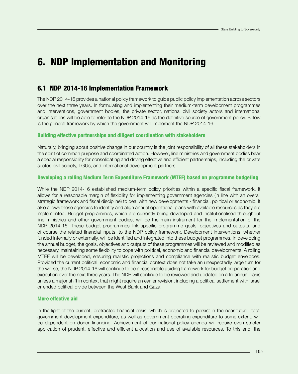# 6. NDP Implementation and Monitoring

# 6.1 NDP 2014-16 Implementation Framework

The NDP 2014-16 provides a national policy framework to guide public policy implementation across sectors over the next three years. In formulating and implementing their medium-term development programmes and interventions, government bodies, the private sector, national civil society actors and international organisations will be able to refer to the NDP 2014-16 as the definitive source of government policy. Below is the general framework by which the government will implement the NDP 2014-16:

#### Building effective partnerships and diligent coordination with stakeholders

Naturally, bringing about positive change in our country is the joint responsibility of all these stakeholders in the spirit of common purpose and coordinated action. However, line ministries and government bodies bear a special responsibility for consolidating and driving effective and efficient partnerships, including the private sector, civil society, LGUs, and international development partners.

#### Developing a rolling Medium Term Expenditure Framework (MTEF) based on programme budgeting

While the NDP 2014-16 established medium-term policy priorities within a specific fiscal framework, it allows for a reasonable margin of flexibility for implementing government agencies (in line with an overall strategic framework and fiscal discipline) to deal with new developments - financial, political or economic. It also allows these agencies to identify and align annual operational plans with available resources as they are implemented. Budget programmes, which are currently being developed and institutionalised throughout line ministries and other government bodies, will be the main instrument for the implementation of the NDP 2014-16. These budget programmes link specific programme goals, objectives and outputs, and of course the related financial inputs, to the NDP policy framework. Development interventions, whether funded internally or externally, will be identified and integrated into these budget programmes. In developing the annual budget, the goals, objectives and outputs of these programmes will be reviewed and modified as necessary, maintaining some flexibility to cope with political, economic and financial developments. A rolling MTEF will be developed, ensuring realistic projections and compliance with realistic budget envelopes. Provided the current political, economic and financial context does not take an unexpectedly large turn for the worse, the NDP 2014-16 will continue to be a reasonable guiding framework for budget preparation and execution over the next three years. The NDP will continue to be reviewed and updated on a tri-annual basis unless a major shift in context that might require an earlier revision, including a political settlement with Israel or ended political divide between the West Bank and Gaza.

#### More effective aid

In the light of the current, protracted financial crisis, which is projected to persist in the near future, total government development expenditure, as well as government operating expenditure to some extent, will be dependent on donor financing. Achievement of our national policy agenda will require even stricter application of prudent, effective and efficient allocation and use of available resources. To this end, the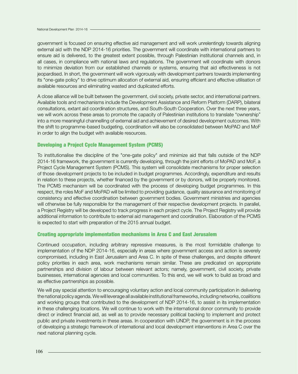government is focused on ensuring effective aid management and will work unrelentingly towards aligning external aid with the NDP 2014-16 priorities. The government will coordinate with international partners to ensure aid is delivered, to the greatest extent possible, through Palestinian institutional channels and, in all cases, in compliance with national laws and regulations. The government will coordinate with donors to minimize deviation from our established channels or systems, ensuring that aid effectiveness is not jeopardised. In short, the government will work vigorously with development partners towards implementing its "one-gate policy" to drive optimum allocation of external aid, ensuring efficient and effective utilisation of available resources and eliminating wasted and duplicated efforts.

A close alliance will be built between the government, civil society, private sector, and international partners. Available tools and mechanisms include the Development Assistance and Reform Platform (DARP), bilateral consultations, extant aid coordination structures, and South-South Cooperation. Over the next three years, we will work across these areas to promote the capacity of Palestinian institutions to translate "ownership" into a more meaningful channelling of external aid and achievement of desired development outcomes. With the shift to programme-based budgeting, coordination will also be consolidated between MoPAD and MoF in order to align the budget with available resources.

#### Developing a Project Cycle Management System (PCMS)

To institutionalise the discipline of the "one-gate policy" and minimize aid that falls outside of the NDP 2014-16 framework, the government is currently developing, through the joint efforts of MoPAD and MoF, a Project Cycle Management System (PCMS). This system will consolidate mechanisms for proper selection of those development projects to be included in budget programmes. Accordingly, expenditure and results in relation to these projects, whether financed by the government or by donors, will be properly monitored. The PCMS mechanism will be coordinated with the process of developing budget programmes. In this respect, the roles MoF and MoPAD will be limited to providing guidance, quality assurance and monitoring of consistency and effective coordination between government bodies. Government ministries and agencies will otherwise be fully responsible for the management of their respective development projects. In parallel, a Project Registry will be developed to track progress in each project cycle. The Project Registry will provide additional information to contribute to external aid management and coordination. Elaboration of the PCMS is expected to start with preparation of the 2015 annual budget.

#### Creating appropriate implementation mechanisms in Area C and East Jerusalem

Continued occupation, including arbitrary repressive measures, is the most formidable challenge to implementation of the NDP 2014-16, especially in areas where government access and action is severely compromised, including in East Jerusalem and Area C. In spite of these challenges, and despite different policy priorities in each area, work mechanisms remain similar. These are predicated on appropriate partnerships and division of labour between relevant actors; namely, government, civil society, private businesses, international agencies and local communities. To this end, we will work to build as broad and as effective partnerships as possible.

We will pay special attention to encouraging voluntary action and local community participation in delivering the national policy agenda. We will leverage all available institutional frameworks, including networks, coalitions and working groups that contributed to the development of NDP 2014-16, to assist in its implementation in these challenging locations. We will continue to work with the international donor community to provide direct or indirect financial aid, as well as to provide necessary political backing to implement and protect public and private investments in these areas. In cooperation with UNDP, the government is in the process of developing a strategic framework of international and local development interventions in Area C over the next national planning cycle.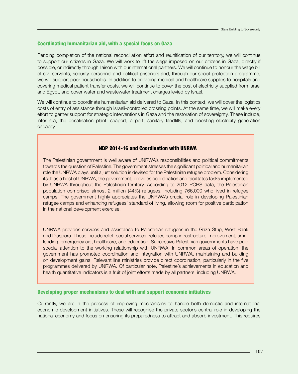#### Coordinating humanitarian aid, with a special focus on Gaza

Pending completion of the national reconciliation effort and reunification of our territory, we will continue to support our citizens in Gaza. We will work to lift the siege imposed on our citizens in Gaza, directly if possible, or indirectly through liaison with our international partners. We will continue to honour the wage bill of civil servants, security personnel and political prisoners and, through our social protection programme, we will support poor households. In addition to providing medical and healthcare supplies to hospitals and covering medical patient transfer costs, we will continue to cover the cost of electricity supplied from Israel and Egypt, and cover water and wastewater treatment charges levied by Israel.

We will continue to coordinate humanitarian aid delivered to Gaza. In this context, we will cover the logistics costs of entry of assistance through Israeli-controlled crossing points. At the same time, we will make every effort to garner support for strategic interventions in Gaza and the restoration of sovereignty. These include, inter alia, the desalination plant, seaport, airport, sanitary landfills, and boosting electricity generation capacity.

#### NDP 2014-16 and Coordination with UNRWA

The Palestinian government is well aware of UNRWA's responsibilities and political commitments towards the question of Palestine. The government stresses the significant political and humanitarian role the UNRWA plays until a just solution is devised for the Palestinian refugee problem. Considering itself as a host of UNRWA, the government, provides coordination and facilitates tasks implemented by UNRWA throughout the Palestinian territory. According to 2012 PCBS data, the Palestinian population comprised almost 2 million (44%) refugees, including 766,000 who lived in refugee camps. The government highly appreciates the UNRWA's crucial role in developing Palestinian refugee camps and enhancing refugees' standard of living, allowing room for positive participation in the national development exercise.

UNRWA provides services and assistance to Palestinian refugees in the Gaza Strip, West Bank and Diaspora. These include relief, social services, refugee camp infrastructure improvement, small lending, emergency aid, healthcare, and education. Successive Palestinian governments have paid special attention to the working relationship with UNRWA. In common areas of operation, the government has promoted coordination and integration with UNRWA, maintaining and building on development gains. Relevant line ministries provide direct coordination, particularly in the five programmes delivered by UNRWA. Of particular note, Palestine's achievements in education and health quantitative indicators is a fruit of joint efforts made by all partners, including UNRWA.

#### Developing proper mechanisms to deal with and support economic initiatives

Currently, we are in the process of improving mechanisms to handle both domestic and international economic development initiatives. These will recognise the private sector's central role in developing the national economy and focus on ensuring its preparedness to attract and absorb investment. This requires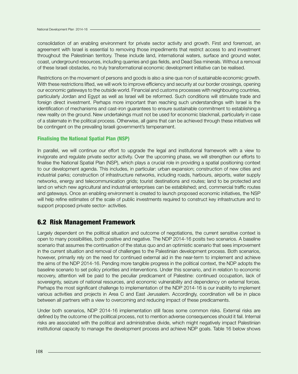consolidation of an enabling environment for private sector activity and growth. First and foremost, an agreement with Israel is essential to removing those impediments that restrict access to and investment throughout the Palestinian territory. These include land, international waters, surface and ground water, coast, underground resources, including quarries and gas fields, and Dead Sea minerals. Without a removal of these Israeli obstacles, no truly transformational economic development initiative can be realised.

Restrictions on the movement of persons and goods is also a sine qua non of sustainable economic growth. With these restrictions lifted, we will work to improve efficiency and security at our border crossings, opening our economic gateways to the outside world. Financial and customs processes with neighbouring countries, particularly Jordan and Egypt as well as Israel will be reformed. Such conditions will stimulate trade and foreign direct investment. Perhaps more important than reaching such understandings with Israel is the identification of mechanisms and cast-iron guarantees to ensure sustainable commitment to establishing a new reality on the ground. New undertakings must not be used for economic blackmail, particularly in case of a stalemate in the political process. Otherwise, all gains that can be achieved through these initiatives will be contingent on the prevailing Israeli government's temperament.

#### Finalising the National Spatial Plan (NSP)

In parallel, we will continue our effort to upgrade the legal and institutional framework with a view to invigorate and regulate private sector activity. Over the upcoming phase, we will strengthen our efforts to finalise the National Spatial Plan (NSP), which plays a crucial role in providing a spatial positioning context to our development agenda. This includes, in particular: urban expansion; construction of new cities and industrial parks; construction of infrastructure networks, including roads, harbours, airports, water supply networks, energy and telecommunication grids; tourist destinations and routes; land to be protected and land on which new agricultural and industrial enterprises can be established; and, commercial traffic routes and gateways. Once an enabling environment is created to launch proposed economic initiatives, the NSP will help refine estimates of the scale of public investments required to construct key infrastructure and to support proposed private sector- activities.

## 6.2 Risk Management Framework

Largely dependent on the political situation and outcome of negotiations, the current sensitive context is open to many possibilities, both positive and negative. The NDP 2014-16 posits two scenarios. A baseline scenario that assumes the continuation of the status quo and an optimistic scenario that sees improvement in the current situation and removal of challenges to the Palestinian development process. Both scenarios, however, primarily rely on the need for continued external aid in the near-term to implement and achieve the aims of the NDP 2014-16. Pending more tangible progress in the political context, the NDP adopts the baseline scenario to set policy priorities and interventions. Under this scenario, and in relation to economic recovery, attention will be paid to the peculiar predicament of Palestine: continued occupation, lack of sovereignty, seizure of national resources, and economic vulnerability and dependency on external forces. Perhaps the most significant challenge to implementation of the NDP 2014-16 is our inability to implement various activities and projects in Area C and East Jerusalem. Accordingly, coordination will be in place between all partners with a view to overcoming and reducing impact of these predicaments.

Under both scenarios, NDP 2014-16 implementation still faces some common risks. External risks are defined by the outcome of the political process, not to mention adverse consequences should it fail. Internal risks are associated with the political and administrative divide, which might negatively impact Palestinian institutional capacity to manage the development process and achieve NDP goals. Table 16 below shows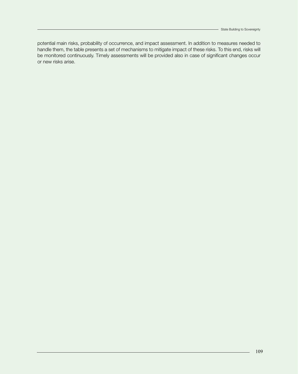potential main risks, probability of occurrence, and impact assessment. In addition to measures needed to handle them, the table presents a set of mechanisms to mitigate impact of these risks. To this end, risks will be monitored continuously. Timely assessments will be provided also in case of significant changes occur or new risks arise.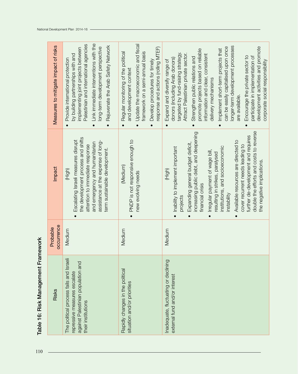| Table 16: Risk Management Framework                                                                                                 |                        |                                                                                                                                                                                                                                                                                                                                                                                                                                                                               |                                                                                                                                                                                                                                                                                                                                                                                                                                                                                                                                                                       |
|-------------------------------------------------------------------------------------------------------------------------------------|------------------------|-------------------------------------------------------------------------------------------------------------------------------------------------------------------------------------------------------------------------------------------------------------------------------------------------------------------------------------------------------------------------------------------------------------------------------------------------------------------------------|-----------------------------------------------------------------------------------------------------------------------------------------------------------------------------------------------------------------------------------------------------------------------------------------------------------------------------------------------------------------------------------------------------------------------------------------------------------------------------------------------------------------------------------------------------------------------|
| Risks                                                                                                                               | occurrence<br>Probable | Impact                                                                                                                                                                                                                                                                                                                                                                                                                                                                        | Measures to mitigate impact of risks                                                                                                                                                                                                                                                                                                                                                                                                                                                                                                                                  |
| The political process fails and Israeli<br>against Palestinian population and<br>repressive measures escalate<br>their institutions | Medium                 | the development process and shifts<br>Escalating Israeli measures disrupt<br>assistance at the expense of long-<br>and emergency and humanitarian<br>attention to immediate response<br>term sustainable development.<br>(High)                                                                                                                                                                                                                                               | Link immediate interventions with the<br>Palestinian and international agencies<br>Rejuvenate the Arab Safety Network<br>long-term development perspective<br>implementing joint projects between<br>by building partnerships with and<br>Provide international protection                                                                                                                                                                                                                                                                                            |
| Rapidly changes in the political<br>situation and/or priorities                                                                     | Medium                 | PNDP is not responsive enough to<br>(Medium)<br>new evolving needs                                                                                                                                                                                                                                                                                                                                                                                                            | Update the macroeconomic and fiscal<br>response and actions (rolling MTEF)<br>framework on a semi-annual basis<br>Regular monitoring of the political<br>Develop procedures for timely<br>and development context                                                                                                                                                                                                                                                                                                                                                     |
| Inadequate, fluctuating or declining<br>external fund and/or interest                                                               | Medium                 | double the efforts and costs to reverse<br>increasing public debt, and deepening<br>further de-development and requires<br>Available resources are directed to<br>Expanding general budget deficit,<br>cover recurrent needs leading to<br>institutions, and socioeconomic<br>· Inability to implement important<br>Irregular payment of wage bill,<br>resulting in strikes, paralysed<br>the negative implications.<br>(High)<br>financial crisis<br>instability<br>projects | longer-term development processes<br>development activities and promote<br>can be easily capitalised upon once<br>Implement short-term projects that<br>promote projects based on reliable<br>targeted by fund-raising strategy.<br>Attract Palestinian private sector.<br>information and clear, consistent<br>Encourage the private sector to<br>participate in implementation of<br>Strengthen public relations and<br>donors (including Arab donors)<br>Expand and diversify range of<br>corporate social responsibility<br>delivery mechanisms<br>are available. |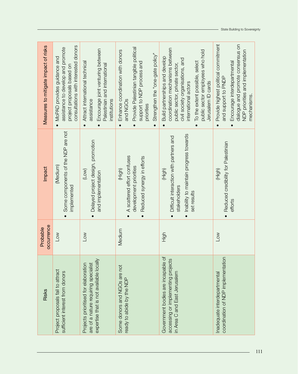| Measures to mitigate impact of risks | consultations with interested donors<br>assistance to develop and promote<br>MoPAD provides guidance and<br>project proposals based or | Encourage joint venturing between<br>Attract international technical<br>Palestinian and international<br>institutions<br>assistance | Provide Palestinian tangible political<br>Enhance coordination with donors<br>Strengthen the "one-gate policy"<br>support to NDP process and<br>and NGO <sub>s</sub><br>priorities | coordination mechanisms between<br>public sector employees who hold<br>Build partnerships and develop<br>civil society organisations, and<br>To the extent possible, select<br>public sector, private sector,<br>Jerusalem ID cards<br>international actors | Provide highest political commitment<br>dialogue and promote consensus on<br>NDP priorities and implementation<br>Encourage interdepartmental<br>and support to PNDP<br>mechanisms. |
|--------------------------------------|----------------------------------------------------------------------------------------------------------------------------------------|-------------------------------------------------------------------------------------------------------------------------------------|------------------------------------------------------------------------------------------------------------------------------------------------------------------------------------|-------------------------------------------------------------------------------------------------------------------------------------------------------------------------------------------------------------------------------------------------------------|-------------------------------------------------------------------------------------------------------------------------------------------------------------------------------------|
| Impact                               | Some components of the NDP are not<br>(Medium)<br>implemented                                                                          | Delayed project design, promotion<br>(Low)<br>and implementation                                                                    | A scattered effort confuses<br>Reduced synergy in efforts<br>development priorities<br>(High)<br>$\bullet$                                                                         | Inability to maintain progress towards<br>Difficult interaction with partners and<br>(High)<br>stakeholders<br>set results                                                                                                                                  | Reduced credibility for Palestinian<br>(High)<br>efforts                                                                                                                            |
| occurrence<br>Probable               | Low                                                                                                                                    | Low                                                                                                                                 | Medium                                                                                                                                                                             | S<br>High                                                                                                                                                                                                                                                   | Low                                                                                                                                                                                 |
| Risks                                | Project proposals fail to attract<br>sufficient interest from donors                                                                   | expertise that is not available locally<br>Projects prioritised for elaboration<br>are of a nature requiring specialist             | Some donors and NGOs are not<br>ready to abide by the NDP                                                                                                                          | $\overline{5}$<br>accessing or implementing projects<br>Government bodies are incapable o<br>in Area C and East Jerusalem                                                                                                                                   | coordination of NDP implementation<br>Inadequate interdepartmental                                                                                                                  |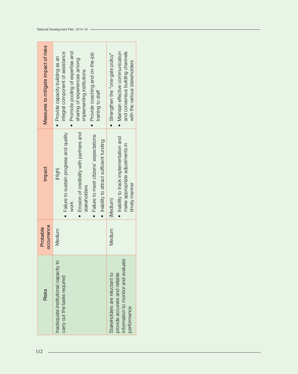| Measures to mitigate impact of risks | integral component of assistance<br>Promote pooling of expertise and<br>Provide coaching and on-the-job<br>Provide capacity building as an<br>sharing of experiences among<br>implementing institutions<br>training to staff | Maintain effective communication<br>and consensus building channels<br>Strengthen the "one-gate policy"<br>with the various stakeholders |
|--------------------------------------|------------------------------------------------------------------------------------------------------------------------------------------------------------------------------------------------------------------------------|------------------------------------------------------------------------------------------------------------------------------------------|
| Impact                               | Erosion of credibility with partners and<br>Failure to sustain progress and quality<br>Failure to meet citizens' expectations<br>• Inability to attract sufficient funding<br>(High)<br>stakeholders<br>work                 | • Inability to track implementation and<br>make appropriate adjustments in<br>timely manner<br>(Medium)                                  |
| occurrence<br>Probable               | Medium                                                                                                                                                                                                                       | Medium                                                                                                                                   |
| <b>Risks</b>                         | nadequate institutional capacity to<br>carry out the tasks required                                                                                                                                                          | information to monitor and evaluate<br>Stakeholders are reluctant to<br>provide accurate and reliable<br>performance                     |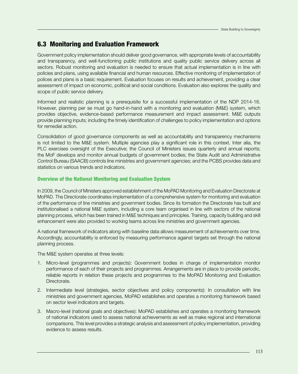## 6.3 Monitoring and Evaluation Framework

Government policy implementation should deliver good governance, with appropriate levels of accountability and transparency, and well-functioning public institutions and quality public service delivery across all sectors. Robust monitoring and evaluation is needed to ensure that actual implementation is in line with policies and plans, using available financial and human resources. Effective monitoring of implementation of polices and plans is a basic requirement. Evaluation focuses on results and achievement, providing a clear assessment of impact on economic, political and social conditions. Evaluation also explores the quality and scope of public service delivery.

Informed and realistic planning is a prerequisite for a successful implementation of the NDP 2014-16. However, planning per se must go hand-in-hand with a monitoring and evaluation (M&E) system, which provides objective, evidence-based performance measurement and impact assessment. M&E outputs provide planning inputs; including the timely identification of challenges to policy implementation and options for remedial action.

Consolidation of good governance components as well as accountability and transparency mechanisms is not limited to the M&E system. Multiple agencies play a significant role in this context. Inter alia, the PLC exercises oversight of the Executive; the Council of Ministers issues quarterly and annual reports; the MoF develops and monitor annual budgets of government bodies; the State Audit and Administrative Control Bureau (SAACB) controls line ministries and government agencies; and the PCBS provides data and statistics on various trends and indicators.

### Overview of the National Monitoring and Evaluation System

In 2009, the Council of Ministers approved establishment of the MoPAD Monitoring and Evaluation Directorate at MoPAD. The Directorate coordinates implementation of a comprehensive system for monitoring and evaluation of the performance of line ministries and government bodies. Since its formation the Directorate has built and institutionalised a national M&E system, including a core team organised in line with sectors of the national planning process, which has been trained in M&E techniques and principles. Training, capacity building and skill enhancement were also provided to working teams across line ministries and government agencies.

A national framework of indicators along with baseline data allows measurement of achievements over time. Accordingly, accountability is enforced by measuring performance against targets set through the national planning process.

The M&E system operates at three levels:

- 1. Micro-level (programmes and projects): Government bodies in charge of implementation monitor performance of each of their projects and programmes. Arrangements are in place to provide periodic, reliable reports in relation these projects and programmes to the MoPAD Monitoring and Evaluation Directorate.
- 2. Intermediate level (strategies, sector objectives and policy components): In consultation with line ministries and government agencies, MoPAD establishes and operates a monitoring framework based on sector level indicators and targets.
- 3. Macro-level (national goals and objectives): MoPAD establishes and operates a monitoring framework of national indicators used to assess national achievements as well as make regional and international comparisons. This level provides a strategic analysis and assessment of policy implementation, providing evidence to assess results.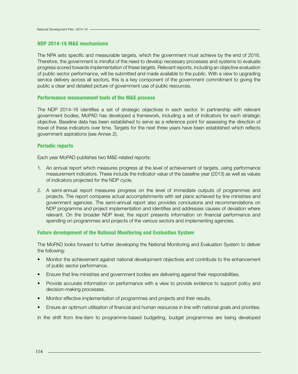### NDP 2014-16 M&E mechanisms

The NPA sets specific and measurable targets, which the government must achieve by the end of 2016. Therefore, the government is mindful of the need to develop necessary processes and systems to evaluate progress scored towards implementation of these targets. Relevant reports, including an objective evaluation of public sector performance, will be submitted and made available to the public. With a view to upgrading service delivery across all sectors, this is a key component of the government commitment to giving the public a clear and detailed picture of government use of public resources.

### Performance measurement tools of the M&E process

The NDP 2014-16 identifies a set of strategic objectives in each sector. In partnership with relevant government bodies, MoPAD has developed a framework, including a set of indicators for each strategic objective. Baseline data has been established to serve as a reference point for assessing the direction of travel of these indicators over time. Targets for the next three years have been established which reflects government aspirations (see Annex 2).

### Periodic reports

Each year MoPAD publishes two M&E-related reports:

- 1. An annual report which measures progress at the level of achievement of targets, using performance measurement indicators. These include the indicator value of the baseline year (2013) as well as values of indicators projected for the NDP cycle.
- 2. A semi-annual report measures progress on the level of immediate outputs of programmes and projects. The report compares actual accomplishments with set plans achieved by line ministries and government agencies. The semi-annual report also provides conclusions and recommendations on NDP programme and project implementation and identifies and addresses causes of deviation where relevant. On the broader NDP level, the report presents information on financial performance and spending on programmes and projects of the various sectors and implementing agencies.

### Future development of the National Monitoring and Evaluation System

The MoPAD looks forward to further developing the National Monitoring and Evaluation System to deliver the following:

- Monitor the achievement against national development objectives and contribute to the enhancement of public sector performance.
- Ensure that line ministries and government bodies are delivering against their responsibilities.
- Provide accurate information on performance with a view to provide evidence to support policy and decision-making processes.
- Monitor effective implementation of programmes and projects and their results.
- Ensure an optimum utilisation of financial and human resources in line with national goals and priorities.

In the shift from line-item to programme-based budgeting, budget programmes are being developed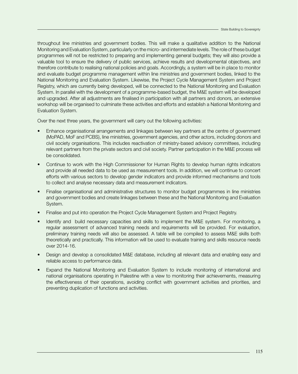throughout line ministries and government bodies. This will make a qualitative addition to the National Monitoring and Evaluation System, particularly on the micro- and intermediate levels. The role of these budget programmes will not be restricted to preparing and implementing general budgets; they will also provide a valuable tool to ensure the delivery of public services, achieve results and developmental objectives, and therefore contribute to realising national policies and goals. Accordingly, a system will be in place to monitor and evaluate budget programme management within line ministries and government bodies, linked to the National Monitoring and Evaluation System. Likewise, the Project Cycle Management System and Project Registry, which are currently being developed, will be connected to the National Monitoring and Evaluation System. In parallel with the development of a programme-based budget, the M&E system will be developed and upgraded. After all adjustments are finalised in participation with all partners and donors, an extensive workshop will be organised to culminate these activities and efforts and establish a National Monitoring and Evaluation System.

Over the next three years, the government will carry out the following activities:

- Enhance organisational arrangements and linkages between key partners at the centre of government (MoPAD, MoF and PCBS), line ministries, government agencies, and other actors, including donors and civil society organisations. This includes reactivation of ministry-based advisory committees, including relevant partners from the private sectors and civil society. Partner participation in the M&E process will be consolidated.
- Continue to work with the High Commissioner for Human Rights to develop human rights indicators and provide all needed data to be used as measurement tools. In addition, we will continue to concert efforts with various sectors to develop gender indicators and provide informed mechanisms and tools to collect and analyse necessary data and measurement indicators.
- Finalise organisational and administrative structures to monitor budget programmes in line ministries and government bodies and create linkages between these and the National Monitoring and Evaluation System.
- Finalise and put into operation the Project Cycle Management System and Project Registry.
- Identify and build necessary capacities and skills to implement the M&E system. For monitoring, a regular assessment of advanced training needs and requirements will be provided. For evaluation, preliminary training needs will also be assessed. A table will be compiled to assess M&E skills both theoretically and practically. This information will be used to evaluate training and skills resource needs over 2014-16.
- Design and develop a consolidated M&E database, including all relevant data and enabling easy and reliable access to performance data.
- Expand the National Monitoring and Evaluation System to include monitoring of international and national organisations operating in Palestine with a view to monitoring their achievements, measuring the effectiveness of their operations, avoiding conflict with government activities and priorities, and preventing duplication of functions and activities.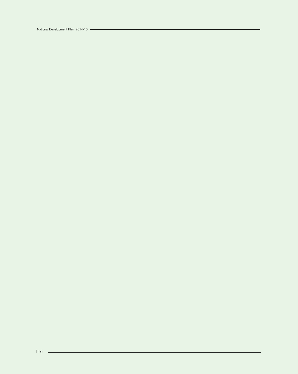National Development Plan 2014-16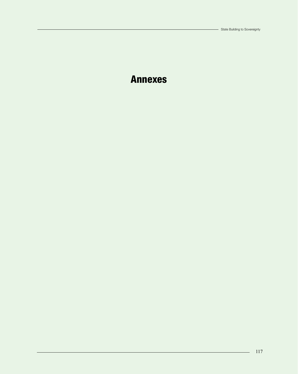# Annexes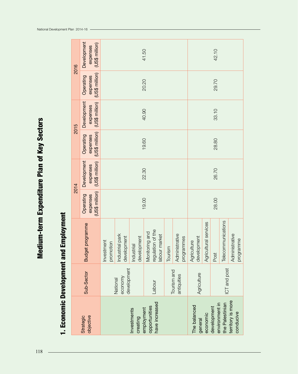| I. Economic Development a                     |                                    | Medium-term Expenditure Plan of Key Sectors<br>and Employment |                                         |                                           |                                         |                                           |                                         |                                           |
|-----------------------------------------------|------------------------------------|---------------------------------------------------------------|-----------------------------------------|-------------------------------------------|-----------------------------------------|-------------------------------------------|-----------------------------------------|-------------------------------------------|
|                                               |                                    |                                                               |                                         | 2014                                      |                                         | 2015                                      |                                         | 2016                                      |
|                                               |                                    |                                                               |                                         |                                           |                                         |                                           |                                         |                                           |
| objective<br>Strategic                        | Sub-Sector                         | Budget programme                                              | (US\$ million)<br>Operating<br>expenses | Development<br>(US\$ million)<br>expenses | (US\$ million)<br>Operating<br>expenses | Development<br>(US\$ million)<br>expenses | (US\$ million)<br>Operating<br>expenses | Development<br>(US\$ million)<br>expenses |
|                                               |                                    | Investment<br>promotion                                       |                                         |                                           |                                         |                                           |                                         |                                           |
|                                               | development<br>economy<br>National | Industrial park<br>development                                |                                         |                                           |                                         |                                           |                                         |                                           |
| Investments<br>creating                       |                                    | development<br>Industrial                                     |                                         |                                           |                                         |                                           |                                         |                                           |
| have increased<br>opportunities<br>employment | Labour                             | regulation of the<br>Monitoring and<br>labour market          | 19.00                                   | 22.30                                     | 19.60                                   | 40.90                                     | 20.20                                   | 41.50                                     |
|                                               |                                    | Tourism                                                       |                                         |                                           |                                         |                                           |                                         |                                           |
|                                               | Tourism and<br>antiquities         | Administrative<br>programmes                                  |                                         |                                           |                                         |                                           |                                         |                                           |
| The balanced<br>general                       | Agriculture                        | Agriculture<br>development                                    |                                         |                                           |                                         |                                           |                                         |                                           |
| economic                                      |                                    | Agricultural services                                         |                                         |                                           |                                         |                                           |                                         |                                           |
| environment in<br>development                 |                                    | Post                                                          | 28.00                                   | 26.70                                     | 28.80                                   | 33.10                                     | 29.70                                   | 42.10                                     |
| the Palestinian                               | ICT and post                       | Telecommunications                                            |                                         |                                           |                                         |                                           |                                         |                                           |
| territory is more<br>conducive                |                                    | Administrative<br>programme                                   |                                         |                                           |                                         |                                           |                                         |                                           |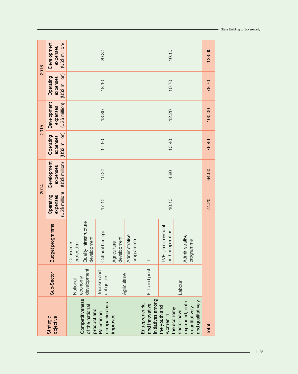|      | <b>Budget programme</b><br>Sub-Sector<br>objective<br>Strategic | Consumer<br>protection<br>National | Quality infrastructure<br>development<br>development<br>economy<br>Competitiveness<br>of the national<br>product and | Cultural heritage<br>Tourism and<br>antiquities<br>companies has<br>Palestinian | development<br>Agriculture<br>improved | Administrative<br>programme<br>Agriculture | ICT and post<br>initiatives among<br>Entrepreneurial<br>and innovative | TVET, employment<br>and cooperation<br>the youth and<br>the economy<br>women in | Administrative<br>programme<br>-abour<br>and qualitatively<br>expanded, both<br>quantitatively<br>sector have | <b>Total</b> |
|------|-----------------------------------------------------------------|------------------------------------|----------------------------------------------------------------------------------------------------------------------|---------------------------------------------------------------------------------|----------------------------------------|--------------------------------------------|------------------------------------------------------------------------|---------------------------------------------------------------------------------|---------------------------------------------------------------------------------------------------------------|--------------|
|      | (US\$ million)<br>Operating<br>expenses                         |                                    |                                                                                                                      | 17.10                                                                           |                                        |                                            |                                                                        | 10.10                                                                           |                                                                                                               | 74.20        |
| 2014 | Development<br>(US\$ million)<br>expenses                       |                                    |                                                                                                                      | 10.20                                                                           |                                        |                                            |                                                                        | 4.80                                                                            |                                                                                                               | 64.00        |
|      | (US\$ million)<br>Operating<br>expenses                         |                                    |                                                                                                                      | 17.60                                                                           |                                        |                                            |                                                                        | 10.40                                                                           |                                                                                                               | 76.40        |
| 2015 | Development<br>(US\$ million)<br>expenses                       |                                    |                                                                                                                      | 13.80                                                                           |                                        |                                            |                                                                        | 12.20                                                                           |                                                                                                               | 100.00       |
|      | (US\$ million)<br>Operating<br>expenses                         |                                    |                                                                                                                      | 18.10                                                                           |                                        |                                            |                                                                        | 10.70                                                                           |                                                                                                               | 78.70        |
| 2016 | Development<br>(US\$ million)<br>expenses                       |                                    |                                                                                                                      | 29.30                                                                           |                                        |                                            |                                                                        | 10.10                                                                           |                                                                                                               | 123.00       |

- State Building to Sovereignty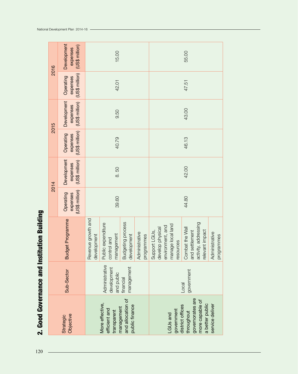| Development<br>(US\$ million)<br>expenses<br>43.00<br>9.50<br>2015<br>(US\$ million)<br>Operating<br>expenses<br>40.79<br>46.13<br>Development<br>expenses<br>(US\$ million)<br>42.00<br>8.50<br>2014<br>(US\$ million)<br>Operating<br>expenses<br>39.60<br>44.80<br>2. Good Governance and Institution Building<br>Revenue growth and<br><b>Budget Programme</b><br><b>Budgeting process</b><br>activity, addressing<br>Public expenditure<br>manage local land<br>environment, and<br>Combat the Wall<br>develop physical<br>and settlement<br>relevant impact<br>Support LGUs,<br>Administrative<br>Administrative<br>management<br>development<br>development<br>programmes<br>control and<br>resources<br>Administrative<br>management<br>development<br>Sub-Sector<br>government<br>and public<br>financial<br>Local<br>governorates are<br>and allocation of<br>more capable of<br>More effective,<br>a better public<br>service deliver<br>public finance<br>district offices<br>management<br>efficient and<br>government<br>transparent<br>throughout<br><b>LGUs and</b><br>Objective<br>Strategic | Development<br>(US\$ million)<br>expenses<br>15.00<br>55.00<br>2016<br>(US\$ million)<br>Operating<br>expenses<br>42.01<br>47.51 |
|---------------------------------------------------------------------------------------------------------------------------------------------------------------------------------------------------------------------------------------------------------------------------------------------------------------------------------------------------------------------------------------------------------------------------------------------------------------------------------------------------------------------------------------------------------------------------------------------------------------------------------------------------------------------------------------------------------------------------------------------------------------------------------------------------------------------------------------------------------------------------------------------------------------------------------------------------------------------------------------------------------------------------------------------------------------------------------------------------------------|----------------------------------------------------------------------------------------------------------------------------------|
|---------------------------------------------------------------------------------------------------------------------------------------------------------------------------------------------------------------------------------------------------------------------------------------------------------------------------------------------------------------------------------------------------------------------------------------------------------------------------------------------------------------------------------------------------------------------------------------------------------------------------------------------------------------------------------------------------------------------------------------------------------------------------------------------------------------------------------------------------------------------------------------------------------------------------------------------------------------------------------------------------------------------------------------------------------------------------------------------------------------|----------------------------------------------------------------------------------------------------------------------------------|

2. Good Governance and Institution Building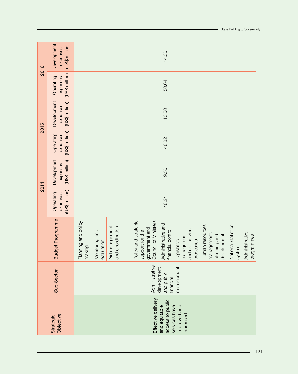|      | Development<br>(US\$ million)<br>expenses |                               |                              |                                    |                                                                                   | 14.00                                   |                                                             |                                                               |                               |                              |
|------|-------------------------------------------|-------------------------------|------------------------------|------------------------------------|-----------------------------------------------------------------------------------|-----------------------------------------|-------------------------------------------------------------|---------------------------------------------------------------|-------------------------------|------------------------------|
| 2016 | (US\$ million)<br>Operating<br>expenses   |                               |                              |                                    |                                                                                   | 50.64                                   |                                                             |                                                               |                               |                              |
| 2015 | Development<br>(US\$ million)<br>expenses |                               |                              |                                    |                                                                                   | 10.50                                   |                                                             |                                                               |                               |                              |
|      | (US\$ million)<br>Operating<br>expenses   |                               |                              |                                    |                                                                                   | 48.82                                   |                                                             |                                                               |                               |                              |
| 2014 | Development<br>(US\$ million)<br>expenses |                               |                              |                                    |                                                                                   | 9.50                                    |                                                             |                                                               |                               |                              |
|      | (US\$ million)<br>Operating<br>expenses   |                               |                              |                                    |                                                                                   | 48.24                                   |                                                             |                                                               |                               |                              |
|      | <b>Budget Programme</b>                   | Planning and policy<br>making | Monitoring and<br>evaluation | Aid management<br>and coordination | Council of Ministers<br>Policy and strategic<br>government and<br>support for the | Administrative and<br>financial control | and civil service<br>management<br>Legislative<br>processes | Human resources<br>management,<br>development<br>planning and | National statistics<br>system | Administrative<br>programmes |
|      | Sub-Sector                                |                               |                              |                                    | Administrative                                                                    | development<br>and public<br>financial  | management                                                  |                                                               |                               |                              |
|      | Objective<br>Strategic                    |                               |                              |                                    | Effective delivery                                                                | access to public<br>and equitable       | services have<br>improved and<br>increased                  |                                                               |                               |                              |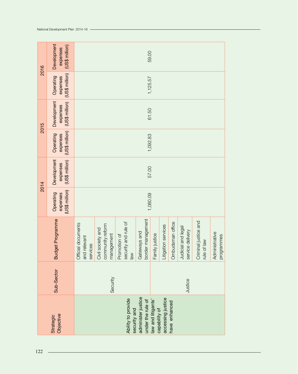| 2016 | Development<br>(US\$ million)<br>expenses<br>(US\$ million)<br>expenses<br>Operating |                                                |                                                     |                                             | 59.00<br>1,125.57                       |                                     |                     |                  |                                        |                                     |                              |
|------|--------------------------------------------------------------------------------------|------------------------------------------------|-----------------------------------------------------|---------------------------------------------|-----------------------------------------|-------------------------------------|---------------------|------------------|----------------------------------------|-------------------------------------|------------------------------|
| 2015 | Development<br>(US\$ million)<br>expenses                                            |                                                |                                                     |                                             | 61.50                                   |                                     |                     |                  |                                        |                                     |                              |
|      | (US\$ million)<br>Operating<br>expenses                                              |                                                |                                                     |                                             | 1,092.83                                |                                     |                     |                  |                                        |                                     |                              |
|      | Development<br>(US\$ million)<br>expenses                                            |                                                |                                                     |                                             | 57.00                                   |                                     |                     |                  |                                        |                                     |                              |
| 2014 | (US\$ million)<br>expenses<br>Operating                                              |                                                |                                                     |                                             | 1,060.09                                |                                     |                     |                  |                                        |                                     |                              |
|      | <b>Budget Programme</b>                                                              | Official documents<br>and relevant<br>services | community reform<br>Civil society and<br>management | security and rule of<br>Promotion of<br>law | border management<br>Gateways and       | Family justice                      | Litigation services | Ombudsman office | Judicial and legal<br>service delivery | Criminal justice and<br>rule of law | Administrative<br>programmes |
|      | Sub-Sector                                                                           |                                                | Security                                            |                                             |                                         |                                     |                     |                  | Justice                                |                                     |                              |
|      | Objective<br>Strategic                                                               |                                                |                                                     | Ability to provide<br>security and          | administer justice<br>under the rule of | law and litigants'<br>capability of | accessing justice   | have enhanced    |                                        |                                     |                              |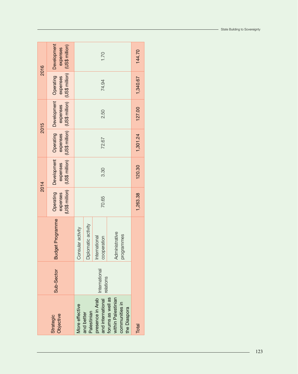| 2016 | Operating Development<br>(US\$ million)   (US\$ million)   (US\$ million)<br>expenses |                   |                           | 1.70                                  |                                                                           | 144.70   |
|------|---------------------------------------------------------------------------------------|-------------------|---------------------------|---------------------------------------|---------------------------------------------------------------------------|----------|
|      | expenses                                                                              |                   |                           | 74.94                                 |                                                                           | 1,340.67 |
| 2015 | Development<br>expenses                                                               |                   |                           | 2.50                                  |                                                                           | 127.00   |
|      | Operating<br>US\$ million)<br>expenses                                                |                   |                           | 72.67                                 |                                                                           | 1,301.24 |
| 2014 | Development<br>(US\$ million)<br>expenses                                             |                   |                           | 3.30                                  |                                                                           | 120.30   |
|      | US\$ million)<br>Operating<br>expenses                                                |                   |                           | 70.65                                 |                                                                           | 1,263.38 |
|      | <b>Budget Programme</b>                                                               | Consular activity | Diplomatic activity       | International<br>cooperation          | Administrative<br>programmes                                              |          |
|      | Sub-Sector                                                                            |                   |                           | International<br>elations             |                                                                           |          |
|      | Objective<br><b>Strategic</b>                                                         | More effective    | Palestinian<br>and better | presence in Arab<br>and international | forums as well as<br>within Palestinian<br>communities in<br>the Diaspora | Total    |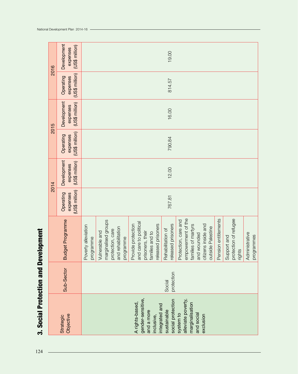| 3. Social Protection and Development |      | Sub-Sector<br>Objective<br>Strategic      |                                  |                                                                                              | gender-sensitive,<br>A rights-based,<br>integrated and<br>and a more<br>inclusive,                       | protection<br>Social<br>social protection<br>sustainable | alleviate poverty,<br>marginalisation<br>and social<br>system to<br>exclusion                                                |                      |                                                |                              |
|--------------------------------------|------|-------------------------------------------|----------------------------------|----------------------------------------------------------------------------------------------|----------------------------------------------------------------------------------------------------------|----------------------------------------------------------|------------------------------------------------------------------------------------------------------------------------------|----------------------|------------------------------------------------|------------------------------|
|                                      |      |                                           |                                  |                                                                                              |                                                                                                          |                                                          |                                                                                                                              |                      |                                                |                              |
|                                      |      | <b>Budget Programme</b>                   | Poverty alleviation<br>programme | marginalised groups<br>and rehabilitation<br>protection, care<br>Vulnerable and<br>programme | and care to political<br>released prisoners<br>Provide protection<br>prisoners, their<br>families and to | released prisoners<br>Rehabilitation of                  | empowerment of the<br>Protection, care and<br>citizens inside and<br>families of martyrs<br>outside Palestine<br>and wounded | Pension entitlements | protection of refugee<br>Support and<br>rights | Administrative<br>programmes |
|                                      |      | (US\$ million)<br>Operating<br>expenses   |                                  |                                                                                              |                                                                                                          | 767.81                                                   |                                                                                                                              |                      |                                                |                              |
|                                      | 2014 | Development<br>(US\$ million)<br>expenses |                                  |                                                                                              |                                                                                                          | 12.00                                                    |                                                                                                                              |                      |                                                |                              |
|                                      |      | (US\$ million)<br>Operating<br>expenses   |                                  |                                                                                              |                                                                                                          | 790.84                                                   |                                                                                                                              |                      |                                                |                              |
|                                      | 2015 | Development<br>(US\$ million)<br>expenses |                                  |                                                                                              |                                                                                                          | 16.00                                                    |                                                                                                                              |                      |                                                |                              |
|                                      |      | (US\$ million)<br>Operating<br>expenses   |                                  |                                                                                              |                                                                                                          | 814.57                                                   |                                                                                                                              |                      |                                                |                              |
|                                      | 2016 | Development<br>(US\$ million)<br>expenses |                                  |                                                                                              |                                                                                                          | 19.00                                                    |                                                                                                                              |                      |                                                |                              |

# 3. Social Protection and Development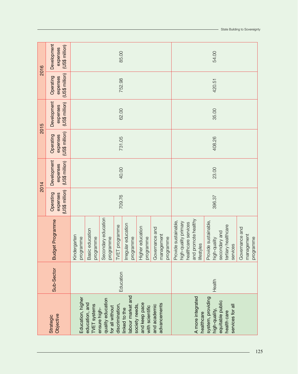|                                                                                           |            |                                                                                                          |                                         | 2014                                      |                                         | 2015                                      |                                         | 2016                                      |
|-------------------------------------------------------------------------------------------|------------|----------------------------------------------------------------------------------------------------------|-----------------------------------------|-------------------------------------------|-----------------------------------------|-------------------------------------------|-----------------------------------------|-------------------------------------------|
| Objective<br>Strategic                                                                    | Sub-Sector | <b>Budget Programme</b>                                                                                  | (US\$ million)<br>Operating<br>expenses | Development<br>(US\$ million)<br>expenses | (US\$ million)<br>Operating<br>expenses | Development<br>(US\$ million)<br>expenses | (US\$ million)<br>Operating<br>expenses | Development<br>(US\$ million)<br>expenses |
| Education, higher                                                                         |            | Kindergarten<br>programme                                                                                |                                         |                                           |                                         |                                           |                                         |                                           |
| education, and<br><b>TVET</b> systems                                                     |            | Basic education<br>programme                                                                             |                                         |                                           |                                         |                                           |                                         |                                           |
| quality education<br>for all without<br>ensure high-                                      |            | Secondary education<br>programme                                                                         |                                         |                                           |                                         |                                           |                                         |                                           |
| discrimination,                                                                           | Education  | <b>TVET</b> programme                                                                                    | 709.76                                  | 40.00                                     | 731.05                                  | 62.00                                     | 752.98                                  | 85.00                                     |
| labour market and<br>linked to the                                                        |            | Irregular education<br>programme                                                                         |                                         |                                           |                                         |                                           |                                         |                                           |
| and keep pace<br>society needs,<br>with scientific                                        |            | Higher education<br>programme                                                                            |                                         |                                           |                                         |                                           |                                         |                                           |
| advancements<br>and academic                                                              |            | Governance and<br>management<br>programme                                                                |                                         |                                           |                                         |                                           |                                         |                                           |
| A more integrated<br>healthcare                                                           |            | and promote healthy<br>Provide sustainable,<br>high-quality primary<br>healthcare services<br>lifestyles |                                         |                                           |                                         |                                           |                                         |                                           |
| system, providing<br>equitable public<br>services for all<br>high-quality,<br>health care | Health     | Provide sustainable,<br>tertiary healthcare<br>secondary and<br>high-quality<br>services                 | 396.37                                  | 23.00                                     | 408.26                                  | 35.00                                     | 420.51                                  | 54.00                                     |
|                                                                                           |            | Governance and<br>management<br>programme                                                                |                                         |                                           |                                         |                                           |                                         |                                           |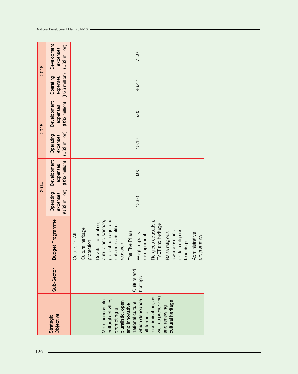| Development<br>(US\$ million)<br>expenses<br>7.00<br>2016<br>(US\$ million)<br>Operating<br>expenses<br>46.47<br>Development<br>(US\$ million)<br>expenses<br>5.00<br>2015<br>(US\$ million)<br>Operating<br>expenses<br>45.12<br>3.00 |
|----------------------------------------------------------------------------------------------------------------------------------------------------------------------------------------------------------------------------------------|
| <b>Development</b><br>(US\$ million)<br>expenses<br>2014                                                                                                                                                                               |
|                                                                                                                                                                                                                                        |
|                                                                                                                                                                                                                                        |
|                                                                                                                                                                                                                                        |
|                                                                                                                                                                                                                                        |
|                                                                                                                                                                                                                                        |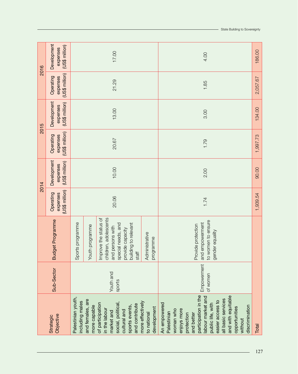|                                                                                                                                                                                                                                                                     |                         |                                                                                                                                               |                                         | 2014                                      |                                         | 2015                                      |                                         | 2016                                      |
|---------------------------------------------------------------------------------------------------------------------------------------------------------------------------------------------------------------------------------------------------------------------|-------------------------|-----------------------------------------------------------------------------------------------------------------------------------------------|-----------------------------------------|-------------------------------------------|-----------------------------------------|-------------------------------------------|-----------------------------------------|-------------------------------------------|
| Objective<br>Strategic                                                                                                                                                                                                                                              | Sub-Sector              | <b>Budget Programme</b>                                                                                                                       | (US\$ million)<br>Operating<br>expenses | Development<br>(US\$ million)<br>expenses | (US\$ million)<br>expenses<br>Operating | Development<br>(US\$ million)<br>expenses | (US\$ million)<br>expenses<br>Operating | Development<br>(US\$ million)<br>expenses |
| Palestinian youth,<br>including males                                                                                                                                                                                                                               |                         | Sports programme                                                                                                                              |                                         |                                           |                                         |                                           |                                         |                                           |
| and females, are<br>more capable                                                                                                                                                                                                                                    |                         | Youth programme                                                                                                                               |                                         |                                           |                                         |                                           |                                         |                                           |
| social, political<br>of participation<br>and contribute<br>sports events,<br>in the labour<br>cultural and<br>market and                                                                                                                                            | Youth and<br>sports     | children, adolescents<br>Improve the status of<br>building to relevant<br>special needs, and<br>and persons with<br>provide capacity<br>staff | 20.06                                   | 10.00                                     | 20.67                                   | 13.00                                     | 21.29                                   | 17.00                                     |
| more effectively<br>development<br>to national                                                                                                                                                                                                                      |                         | Administrative<br>programme                                                                                                                   |                                         |                                           |                                         |                                           |                                         |                                           |
| participation in the<br>and with equitable<br>labour market and<br>all basic services<br>easier access to<br>An empowered<br>public life, with<br>discrimination<br>opportunities<br>enjoys more<br>woman who<br>Palestinian<br>protection<br>and better<br>without | Empowerment<br>of women | to women to ensure<br>and empowerment<br>Provide protection<br>gender equality                                                                | 1.74                                    | 2.00                                      | 1.79                                    | 3.00                                      | 1.85                                    | 4.00                                      |
| Total                                                                                                                                                                                                                                                               |                         |                                                                                                                                               | 1,939.54                                | 90.00                                     | 1,997.73                                | 134.00                                    | 2,057.67                                | 186.00                                    |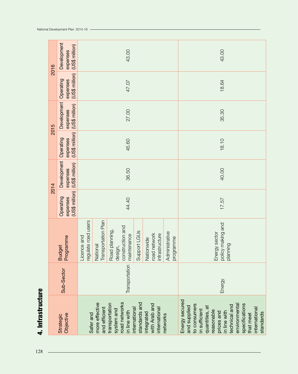|                   | 2014 | (US\$ million)<br>Operating<br>expenses<br>Development<br>(US\$ million)<br>expenses<br>(US\$ million)<br>Operating<br>expenses |                                    |                                 | 45.60<br>36.50<br>44.40                                       |                                |                                              |                             | 18.10<br>40.00<br>17.57                                                                                                                                                                                                      |
|-------------------|------|---------------------------------------------------------------------------------------------------------------------------------|------------------------------------|---------------------------------|---------------------------------------------------------------|--------------------------------|----------------------------------------------|-----------------------------|------------------------------------------------------------------------------------------------------------------------------------------------------------------------------------------------------------------------------|
|                   |      | Programme<br><b>Budget</b>                                                                                                      | regulate road users<br>Licence and | Transportation Plan<br>National | construction and<br>Road planning,<br>maintenance<br>design,  | Support LGUs                   | road network<br>nfrastructure<br>Nationwide  | Administrative<br>programme | policy making and<br>Energy sector<br>planning                                                                                                                                                                               |
|                   |      | Sub-Sector                                                                                                                      |                                    |                                 | Transportation                                                |                                |                                              |                             | Energy                                                                                                                                                                                                                       |
| 4. Infrastructure |      | Objective<br>Strategic                                                                                                          | Safer and                          | more effective<br>and efficient | road networks<br>transportation<br>system and<br>in line with | standards and<br>international | with Arab and<br>international<br>integrated | networks                    | Energy secured<br>environmental<br>specifications<br>to consumers<br>technical and<br>and supplied<br>quantities, at<br>international<br>in sufficient<br>reasonable<br>in line with<br>prices and<br>standards<br>that meet |

128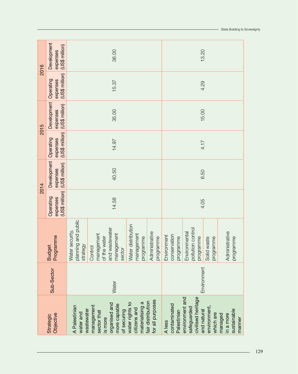| 2016 | Development<br>(US\$ million)<br>expenses        |                                                    | 36.00                                                                                |                                                    |                                       |                                          | 13.20                                                               |                           |                                               |
|------|--------------------------------------------------|----------------------------------------------------|--------------------------------------------------------------------------------------|----------------------------------------------------|---------------------------------------|------------------------------------------|---------------------------------------------------------------------|---------------------------|-----------------------------------------------|
|      | (US\$ million)<br>Operating<br>expenses          |                                                    | 15.37                                                                                |                                                    |                                       |                                          | 4.29                                                                |                           |                                               |
| 2015 | Development<br>(US\$ million)<br>expenses        |                                                    | 35.00                                                                                |                                                    |                                       |                                          | 15.00                                                               |                           |                                               |
|      | (US\$ million)<br>Operating<br>expenses          |                                                    | 14.97                                                                                |                                                    |                                       |                                          | 4.17                                                                |                           |                                               |
| 2014 | <b>Development</b><br>(US\$ million)<br>expenses |                                                    | 40.50                                                                                |                                                    |                                       |                                          | 6.50                                                                |                           |                                               |
|      | (US\$ million)<br>Operating<br>expenses          |                                                    | 14.58                                                                                |                                                    |                                       |                                          | 4.05                                                                |                           |                                               |
|      | Programme<br><b>Budget</b>                       | planning and public<br>Nater security,<br>strategy | and wastewater<br>management<br>management<br>of the water<br>Control<br>sector      | Water distribution<br>management<br>programme      | Administrative<br>programme           | conservation<br>Environment<br>programme | pollution control<br>Environmental<br>programme                     | programme<br>Solid waste  | Administrative<br>programme                   |
|      | Sub-Sector                                       |                                                    | Water                                                                                |                                                    |                                       |                                          | Environment                                                         |                           |                                               |
|      | Objective<br>Strategic                           | A Palestinian<br>wastewater<br>water and           | organised and<br>more capable<br>management<br>of securing<br>sector that<br>is more | water rights to<br>materialising a<br>citizens and | for all purposes<br>fair distribution | contaminated<br>Palestinian<br>A less    | environment and<br>civilised heritage<br>safeguarded<br>and natural | environment,<br>which are | sustainable<br>in a more<br>managed<br>manner |

 $\overline{a}$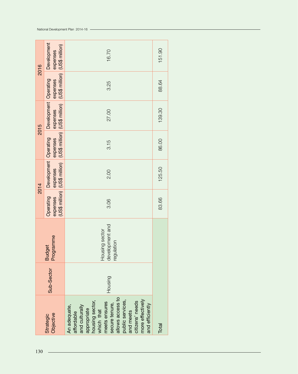|      | Sub-Sector<br>Objective<br><b>Strategic</b>                                                                                    | <b>Housing</b><br>allows access to<br>more effectively<br>public services,<br>housing sector,<br>which that<br>citizens' needs<br>meets ensures<br>and efficiently<br>secure tenure,<br>and culturally<br>An adequate,<br>appropriate<br>and meets<br>affordable |        |
|------|--------------------------------------------------------------------------------------------------------------------------------|------------------------------------------------------------------------------------------------------------------------------------------------------------------------------------------------------------------------------------------------------------------|--------|
|      | Programme<br><b>Budget</b>                                                                                                     | development and<br>Housing sector<br>regulation                                                                                                                                                                                                                  |        |
|      | Operating<br>expenses                                                                                                          | 3.06                                                                                                                                                                                                                                                             | 83.66  |
| 2014 | Development Operating<br>expenses                                                                                              | 2.00                                                                                                                                                                                                                                                             | 125.50 |
|      | expenses                                                                                                                       | 3.15                                                                                                                                                                                                                                                             | 86.00  |
| 2015 | (US\$ million) (US\$ million) (US\$ million) (US\$ million) (US\$ million) (US\$ million)<br>Development Operating<br>expenses | 27.00                                                                                                                                                                                                                                                            | 139.30 |
|      | expenses                                                                                                                       | 3.25                                                                                                                                                                                                                                                             | 88.64  |
| 2016 | Development<br>expenses                                                                                                        | 16.70                                                                                                                                                                                                                                                            | 151.90 |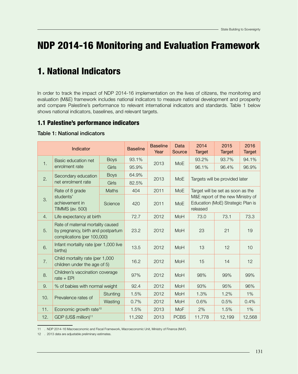# NDP 2014-16 Monitoring and Evaluation Framework

# 1. National Indicators

In order to track the impact of NDP 2014-16 implementation on the lives of citizens, the monitoring and evaluation (M&E) framework includes national indicators to measure national development and prosperity and compare Palestine's performance to relevant international indicators and standards. Table 1 below shows national indicators, baselines, and relevant targets.

### 1.1 Palestine's performance indicators

|     | Indicator                                                                                              |              | <b>Baseline</b> | <b>Baseline</b><br>Year | Data<br>Source | 2014<br><b>Target</b> | 2015<br><b>Target</b>                                                  | 2016<br><b>Target</b> |
|-----|--------------------------------------------------------------------------------------------------------|--------------|-----------------|-------------------------|----------------|-----------------------|------------------------------------------------------------------------|-----------------------|
| 1.  | <b>Basic education net</b>                                                                             | <b>Boys</b>  | 93.1%           | 2013                    | <b>MoE</b>     | 93.2%                 | 93.7%                                                                  | 94.1%                 |
|     | enrolment rate                                                                                         | Girls        | 95.9%           |                         |                | 96.1%                 | 96.4%                                                                  | 96.9%                 |
| 2.  | Secondary education                                                                                    | <b>Boys</b>  | 64.9%           | 2013                    | <b>MoE</b>     |                       | Targets will be provided later                                         |                       |
|     | net enrolment rate                                                                                     | <b>Girls</b> | 82.5%           |                         |                |                       |                                                                        |                       |
|     | Rate of 8 grade                                                                                        | <b>Maths</b> | 404             | 2011                    | <b>MoE</b>     |                       | Target will be set as soon as the                                      |                       |
| 3.  | students'<br>achievement in<br><b>TIMMS (av. 500)</b>                                                  | Science      | 420             | 2011                    | <b>MoE</b>     | released              | M&E report of the new Ministry of<br>Education (MoE) Strategic Plan is |                       |
| 4.  | Life expectancy at birth                                                                               |              | 72.7            | 2012                    | MoH            | 73.0                  | 73.1                                                                   | 73.3                  |
| 5.  | Rate of maternal mortality caused<br>by pregnancy, birth and postpartum<br>complications (per 100,000) |              | 23.2            | 2012                    | MoH            | 23                    | 21                                                                     | 19                    |
| 6.  | Infant mortality rate (per 1,000 live<br>births)                                                       |              | 13.5            | 2012                    | MoH            | 13                    | 12                                                                     | 10                    |
| 7.  | Child mortality rate (per 1,000<br>children under the age of 5)                                        |              | 16.2            | 2012                    | MoH            | 15                    | 14                                                                     | 12                    |
| 8.  | Children's vaccination coverage<br>rate $+$ EPI                                                        |              | 97%             | 2012                    | MoH            | 98%                   | 99%                                                                    | 99%                   |
| 9.  | % of babies with normal weight                                                                         |              | 92.4            | 2012                    | <b>MoH</b>     | 93%                   | 95%                                                                    | 96%                   |
| 10. | Prevalence rates of                                                                                    | Stunting     | 1.5%            | 2012                    | MoH            | 1.3%                  | 1.2%                                                                   | 1%                    |
|     |                                                                                                        | Wasting      | 0.7%            | 2012                    | <b>MoH</b>     | 0.6%                  | 0.5%                                                                   | 0.4%                  |
| 11. | Economic growth rate <sup>10</sup>                                                                     |              | 1.5%            | 2013                    | <b>MoF</b>     | 2%                    | 1.5%                                                                   | 1%                    |
| 12. | GDP (US\$ million) <sup>11</sup>                                                                       |              | 11,292          | 2013                    | <b>PCBS</b>    | 11,778                | 12,199                                                                 | 12,568                |

### Table 1: National indicators

11 . NDP 2014-16 Macroeconomic and Fiscal Framework, Macroeconomic Unit, Ministry of Finance (MoF).

12 . 2013 data are adjustable preliminary estimates.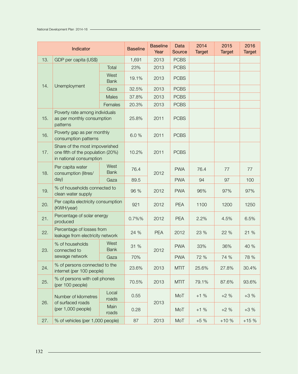|     | Indicator                                                                                      |                     | <b>Baseline</b> | <b>Baseline</b><br>Year | Data<br>Source | 2014<br><b>Target</b> | 2015<br><b>Target</b> | 2016<br><b>Target</b> |
|-----|------------------------------------------------------------------------------------------------|---------------------|-----------------|-------------------------|----------------|-----------------------|-----------------------|-----------------------|
| 13. | GDP per capita (US\$)                                                                          |                     | 1,691           | 2013                    | <b>PCBS</b>    |                       |                       |                       |
|     |                                                                                                | Total               | 23%             | 2013                    | <b>PCBS</b>    |                       |                       |                       |
|     |                                                                                                | West<br><b>Bank</b> | 19.1%           | 2013                    | <b>PCBS</b>    |                       |                       |                       |
| 14. | Unemployment                                                                                   | Gaza                | 32.5%           | 2013                    | <b>PCBS</b>    |                       |                       |                       |
|     |                                                                                                | Males               | 37.8%           | 2013                    | <b>PCBS</b>    |                       |                       |                       |
|     |                                                                                                | Females             | 20.3%           | 2013                    | <b>PCBS</b>    |                       |                       |                       |
| 15. | Poverty rate among individuals<br>as per monthly consumption<br>patterns                       |                     | 25.8%           | 2011                    | <b>PCBS</b>    |                       |                       |                       |
| 16. | Poverty gap as per monthly<br>consumption patterns                                             |                     | 6.0%            | 2011                    | <b>PCBS</b>    |                       |                       |                       |
| 17. | Share of the most impoverished<br>one fifth of the population (20%)<br>in national consumption |                     | 10.2%           | 2011                    | <b>PCBS</b>    |                       |                       |                       |
| 18. | Per capita water<br>consumption (litres/                                                       | West<br><b>Bank</b> | 76.4            | 2012                    | <b>PWA</b>     | 76.4                  | 77                    | 77                    |
|     | day)                                                                                           | Gaza                | 89.5            |                         | <b>PWA</b>     | 94                    | 97                    | 100                   |
| 19. | % of households connected to<br>clean water supply                                             |                     | 96 %            | 2012                    | <b>PWA</b>     | 96%                   | 97%                   | 97%                   |
| 20. | Per capita electricity consumption<br>(KWH/year)                                               |                     | 921             | 2012                    | <b>PEA</b>     | 1100                  | 1200                  | 1250                  |
| 21. | Percentage of solar energy<br>produced                                                         |                     | 0.7%%           | 2012                    | <b>PEA</b>     | 2.2%                  | 4.5%                  | 6.5%                  |
| 22. | Percentage of losses from<br>leakage from electricity network                                  |                     | 24 %            | <b>PEA</b>              | 2012           | 23 %                  | 22 %                  | 21 %                  |
| 23. | % of households<br>connected to                                                                | West<br><b>Bank</b> | 31 %            | 2012                    | <b>PWA</b>     | 33%                   | 36%                   | 40 %                  |
|     | sewage network                                                                                 | Gaza                | 70%             |                         | <b>PWA</b>     | 72 %                  | 74 %                  | 78 %                  |
| 24. | % of persons connected to the<br>internet (per 100 people)                                     |                     | 23.6%           | 2013                    | <b>MTIT</b>    | 25.6%                 | 27.8%                 | 30.4%                 |
| 25. | % of persons with cell phones<br>(per 100 people)                                              |                     | 70.5%           | 2013                    | <b>MTIT</b>    | 79.1%                 | 87.6%                 | 93.6%                 |
|     | Number of kilometres                                                                           | Local<br>roads      | 0.55            |                         | MoT            | $+1%$                 | $+2%$                 | $+3%$                 |
| 26. | of surfaced roads<br>(per 1,000 people)                                                        | Main<br>roads       | 0.28            | 2013                    | MoT            | $+1%$                 | $+2%$                 | $+3%$                 |
| 27. | % of vehicles (per 1,000 people)                                                               |                     | 87              | 2013                    | MoT            | $+5%$                 | $+10%$                | $+15%$                |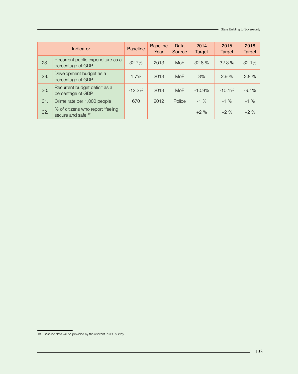|     | Indicator                                                           | <b>Baseline</b> | <b>Baseline</b><br>Year | Data<br>Source | 2014<br><b>Target</b> | 2015<br><b>Target</b> | 2016<br>Target |
|-----|---------------------------------------------------------------------|-----------------|-------------------------|----------------|-----------------------|-----------------------|----------------|
| 28. | Recurrent public expenditure as a<br>percentage of GDP              | 32.7%           | 2013                    | <b>MoF</b>     | 32.8 %                | 32.3%                 | 32.1%          |
| 29. | Development budget as a<br>percentage of GDP                        | 1.7%            | 2013                    | <b>MoF</b>     | 3%                    | 2.9%                  | 2.8%           |
| 30. | Recurrent budget deficit as a<br>percentage of GDP                  | $-12.2\%$       | 2013                    | <b>MoF</b>     | $-10.9%$              | $-10.1\%$             | $-9.4\%$       |
| 31. | Crime rate per 1,000 people                                         | 670             | 2012                    | Police         | $-1\%$                | $-1\%$                | $-1\%$         |
| 32. | % of citizens who report 'feeling<br>secure and safe' <sup>12</sup> |                 |                         |                | $+2\%$                | $+2\%$                | $+2\%$         |

 $\overline{a}$ 

<sup>13.</sup> Baseline data will be provided by the relevant PCBS survey.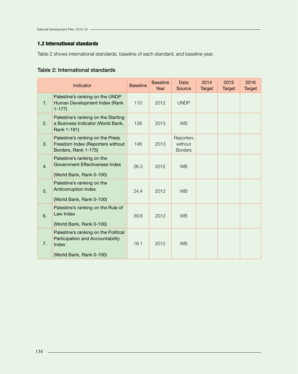### 1.2 International standards

Table 2 shows international standards, baseline of each standard, and baseline year.

### Table 2: International standards

|    | Indicator                                                                                                     | <b>Baseline</b> | <b>Baseline</b><br>Year | Data<br>Source                         | 2014<br><b>Target</b> | 2015<br><b>Target</b> | 2016<br>Target |
|----|---------------------------------------------------------------------------------------------------------------|-----------------|-------------------------|----------------------------------------|-----------------------|-----------------------|----------------|
| 1. | Palestine's ranking on the UNDP<br>Human Development Index (Rank<br>$1 - 177$                                 | 110             | 2012                    | <b>UNDP</b>                            |                       |                       |                |
| 2. | Palestine's ranking on the Starting<br>a Business Indicator (World Bank,<br>Rank 1-181)                       | 138             | 2013                    | <b>WB</b>                              |                       |                       |                |
| 3. | Palestine's ranking on the Press<br>Freedom Index (Reporters without<br>Borders, Rank 1-175)                  | 146             | 2013                    | Reporters<br>without<br><b>Borders</b> |                       |                       |                |
| 4. | Palestine's ranking on the<br>Government Effectiveness Index<br>(World Bank, Rank 0-100)                      | 26.3            | 2012                    | <b>WB</b>                              |                       |                       |                |
| 5. | Palestine's ranking on the<br><b>Anticorruption Index</b><br>(World Bank, Rank 0-100)                         | 24.4            | 2012                    | <b>WB</b>                              |                       |                       |                |
| 6. | Palestine's ranking on the Rule of<br>Law Index<br>(World Bank, Rank 0-100)                                   | 39.8            | 2012                    | <b>WB</b>                              |                       |                       |                |
| 7. | Palestine's ranking on the Political<br>Participation and Accountability<br>Index<br>(World Bank, Rank 0-100) | 18.1            | 2012                    | <b>WB</b>                              |                       |                       |                |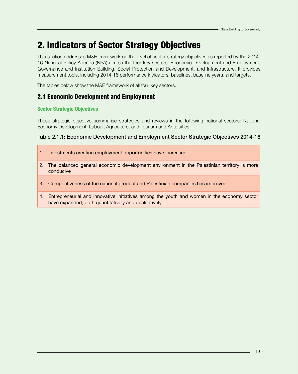# 2. Indicators of Sector Strategy Objectives

This section addresses M&E framework on the level of sector strategy objectives as reported by the 2014- 16 National Policy Agenda (NPA) across the four key sectors: Economic Development and Employment, Governance and Institution Building, Social Protection and Development, and Infrastructure. It provides measurement tools, including 2014-16 performance indicators, baselines, baseline years, and targets.

The tables below show the M&E framework of all four key sectors.

### 2.1 Economic Development and Employment

### Sector Strategic Objectives

These strategic objective summarise strategies and reviews in the following national sectors: National Economy Development, Labour, Agriculture, and Tourism and Antiquities.

### Table 2.1.1: Economic Development and Employment Sector Strategic Objectives 2014-16

- 1. Investments creating employment opportunities have increased
- 2. The balanced general economic development environment in the Palestinian territory is more conducive
- 3. Competitiveness of the national product and Palestinian companies has improved
- 4. Entrepreneurial and innovative initiatives among the youth and women in the economy sector have expanded, both quantitatively and qualitatively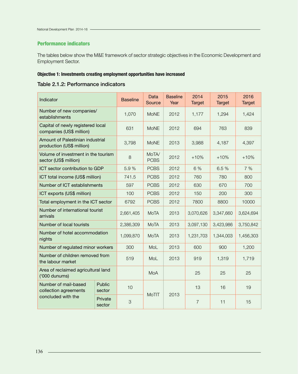### Performance indicators

The tables below show the M&E framework of sector strategic objectives in the Economic Development and Employment Sector.

### Objective 1: Investments creating employment opportunities have increased

### Table 2.1.2: Performance indicators

| Indicator                                                     |                         | <b>Baseline</b> | Data<br>Source       | <b>Baseline</b><br>Year | 2014<br><b>Target</b> | 2015<br><b>Target</b> | 2016<br><b>Target</b> |
|---------------------------------------------------------------|-------------------------|-----------------|----------------------|-------------------------|-----------------------|-----------------------|-----------------------|
| Number of new companies/<br>establishments                    |                         | 1,070           | <b>MoNE</b>          | 2012                    | 1,177                 | 1,294                 | 1,424                 |
| Capital of newly registered local<br>companies (US\$ million) |                         | 631             | <b>MoNE</b>          | 2012                    | 694                   | 763                   | 839                   |
| Amount of Palestinian industrial<br>production (US\$ million) |                         | 3,798           | <b>MoNE</b>          | 2013                    | 3,988                 | 4,187                 | 4,397                 |
| Volume of investment in the tourism<br>sector (US\$ million)  |                         | 8               | MoTA/<br><b>PCBS</b> | 2012                    | $+10%$                | $+10%$                | $+10%$                |
| ICT sector contribution to GDP                                |                         | 5.9%            | <b>PCBS</b>          | 2012                    | 6 %                   | 6.5%                  | 7%                    |
| ICT total income (US\$ million)                               |                         | 741.5           | <b>PCBS</b>          | 2012                    | 760                   | 780                   | 800                   |
| Number of ICT establishments                                  |                         | 597             | <b>PCBS</b>          | 2012                    | 630                   | 670                   | 700                   |
| ICT exports (US\$ million)                                    |                         | 100             | <b>PCBS</b>          | 2012                    | 150                   | 200                   | 300                   |
| Total employment in the ICT sector                            |                         | 6792            | <b>PCBS</b>          | 2012                    | 7800                  | 8800                  | 10000                 |
| Number of international tourist<br>arrivals                   |                         | 2,661,405       | <b>MoTA</b>          | 2013                    | 3,070,626             | 3,347,660             | 3,624,694             |
| Number of local tourists                                      |                         | 2,386,309       | <b>MoTA</b>          | 2013                    | 3,097,130             | 3,423,986             | 3,750,842             |
| Number of hotel accommodation<br>nights                       |                         | 1,099,870       | <b>MoTA</b>          | 2013                    | 1,231,703             | 1,344,003             | 1,456,303             |
| Number of regulated minor workers                             |                         | 300             | MoL                  | 2013                    | 600                   | 900                   | 1,200                 |
| Number of children removed from<br>the labour market          |                         | 519             | <b>MoL</b>           | 2013                    | 919                   | 1,319                 | 1,719                 |
| Area of reclaimed agricultural land<br>('000 dunums)          |                         |                 | <b>MoA</b>           |                         | 25                    | 25                    | 25                    |
| Number of mail-based<br>collection agreements                 | <b>Public</b><br>sector | 10              | MoTIT                | 2013                    | 13                    | 16                    | 19                    |
| concluded with the                                            | Private<br>sector       | 3               |                      |                         | $\overline{7}$        | 11                    | 15                    |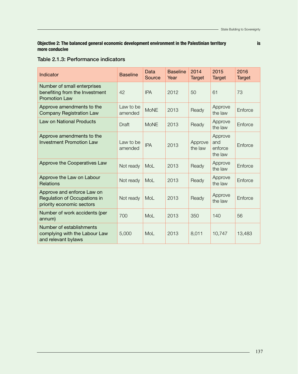### Objective 2: The balanced general economic development environment in the Palestinian territory is is more conducive

### Table 2.1.3: Performance indicators

| Indicator                                                                               | <b>Baseline</b>      | Data<br>Source | <b>Baseline</b><br>Year | 2014<br><b>Target</b> | 2015<br><b>Target</b>                | 2016<br><b>Target</b> |
|-----------------------------------------------------------------------------------------|----------------------|----------------|-------------------------|-----------------------|--------------------------------------|-----------------------|
| Number of small enterprises<br>benefiting from the Investment<br><b>Promotion Law</b>   | 42                   | <b>IPA</b>     | 2012                    | 50                    | 61                                   | 73                    |
| Approve amendments to the<br><b>Company Registration Law</b>                            | Law to be<br>amended | <b>MoNE</b>    | 2013                    | Ready                 | Approve<br>the law                   | Enforce               |
| Law on National Products                                                                | Draft                | <b>MONF</b>    | 2013                    | Ready                 | Approve<br>the law                   | Enforce               |
| Approve amendments to the<br><b>Investment Promotion Law</b>                            | Law to be<br>amended | <b>IPA</b>     | 2013                    | Approve<br>the law    | Approve<br>and<br>enforce<br>the law | Enforce               |
| Approve the Cooperatives Law                                                            | Not ready            | MoL            | 2013                    | Ready                 | Approve<br>the law                   | Enforce               |
| Approve the Law on Labour<br><b>Relations</b>                                           | Not ready            | MoL            | 2013                    | Ready                 | Approve<br>the law                   | Enforce               |
| Approve and enforce Law on<br>Regulation of Occupations in<br>priority economic sectors | Not ready            | MoL            | 2013                    | Ready                 | Approve<br>the law                   | Enforce               |
| Number of work accidents (per<br>annum)                                                 | 700                  | <b>MoL</b>     | 2013                    | 350                   | 140                                  | 56                    |
| Number of establishments<br>complying with the Labour Law<br>and relevant bylaws        | 5,000                | MoL            | 2013                    | 8,011                 | 10,747                               | 13,483                |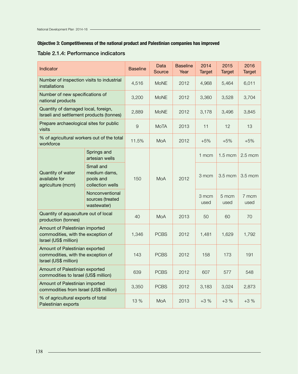### Objective 3: Competitiveness of the national product and Palestinian companies has improved

### Table 2.1.4: Performance indicators

| Indicator                                                                                     |                                                            | <b>Baseline</b> | Data<br>Source | <b>Baseline</b><br>Year | 2014<br><b>Target</b> | 2015<br><b>Target</b> | 2016<br><b>Target</b> |
|-----------------------------------------------------------------------------------------------|------------------------------------------------------------|-----------------|----------------|-------------------------|-----------------------|-----------------------|-----------------------|
| Number of inspection visits to industrial<br>installations                                    |                                                            | 4,516           | <b>MONE</b>    | 2012                    | 4,968                 | 5,464                 | 6,011                 |
| Number of new specifications of<br>national products                                          |                                                            | 3,200           | <b>MONE</b>    | 2012                    | 3,360                 | 3,528                 | 3,704                 |
| Quantity of damaged local, foreign,<br>Israeli and settlement products (tonnes)               |                                                            | 2,889           | <b>MONE</b>    | 2012                    | 3,178                 | 3,496                 | 3,845                 |
| Prepare archaeological sites for public<br>visits                                             |                                                            | $\overline{9}$  | <b>MoTA</b>    | 2013                    | 11                    | 12                    | 13                    |
| % of agricultural workers out of the total<br>workforce                                       |                                                            | 11.5%           | MoA            | 2012                    | $+5%$                 | $+5%$                 | $+5%$                 |
|                                                                                               | Springs and<br>artesian wells                              |                 |                |                         | 1 mcm                 | $1.5$ mcm             | $2.5$ mcm             |
| Quantity of water<br>available for<br>agriculture (mcm)                                       | Small and<br>medium dams,<br>pools and<br>collection wells | 150             | <b>MoA</b>     | 2012                    | 3 mcm                 | 3.5 mcm               | 3.5 mcm               |
|                                                                                               | Nonconventional<br>sources (treated<br>wastewater)         |                 |                |                         | 3 mcm<br>used         | 5 mcm<br>used         | 7 mcm<br>used         |
| Quantity of aquaculture out of local<br>production (tonnes)                                   |                                                            | 40              | <b>MoA</b>     | 2013                    | 50                    | 60                    | 70                    |
| Amount of Palestinian imported<br>commodities, with the exception of<br>Israel (US\$ million) |                                                            | 1,346           | <b>PCBS</b>    | 2012                    | 1,481                 | 1,629                 | 1,792                 |
| Amount of Palestinian exported<br>commodities, with the exception of<br>Israel (US\$ million) |                                                            | 143             | <b>PCBS</b>    | 2012                    | 158                   | 173                   | 191                   |
| Amount of Palestinian exported<br>commodities to Israel (US\$ million)                        |                                                            | 639             | <b>PCBS</b>    | 2012                    | 607                   | 577                   | 548                   |
| Amount of Palestinian imported<br>commodities from Israel (US\$ million)                      |                                                            | 3,350           | <b>PCBS</b>    | 2012                    | 3,183                 | 3,024                 | 2,873                 |
| % of agricultural exports of total<br>Palestinian exports                                     |                                                            | 13 %            | <b>MoA</b>     | 2013                    | $+3%$                 | $+3%$                 | $+3%$                 |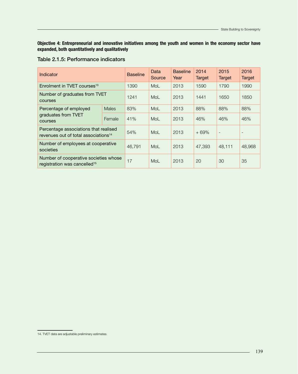Objective 4: Entrepreneurial and innovative initiatives among the youth and women in the economy sector have expanded, both quantitatively and qualitatively

### Table 2.1.5: Performance indicators

| Indicator                                                                                 |              | <b>Baseline</b> | Data<br>Source | <b>Baseline</b><br>Year | 2014<br>Target | 2015<br>Target | 2016<br><b>Target</b>    |
|-------------------------------------------------------------------------------------------|--------------|-----------------|----------------|-------------------------|----------------|----------------|--------------------------|
| Enrolment in TVET courses <sup>13</sup>                                                   |              | 1390            | MoL.           | 2013                    | 1590           | 1790           | 1990                     |
| Number of graduates from TVET<br>courses                                                  |              | 1241            | <b>MoL</b>     | 2013                    | 1441           | 1650           | 1850                     |
| Percentage of employed<br>graduates from TVET<br>courses                                  | <b>Males</b> | 83%             | <b>MoL</b>     | 2013                    | 88%            | 88%            | 88%                      |
|                                                                                           | Female       | 41%             | <b>MoL</b>     | 2013                    | 46%            | 46%            | 46%                      |
| Percentage associations that realised<br>revenues out of total associations <sup>14</sup> |              | 54%             | MoL            | 2013                    | $+69%$         | $\overline{a}$ | $\overline{\phantom{0}}$ |
| Number of employees at cooperative<br>societies                                           |              | 46,791          | <b>MoL</b>     | 2013                    | 47.393         | 48.111         | 48.968                   |
| Number of cooperative societies whose<br>registration was cancelled <sup>15</sup>         |              | 17              | MoL            | 2013                    | 20             | 30             | 35                       |

<sup>14.</sup> TVET data are adjustable preliminary estimates.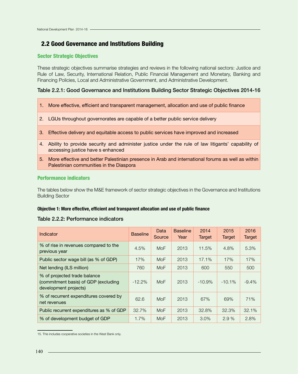### 2.2 Good Governance and Institutions Building

### Sector Strategic Objectives

These strategic objectives summarise strategies and reviews in the following national sectors: Justice and Rule of Law, Security, International Relation, Public Financial Management and Monetary, Banking and Financing Policies, Local and Administrative Government, and Administrative Development.

### Table 2.2.1: Good Governance and Institutions Building Sector Strategic Objectives 2014-16

- 1. More effective, efficient and transparent management, allocation and use of public finance
- 2. LGUs throughout governorates are capable of a better public service delivery
- 3. Effective delivery and equitable access to public services have improved and increased
- 4. Ability to provide security and administer justice under the rule of law litigants' capability of accessing justice have s enhanced
- 5. More effective and better Palestinian presence in Arab and international forums as well as within Palestinian communities in the Diaspora

### Performance indicators

The tables below show the M&E framework of sector strategic objectives in the Governance and Institutions Building Sector

### Objective 1: More effective, efficient and transparent allocation and use of public finance

### Table 2.2.2: Performance indicators

| Indicator                                                                                     | <b>Baseline</b> | Data<br>Source | <b>Baseline</b><br>Year | 2014<br>Target | 2015<br>Target | 2016<br>Target |
|-----------------------------------------------------------------------------------------------|-----------------|----------------|-------------------------|----------------|----------------|----------------|
| % of rise in revenues compared to the<br>previous year                                        | 4.5%            | MoF            | 2013                    | 11.5%          | 4.8%           | 5.3%           |
| Public sector wage bill (as % of GDP)                                                         | 17%             | MoF            | 2013                    | 17.1%          | 17%            | 17%            |
| Net lending (ILS million)                                                                     | 760             | MoF            | 2013                    | 600            | 550            | 500            |
| % of projected trade balance<br>(commitment basis) of GDP (excluding<br>development projects) | $-12.2\%$       | MoF            | 2013                    | $-10.9%$       | $-10.1\%$      | $-9.4\%$       |
| % of recurrent expenditures covered by<br>net revenues                                        | 62.6            | MoF            | 2013                    | 67%            | 69%            | 71%            |
| Public recurrent expenditures as % of GDP                                                     | 32.7%           | <b>MoF</b>     | 2013                    | 32.8%          | 32.3%          | 32.1%          |
| % of development budget of GDP                                                                | 1.7%            | <b>MoF</b>     | 2013                    | 3.0%           | 2.9%           | 2.8%           |

<sup>15.</sup> This includes cooperative societies in the West Bank only.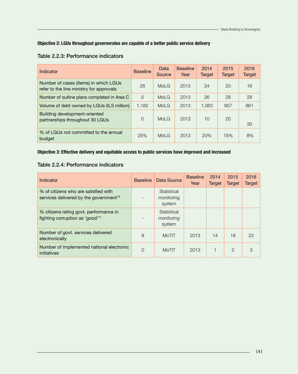### Objective 2: LGUs throughout governorates are capable of a better public service delivery

| Indicator                                                                         | <b>Baseline</b> | Data<br>Source | <b>Baseline</b><br>Year | 2014<br>Target | 2015<br><b>Target</b> | 2016<br>Target |
|-----------------------------------------------------------------------------------|-----------------|----------------|-------------------------|----------------|-----------------------|----------------|
| Number of cases (items) in which LGUs<br>refer to the line ministry for approvals | 28              | MoLG           | 2013                    | 24             | 20                    | 16             |
| Number of outline plans completed in Area C                                       | 5               | MoLG           | 2013                    | 26             | 28                    | 28             |
| Volume of debt owned by LGUs (ILS million)                                        | 1,182           | MoLG           | 2013                    | 1,063          | 957                   | 861            |
| Building development-oriented<br>partnerships throughout 30 LGUs                  | $\Omega$        | $Mol$ G        | 2013                    | 10             | 20                    | 30             |
| % of LGUs not committed to the annual<br>budget                                   | 25%             | MoLG           | 2013                    | 20%            | 15%                   | 8%             |

### Table 2.2.3: Performance indicators

### Objective 3: Effective delivery and equitable access to public services have improved and increased

### Table 2.2.4: Performance indicators

| Indicator                                                                                  | <b>Baseline</b> | Data Source                         | <b>Baseline</b><br>Year | 2014<br>Target | 2015<br>Target | 2016<br>Target |
|--------------------------------------------------------------------------------------------|-----------------|-------------------------------------|-------------------------|----------------|----------------|----------------|
| % of citizens who are satisfied with<br>services delivered by the government <sup>16</sup> |                 | Statistical<br>monitoring<br>system |                         |                |                |                |
| % citizens rating govt. performance in<br>fighting corruption as 'good' <sup>17</sup>      |                 | Statistical<br>monitoring<br>system |                         |                |                |                |
| Number of govt. services delivered<br>electronically                                       | 8               | MoTIT                               | 2013                    | 14             | 18             | 23             |
| Number of implemented national electronic<br>initiatives                                   | $\Omega$        | MoTIT                               | 2013                    |                | 2              | 3              |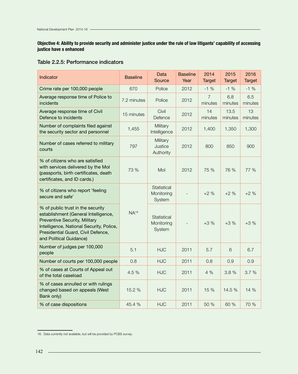### Objective 4: Ability to provide security and administer justice under the rule of law litigants' capability of accessing justice have s enhanced

### Table 2.2.5: Performance indicators

| Indicator                                                                                                                                                                                                                      | <b>Baseline</b>  | <b>Baseline</b><br>Data<br>Source   |      | 2014<br><b>Target</b>     | 2015<br><b>Target</b> | 2016<br><b>Target</b> |
|--------------------------------------------------------------------------------------------------------------------------------------------------------------------------------------------------------------------------------|------------------|-------------------------------------|------|---------------------------|-----------------------|-----------------------|
| Crime rate per 100,000 people                                                                                                                                                                                                  | 670              | Police                              | 2012 | $-1%$                     | $-1%$                 | $-1%$                 |
| Average response time of Police to<br>incidents                                                                                                                                                                                | 7.2 minutes      | Police                              | 2012 | $\overline{7}$<br>minutes | 6.8<br>minutes        | 6.5<br>minutes        |
| Average response time of Civil<br>Defence to incidents                                                                                                                                                                         | 15 minutes       | Civil<br>Defence                    | 2012 | 14<br>minutes             | 13.5<br>minutes       | 13<br>minutes         |
| Number of complaints filed against<br>the security sector and personnel                                                                                                                                                        | 1,455            | Military<br>Intelligence            | 2012 | 1,400                     | 1,350                 | 1,300                 |
| Number of cases referred to military<br>courts                                                                                                                                                                                 | 797              | Military<br>Justice<br>Authority    | 2012 | 800                       | 850                   | 900                   |
| % of citizens who are satisfied<br>with services delivered by the Mol<br>(passports, birth certificates, death<br>certificates, and ID cards.)                                                                                 | 73 %             | Mol                                 | 2012 | 75 %                      | 76 %                  | 77 %                  |
| % of citizens who report 'feeling<br>secure and safe'                                                                                                                                                                          |                  | Statistical<br>Monitoring<br>System |      | $+2%$                     | $+2%$                 | $+2%$                 |
| % of public trust in the security<br>establishment (General Intelligence,<br><b>Preventive Security, Military</b><br>Intelligence, National Security, Police,<br>Presidential Guard, Civil Defence,<br>and Political Guidance) | NA <sup>18</sup> | Statistical<br>Monitoring<br>System |      | $+3%$                     | $+3%$                 | $+3%$                 |
| Number of judges per 100,000<br>people                                                                                                                                                                                         | 5.1              | <b>HJC</b>                          | 2011 | 5.7                       | 6                     | 6.7                   |
| Number of courts per 100,000 people                                                                                                                                                                                            | 0.8              | <b>HJC</b>                          | 2011 | 0.8                       | 0.9                   | 0.9                   |
| % of cases at Courts of Appeal out<br>of the total caseload                                                                                                                                                                    | 4.5 %            | <b>HJC</b>                          | 2011 | 4 %                       | 3.8%                  | 3.7%                  |
| % of cases annulled or with rulings<br>changed based on appeals (West<br>Bank only)                                                                                                                                            | 15.2%            | <b>HJC</b>                          | 2011 | 15%                       | 14.5 %                | 14%                   |
| % of case dispositions                                                                                                                                                                                                         | 45.4 %           | <b>HJC</b>                          | 2011 | 50 %                      | 60 %                  | 70 %                  |

<sup>16.</sup> Data currently not available, but will be provided by PCBS survey.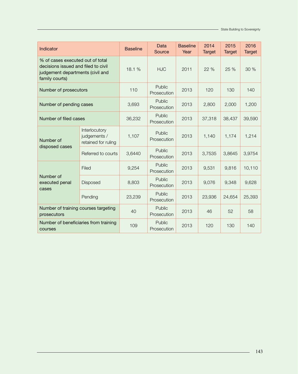| Indicator                                                                                                                     |                                                      | <b>Baseline</b> | Data<br>Source        | <b>Baseline</b><br>Year | 2014<br><b>Target</b> | 2015<br><b>Target</b> | 2016<br><b>Target</b> |
|-------------------------------------------------------------------------------------------------------------------------------|------------------------------------------------------|-----------------|-----------------------|-------------------------|-----------------------|-----------------------|-----------------------|
| % of cases executed out of total<br>decisions issued and filed to civil<br>judgement departments (civil and<br>family courts) |                                                      | 18.1 %          | <b>HJC</b>            | 2011                    | 22%                   | 25%                   | 30%                   |
| Number of prosecutors                                                                                                         |                                                      | 110             | Public<br>Prosecution | 2013                    | 120                   | 130                   | 140                   |
| Number of pending cases                                                                                                       |                                                      | 3,693           | Public<br>Prosecution | 2013                    | 2,800                 | 2,000                 | 1,200                 |
| Number of filed cases                                                                                                         |                                                      | 36,232          | Public<br>Prosecution | 2013                    | 37,318                | 38,437                | 39,590                |
| Number of<br>disposed cases                                                                                                   | Interlocutory<br>judgements /<br>retained for ruling | 1,107           | Public<br>Prosecution | 2013                    | 1,140                 | 1,174                 | 1,214                 |
|                                                                                                                               | Referred to courts                                   | 3,6440          | Public<br>Prosecution | 2013                    | 3,7535                | 3,8645                | 3,9754                |
|                                                                                                                               | Filed                                                | 9,254           | Public<br>Prosecution | 2013                    | 9,531                 | 9,816                 | 10,110                |
| Number of<br>executed penal<br>cases                                                                                          | <b>Disposed</b>                                      | 8,803           | Public<br>Prosecution | 2013                    | 9,076                 | 9,348                 | 9,628                 |
|                                                                                                                               | Pending                                              | 23,239          | Public<br>Prosecution | 2013                    | 23,936                | 24,654                | 25,393                |
| Number of training courses targeting<br>prosecutors                                                                           |                                                      | 40              | Public<br>Prosecution | 2013                    | 46                    | 52                    | 58                    |
| Number of beneficiaries from training<br>courses                                                                              |                                                      | 109             | Public<br>Prosecution | 2013                    | 120                   | 130                   | 140                   |

 $\overline{a}$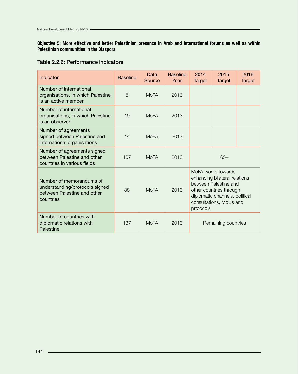### Objective 5: More effective and better Palestinian presence in Arab and international forums as well as within Palestinian communities in the Diaspora

### Table 2.2.6: Performance indicators

| Indicator                                                                                              | <b>Baseline</b> | Data<br>Source | <b>Baseline</b><br>Year | 2014<br><b>Target</b>                                                                                                                                                             | 2015<br><b>Target</b> | 2016<br>Target |
|--------------------------------------------------------------------------------------------------------|-----------------|----------------|-------------------------|-----------------------------------------------------------------------------------------------------------------------------------------------------------------------------------|-----------------------|----------------|
| Number of international<br>organisations, in which Palestine<br>is an active member                    | 6               | <b>MoFA</b>    | 2013                    |                                                                                                                                                                                   |                       |                |
| Number of international<br>organisations, in which Palestine<br>is an observer                         | 19              | <b>MoFA</b>    | 2013                    |                                                                                                                                                                                   |                       |                |
| Number of agreements<br>signed between Palestine and<br>international organisations                    | 14              | <b>MoFA</b>    | 2013                    |                                                                                                                                                                                   |                       |                |
| Number of agreements signed<br>between Palestine and other<br>countries in various fields              | 107             | <b>MoFA</b>    | 2013                    | $65+$                                                                                                                                                                             |                       |                |
| Number of memorandums of<br>understanding/protocols signed<br>between Palestine and other<br>countries | 88              | <b>MoFA</b>    | 2013                    | MoFA works towards<br>enhancing bilateral relations<br>between Palestine and<br>other countries through<br>diplomatic channels, political<br>consultations, MoUs and<br>protocols |                       |                |
| Number of countries with<br>diplomatic relations with<br>Palestine                                     | 137             | <b>MoFA</b>    | 2013                    | Remaining countries                                                                                                                                                               |                       |                |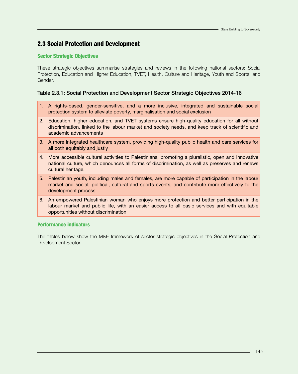# 2.3 Social Protection and Development

# Sector Strategic Objectives

These strategic objectives summarise strategies and reviews in the following national sectors: Social Protection, Education and Higher Education, TVET, Health, Culture and Heritage, Youth and Sports, and Gender.

# Table 2.3.1: Social Protection and Development Sector Strategic Objectives 2014-16

- 1. A rights-based, gender-sensitive, and a more inclusive, integrated and sustainable social protection system to alleviate poverty, marginalisation and social exclusion
- 2. Education, higher education, and TVET systems ensure high-quality education for all without discrimination, linked to the labour market and society needs, and keep track of scientific and academic advancements
- 3. A more integrated healthcare system, providing high-quality public health and care services for all both equitably and justly
- 4. More accessible cultural activities to Palestinians, promoting a pluralistic, open and innovative national culture, which denounces all forms of discrimination, as well as preserves and renews cultural heritage.
- 5. Palestinian youth, including males and females, are more capable of participation in the labour market and social, political, cultural and sports events, and contribute more effectively to the development process
- 6. An empowered Palestinian woman who enjoys more protection and better participation in the labour market and public life, with an easier access to all basic services and with equitable opportunities without discrimination

## Performance indicators

The tables below show the M&E framework of sector strategic objectives in the Social Protection and Development Sector.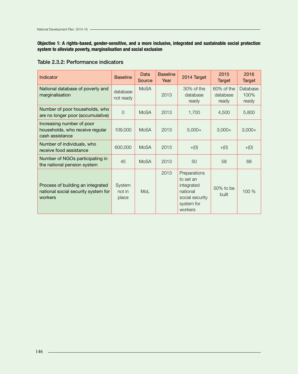# Objective 1: A rights-based, gender-sensitive, and a more inclusive, integrated and sustainable social protection system to alleviate poverty, marginalisation and social exclusion

|  | Table 2.3.2: Performance indicators |  |
|--|-------------------------------------|--|
|--|-------------------------------------|--|

| Indicator                                                                           | <b>Baseline</b>           | Data<br>Source | <b>Baseline</b><br>Year | 2014 Target                                                                                     | 2015<br><b>Target</b>              | 2016<br><b>Target</b>     |
|-------------------------------------------------------------------------------------|---------------------------|----------------|-------------------------|-------------------------------------------------------------------------------------------------|------------------------------------|---------------------------|
| National database of poverty and<br>marginalisation                                 | database<br>not ready     | <b>MoSA</b>    | 2013                    | $30\%$ of the<br>database<br>ready                                                              | $60\%$ of the<br>database<br>ready | Database<br>100%<br>ready |
| Number of poor households, who<br>are no longer poor (accumulative)                 | $\Omega$                  | <b>MoSA</b>    | 2013                    | 1,700                                                                                           | 4,500                              | 5,800                     |
| Increasing number of poor<br>households, who receive regular<br>cash assistance     | 109,000                   | <b>MoSA</b>    | 2013                    | $5,000+$                                                                                        | $3,000+$                           | $3,000+$                  |
| Number of individuals, who<br>receive food assistance                               | 600,000                   | <b>MoSA</b>    | 2013                    | $+(0)$                                                                                          | $+(0)$                             | $+(0)$                    |
| Number of NGOs participating in<br>the national pension system                      | 45                        | <b>MoSA</b>    | 2013                    | 50                                                                                              | 58                                 | 68                        |
| Process of building an integrated<br>national social security system for<br>workers | System<br>not in<br>place | MoL            | 2013                    | Preparations<br>to set an<br>integrated<br>national<br>social security<br>system for<br>workers | 50% to be<br>built                 | 100 %                     |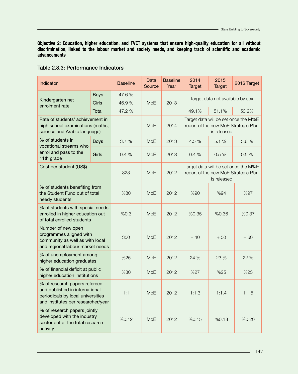Objective 2: Education, higher education, and TVET systems that ensure high-quality education for all without discrimination, linked to the labour market and society needs, and keeping track of scientific and academic advancements

| <b>Indicator</b>                                                                                                                           |              | <b>Baseline</b> | Data<br>Source | <b>Baseline</b><br>Year | 2014<br><b>Target</b>                                                                       | 2015<br><b>Target</b>                                                                       | 2016 Target |  |
|--------------------------------------------------------------------------------------------------------------------------------------------|--------------|-----------------|----------------|-------------------------|---------------------------------------------------------------------------------------------|---------------------------------------------------------------------------------------------|-------------|--|
|                                                                                                                                            | <b>Boys</b>  | 47.6 %          |                |                         | Target data not available by sex                                                            |                                                                                             |             |  |
| Kindergarten net<br>enrolment rate                                                                                                         | Girls        | 46.9 %          | <b>MoE</b>     | 2013                    |                                                                                             |                                                                                             |             |  |
|                                                                                                                                            | <b>Total</b> | 47.2 %          |                |                         | 49.1%                                                                                       | 51.1%                                                                                       | 53.2%       |  |
| Rate of students' achievement in<br>high school examinations (maths,<br>science and Arabic language)                                       |              |                 | <b>MoE</b>     | 2014                    |                                                                                             | Target data will be set once the M%E<br>report of the new MoE Strategic Plan<br>is released |             |  |
| % of students in<br>vocational streams who                                                                                                 | <b>Boys</b>  | 3.7%            | MoE            | 2013                    | 4.5 %                                                                                       | 5.1%                                                                                        | 5.6 %       |  |
| enrol and pass to the<br>11th grade                                                                                                        | <b>Girls</b> | 0.4%            | MoE            | 2013                    | 0.4%                                                                                        | 0.5%                                                                                        | 0.5%        |  |
| Cost per student (US\$)                                                                                                                    |              | 823             | MoE            | 2012                    | Target data will be set once the M%E<br>report of the new MoE Strategic Plan<br>is released |                                                                                             |             |  |
| % of students benefiting from<br>the Student Fund out of total<br>needy students                                                           |              | %80             | <b>MoE</b>     | 2012                    | %90<br>%94                                                                                  |                                                                                             | %97         |  |
| % of students with special needs<br>enrolled in higher education out<br>of total enrolled students                                         |              | %0.3            | <b>MoE</b>     | 2012                    | %0.35                                                                                       | %0.36                                                                                       | %0.37       |  |
| Number of new open<br>programmes aligned with<br>community as well as with local<br>and regional labour market needs                       |              | 350             | <b>MoE</b>     | 2012                    | $+40$<br>$+50$                                                                              |                                                                                             | $+60$       |  |
| % of unemployment among<br>higher education graduates                                                                                      |              | %25             | <b>MoE</b>     | 2012                    | 24 %                                                                                        | 23 %                                                                                        | 22 %        |  |
| % of financial deficit at public<br>higher education institutions                                                                          |              | %30             | <b>MoE</b>     | 2012                    | %27                                                                                         | %25                                                                                         | %23         |  |
| % of research papers refereed<br>and published in international<br>periodicals by local universities<br>and institutes per researcher/year |              | 1:1             | <b>MoE</b>     | 2012                    | 1:1.3                                                                                       | 1:1.4                                                                                       | 1:1.5       |  |
| % of research papers jointly<br>developed with the industry<br>sector out of the total research<br>activity                                |              | %0.12           | MoE            | 2012                    | %0.15                                                                                       | %0.18                                                                                       | %0.20       |  |

# Table 2.3.3: Performance Indicators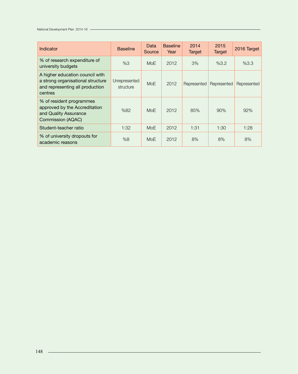#### National Development Plan 2014-16

| Indicator                                                                                                          | <b>Baseline</b>            | Data<br>Source | <b>Baseline</b><br>Year | 2014<br>Target | 2015<br>Target | 2016 Target |
|--------------------------------------------------------------------------------------------------------------------|----------------------------|----------------|-------------------------|----------------|----------------|-------------|
| % of research expenditure of<br>university budgets                                                                 | %3                         | MoE            | 2012                    | 3%             | %3.2           | %3.3        |
| A higher education council with<br>a strong organisational structure<br>and representing all production<br>centres | Unrepresented<br>structure | <b>MoE</b>     | 2012                    | Represented    | Represented    | Represented |
| % of resident programmes<br>approved by the Accreditation<br>and Quality Assurance<br>Commission (AQAC)            | %82                        | <b>MoE</b>     | 2012                    | 85%            | 90%            | 92%         |
| Student-teacher ratio                                                                                              | 1:32                       | <b>MoE</b>     | 2012                    | 1:31           | 1:30           | 1:28        |
| % of university dropouts for<br>academic reasons                                                                   | %8                         | <b>MoE</b>     | 2012                    | 8%             | 8%             | 8%          |

 $\overline{\phantom{a}}$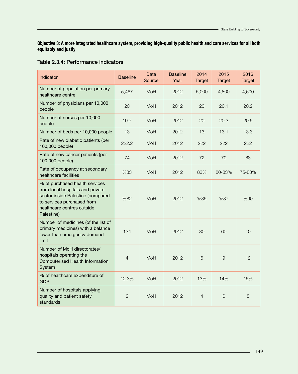## Objective 3: A more integrated healthcare system, providing high-quality public health and care services for all both equitably and justly

# Table 2.3.4: Performance indicators

| Indicator                                                                                                                                                                         | <b>Baseline</b> | Data<br>Source | <b>Baseline</b><br>Year | 2014<br><b>Target</b> | 2015<br><b>Target</b> | 2016<br><b>Target</b> |
|-----------------------------------------------------------------------------------------------------------------------------------------------------------------------------------|-----------------|----------------|-------------------------|-----------------------|-----------------------|-----------------------|
| Number of population per primary<br>healthcare centre                                                                                                                             | 5,467           | <b>MoH</b>     | 2012                    | 5,000                 | 4,800                 | 4,600                 |
| Number of physicians per 10,000<br>people                                                                                                                                         | 20              | <b>MoH</b>     | 2012                    | 20                    | 20.1                  | 20.2                  |
| Number of nurses per 10,000<br>people                                                                                                                                             | 19.7            | <b>MoH</b>     | 2012                    | 20                    | 20.3                  | 20.5                  |
| Number of beds per 10,000 people                                                                                                                                                  | 13              | MoH            | 2012                    | 13                    | 13.1                  | 13.3                  |
| Rate of new diabetic patients (per<br>100,000 people)                                                                                                                             | 222.2           | <b>MoH</b>     | 2012                    | 222                   | 222                   | 222                   |
| Rate of new cancer patients (per<br>100,000 people)                                                                                                                               | 74              | MoH            | 2012                    | 72                    | 70                    | 68                    |
| Rate of occupancy at secondary<br>healthcare facilities                                                                                                                           | %83             | MoH            | 2012                    | 83%                   | 80-83%                | 75-83%                |
| % of purchased health services<br>from local hospitals and private<br>sector inside Palestine (compared<br>to services purchased from<br>healthcare centres outside<br>Palestine) | %82             | <b>MoH</b>     | 2012                    | %85                   | %87                   | %90                   |
| Number of medicines (of the list of<br>primary medicines) with a balance<br>lower than emergency demand<br>limit                                                                  | 134             | MoH            | 2012                    | 80                    | 60                    | 40                    |
| Number of MoH directorates/<br>hospitals operating the<br>Computerised Health Information<br>System                                                                               | $\overline{4}$  | <b>MoH</b>     | 2012                    | 6                     | $\overline{9}$        | 12                    |
| % of healthcare expenditure of<br><b>GDP</b>                                                                                                                                      | 12.3%           | MoH            | 2012                    | 13%                   | 14%                   | 15%                   |
| Number of hospitals applying<br>quality and patient safety<br>standards                                                                                                           | $\overline{2}$  | MoH            | 2012                    | $\overline{4}$        | 6                     | 8                     |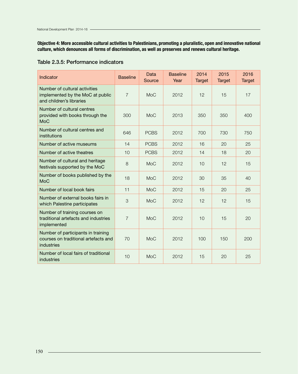Objective 4: More accessible cultural activities to Palestinians, promoting a pluralistic, open and innovative national culture, which denounces all forms of discrimination, as well as preserves and renews cultural heritage.

|  | Table 2.3.5: Performance indicators |  |
|--|-------------------------------------|--|
|--|-------------------------------------|--|

| Indicator                                                                                     | <b>Baseline</b> | Data<br>Source | <b>Baseline</b><br>Year | 2014<br>Target | 2015<br><b>Target</b> | 2016<br>Target |
|-----------------------------------------------------------------------------------------------|-----------------|----------------|-------------------------|----------------|-----------------------|----------------|
| Number of cultural activities<br>implemented by the MoC at public<br>and children's libraries | $\overline{7}$  | <b>MoC</b>     | 2012                    | 12             | 15                    | 17             |
| Number of cultural centres<br>provided with books through the<br><b>MoC</b>                   | 300             | <b>MoC</b>     | 2013                    | 350            | 350                   | 400            |
| Number of cultural centres and<br>institutions                                                | 646             | <b>PCBS</b>    | 2012                    | 700            | 730                   | 750            |
| Number of active museums                                                                      | 14              | <b>PCBS</b>    | 2012                    | 16             | 20                    | 25             |
| Number of active theatres                                                                     | 10              | <b>PCBS</b>    | 2012                    | 14             | 18                    | 20             |
| Number of cultural and heritage<br>festivals supported by the MoC                             | 8               | <b>MoC</b>     | 2012                    | 10             | 12                    | 15             |
| Number of books published by the<br><b>MoC</b>                                                | 18              | <b>MoC</b>     | 2012                    | 30             | 35                    | 40             |
| Number of local book fairs                                                                    | 11              | <b>MoC</b>     | 2012                    | 15             | 20                    | 25             |
| Number of external books fairs in<br>which Palestine participates                             | 3               | <b>MoC</b>     | 2012                    | 12             | 12                    | 15             |
| Number of training courses on<br>traditional artefacts and industries<br>implemented          | $\overline{7}$  | <b>MoC</b>     | 2012                    | 10             | 15                    | 20             |
| Number of participants in training<br>courses on traditional artefacts and<br>industries      | 70              | <b>MoC</b>     | 2012                    | 100            | 150                   | 200            |
| Number of local fairs of traditional<br>industries                                            | 10              | <b>MoC</b>     | 2012                    | 15             | 20                    | 25             |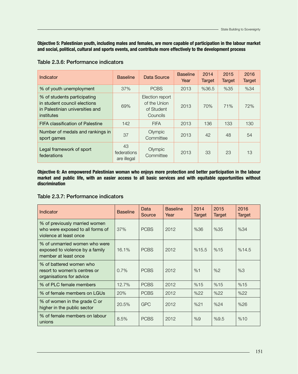Objective 5: Palestinian youth, including males and females, are more capable of participation in the labour market and social, political, cultural and sports events, and contribute more effectively to the development process

| Indicator                                                                                                    | <b>Baseline</b>                  | Data Source                                                      | <b>Baseline</b><br>Year | 2014<br><b>Target</b> | 2015<br>Target | 2016<br><b>Target</b> |
|--------------------------------------------------------------------------------------------------------------|----------------------------------|------------------------------------------------------------------|-------------------------|-----------------------|----------------|-----------------------|
| % of youth unemployment                                                                                      | 37%                              | <b>PCBS</b>                                                      | 2013                    | %36.5                 | %35            | %34                   |
| % of students participating<br>in student council elections<br>in Palestinian universities and<br>institutes | 69%                              | Election report<br>of the Union<br>of Student<br><b>Councils</b> | 2013                    | 70%                   | 71%            | 72%                   |
| <b>FIFA classification of Palestine</b>                                                                      | 142                              | <b>FIFA</b>                                                      | 2013                    | 136                   | 133            | 130                   |
| Number of medals and rankings in<br>sport games                                                              | 37                               | Olympic<br>Committee                                             | 2013                    | 42                    | 48             | 54                    |
| Legal framework of sport<br>federations                                                                      | 43<br>federations<br>are illegal | Olympic<br>Committee                                             | 2013                    | 33                    | 23             | 13                    |

## Table 2.3.6: Performance indicators

Objective 6: An empowered Palestinian woman who enjoys more protection and better participation in the labour market and public life, with an easier access to all basic services and with equitable opportunities without discrimination

# Table 2.3.7: Performance indicators

| Indicator                                                                                   | <b>Baseline</b> | Data<br>Source | <b>Baseline</b><br>Year | 2014<br>Target | 2015<br>Target | 2016<br>Target |
|---------------------------------------------------------------------------------------------|-----------------|----------------|-------------------------|----------------|----------------|----------------|
| % of previously married women<br>who were exposed to all forms of<br>violence at least once | 37%             | <b>PCBS</b>    | 2012                    | %36            | %35            | %34            |
| % of unmarried women who were<br>exposed to violence by a family<br>member at least once    | 16.1%           | <b>PCBS</b>    | 2012                    | %15.5          | %15            | %14.5          |
| % of battered women who<br>resort to women's centres or<br>organisations for advice         | 0.7%            | <b>PCBS</b>    | 2012                    | %1             | %2             | %3             |
| % of PLC female members                                                                     | 12.7%           | <b>PCBS</b>    | 2012                    | %15            | %15            | %15            |
| % of female members on LGUs                                                                 | 20%             | <b>PCBS</b>    | 2012                    | %22            | %22            | %22            |
| % of women in the grade C or<br>higher in the public sector                                 | 20.5%           | <b>GPC</b>     | 2012                    | %21            | %24            | %26            |
| % of female members on labour<br>unions                                                     | 8.5%            | <b>PCBS</b>    | 2012                    | %9             | %9.5           | %10            |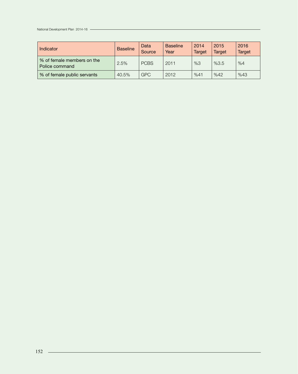#### National Development Plan 2014-16

| Indicator                                    | <b>Baseline</b> | Data<br>Source | <b>Baseline</b><br>Year | 2014<br><b>Target</b> | 2015<br><b>Target</b> | 2016<br><b>Target</b> |
|----------------------------------------------|-----------------|----------------|-------------------------|-----------------------|-----------------------|-----------------------|
| % of female members on the<br>Police command | 2.5%            | <b>PCBS</b>    | 2011                    | %3                    | %3.5                  | %4                    |
| % of female public servants                  | 40.5%           | <b>GPC</b>     | 2012                    | %41                   | %42                   | %43                   |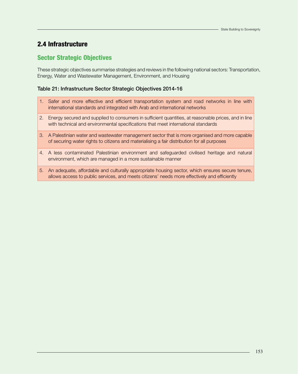# 2.4 Infrastructure

# Sector Strategic Objectives

These strategic objectives summarise strategies and reviews in the following national sectors: Transportation, Energy, Water and Wastewater Management, Environment, and Housing

# Table 21: Infrastructure Sector Strategic Objectives 2014-16

- 1. Safer and more effective and efficient transportation system and road networks in line with international standards and integrated with Arab and international networks
- 2. Energy secured and supplied to consumers in sufficient quantities, at reasonable prices, and in line with technical and environmental specifications that meet international standards
- 3. A Palestinian water and wastewater management sector that is more organised and more capable of securing water rights to citizens and materialising a fair distribution for all purposes
- 4. A less contaminated Palestinian environment and safeguarded civilised heritage and natural environment, which are managed in a more sustainable manner
- 5. An adequate, affordable and culturally appropriate housing sector, which ensures secure tenure, allows access to public services, and meets citizens' needs more effectively and efficiently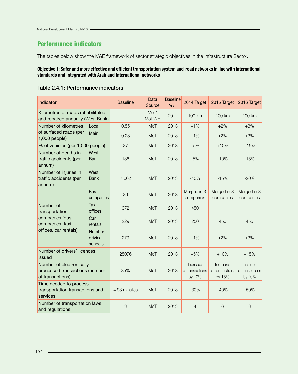# Performance indicators

The tables below show the M&E framework of sector strategic objectives in the Infrastructure Sector.

### Objective 1: Safer and more effective and efficient transportation system and road networks in line with international standards and integrated with Arab and international networks

| Table 2.4.1: Performance indicators |
|-------------------------------------|
|-------------------------------------|

| Indicator                                                                      |                                     | <b>Baseline</b> | Data<br>Source                 | <b>Baseline</b><br>Year | 2014 Target                          | 2015 Target                          | 2016 Target                          |
|--------------------------------------------------------------------------------|-------------------------------------|-----------------|--------------------------------|-------------------------|--------------------------------------|--------------------------------------|--------------------------------------|
| Kilometres of roads rehabilitated<br>and repaired annually (West Bank)         |                                     |                 | M <sub>0</sub><br><b>MoPWH</b> | 2012                    | 100 km                               | 100 km                               | 100 km                               |
| Number of kilometres                                                           | Local                               | 0.55            | MoT                            | 2013                    | $+1%$                                | $+2%$                                | $+3%$                                |
| of surfaced roads (per<br>1,000 people)                                        | Main                                | 0.28            | MoT                            | 2013                    | $+1%$                                | $+2%$                                | $+3%$                                |
| % of vehicles (per 1,000 people)                                               |                                     | 87              | MoT                            | 2013                    | $+5%$                                | $+10%$                               | $+15%$                               |
| Number of deaths in<br>traffic accidents (per<br>annum)                        | West<br><b>Bank</b>                 | 136             | MoT                            | 2013                    | $-5%$                                | $-10%$                               | $-15%$                               |
| Number of injuries in<br>traffic accidents (per<br>annum)                      | West<br><b>Bank</b>                 | 7.602           | MoT                            | 2013                    | $-10%$                               | $-15%$                               | $-20%$                               |
|                                                                                | <b>Bus</b><br>companies             | 89              | MoT                            | 2013                    | Merged in 3<br>companies             | Merged in 3<br>companies             | Merged in 3<br>companies             |
| Number of<br>transportation                                                    | Taxi<br>offices                     | 372             | MoT                            | 2013                    | 450                                  |                                      |                                      |
| companies (bus<br>companies, taxi                                              | Car<br>rentals                      | 229             | MoT                            | 2013                    | 250                                  | 450                                  | 455                                  |
| offices, car rentals)                                                          | <b>Number</b><br>driving<br>schools | 279             | MoT                            | 2013                    | $+1%$                                | $+2%$                                | $+3%$                                |
| Number of drivers' licences<br>issued                                          |                                     | 25076           | MoT                            | 2013                    | $+5%$                                | $+10%$                               | $+15%$                               |
| Number of electronically<br>processed transactions (number<br>of transactions) |                                     | 85%             | MoT                            | 2013                    | Increase<br>e-transactions<br>by 10% | Increase<br>e-transactions<br>by 15% | Increase<br>e-transactions<br>by 20% |
| Time needed to process<br>transportation transactions and<br>services          |                                     | 4.93 minutes    | MoT                            | 2013                    | $-30%$                               | $-40%$                               | $-50%$                               |
| Number of transportation laws<br>and regulations                               |                                     | 3               | MoT                            | 2013                    | $\overline{4}$                       | 6                                    | 8                                    |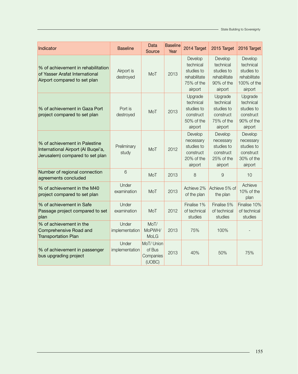| Indicator                                                                                              | <b>Baseline</b>         | Data<br>Source                              | <b>Baseline</b><br>Year | 2014 Target                                                                 | 2015 Target                                                                 | 2016 Target                                                                  |
|--------------------------------------------------------------------------------------------------------|-------------------------|---------------------------------------------|-------------------------|-----------------------------------------------------------------------------|-----------------------------------------------------------------------------|------------------------------------------------------------------------------|
| % of achievement in rehabilitation<br>of Yasser Arafat International<br>Airport compared to set plan   | Airport is<br>destroyed | MoT                                         | 2013                    | Develop<br>technical<br>studies to<br>rehabilitate<br>75% of the<br>airport | Develop<br>technical<br>studies to<br>rehabilitate<br>90% of the<br>airport | Develop<br>technical<br>studies to<br>rehabilitate<br>100% of the<br>airport |
| % of achievement in Gaza Port<br>project compared to set plan                                          | Port is<br>destroyed    | MoT                                         | 2013                    | Upgrade<br>technical<br>studies to<br>construct<br>50% of the<br>airport    | Upgrade<br>technical<br>studies to<br>construct<br>75% of the<br>airport    | Upgrade<br>technical<br>studies to<br>construct<br>90% of the<br>airport     |
| % of achievement in Palestine<br>International Airport (Al Buqei'a,<br>Jerusalem) compared to set plan | Preliminary<br>study    | MoT                                         | 2012                    | Develop<br>necessary<br>studies to<br>construct<br>20% of the<br>airport    | Develop<br>necessary<br>studies to<br>construct<br>25% of the<br>airport    | Develop<br>necessary<br>studies to<br>construct<br>30% of the<br>airport     |
| Number of regional connection<br>agreements concluded                                                  | 6                       | MoT                                         | 2013                    | 8                                                                           | 9                                                                           | 10                                                                           |
| % of achievement in the M40<br>project compared to set plan                                            | Under<br>examination    | MoT                                         | 2013                    | Achieve 2%<br>of the plan                                                   | Achieve 5% of<br>the plan                                                   | Achieve<br>10% of the<br>plan                                                |
| % of achievement in Safe<br>Passage project compared to set<br>plan                                    | Under<br>examination    | MoT                                         | 2012                    | Finalise 1%<br>of technical<br>studies                                      | Finalise 5%<br>of technical<br>studies                                      | Finalise 10%<br>of technical<br>studies                                      |
| % of achievement in the<br>Comprehensive Road and<br><b>Transportation Plan</b>                        | Under<br>implementation | MoT/<br>MoPWH/<br>MoLG                      | 2013                    | 75%                                                                         | 100%                                                                        |                                                                              |
| % of achievement in passenger<br>bus upgrading project                                                 | Under<br>implementation | MoT/ Union<br>of Bus<br>Companies<br>(UOBC) | 2013                    | 40%                                                                         | 50%                                                                         | 75%                                                                          |

 $\overline{a}$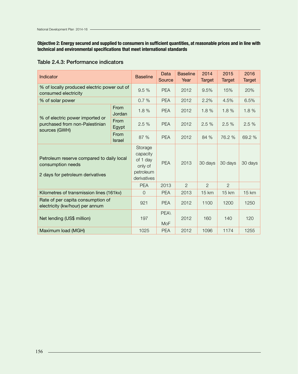## Objective 2: Energy secured and supplied to consumers in sufficient quantities, at reasonable prices and in line with technical and environmental specifications that meet international standards

| Indicator                                                                                          |                       | <b>Baseline</b>                                                        | Data<br>Source     | <b>Baseline</b><br>Year | 2014<br><b>Target</b> | 2015<br><b>Target</b> | 2016<br><b>Target</b> |
|----------------------------------------------------------------------------------------------------|-----------------------|------------------------------------------------------------------------|--------------------|-------------------------|-----------------------|-----------------------|-----------------------|
| % of locally produced electric power out of<br>consumed electricity                                |                       | 9.5%                                                                   | <b>PEA</b>         | 2012                    | 9.5%                  | 15%                   | 20%                   |
| % of solar power                                                                                   |                       | 0.7%                                                                   | <b>PEA</b>         | 2012                    | 2.2%                  | 4.5%                  | 6.5%                  |
| % of electric power imported or<br>purchased from non-Palestinian<br>sources (GWH)                 | From<br>Jordan        | 1.8%                                                                   | <b>PEA</b>         | 2012                    | 1.8%                  | 1.8%                  | 1.8%                  |
|                                                                                                    | From<br>Egypt         | 2.5%                                                                   | <b>PEA</b>         | 2012                    | 2.5%                  | 2.5%                  | 2.5%                  |
|                                                                                                    | From<br><b>Israel</b> | 87 %                                                                   | <b>PEA</b>         | 2012                    | 84 %                  | 76.2 %                | 69.2 %                |
| Petroleum reserve compared to daily local<br>consumption needs<br>2 days for petroleum derivatives |                       | Storage<br>capacity<br>of 1 day<br>only of<br>petroleum<br>derivatives | <b>PEA</b>         | 2013                    | 30 days               | 30 days               | 30 days               |
|                                                                                                    |                       | <b>PFA</b>                                                             | 2013               | $\mathcal{P}$           | $\overline{2}$        | $\mathcal{P}$         |                       |
| Kilometres of transmission lines (161kv)                                                           |                       | $\Omega$                                                               | <b>PEA</b>         | 2013                    | 15 km                 | <b>15 km</b>          | <b>15 km</b>          |
| Rate of per capita consumption of<br>electricity (kw/hour) per annum                               |                       | 921                                                                    | <b>PEA</b>         | 2012                    | 1100                  | 1200                  | 1250                  |
| Net lending (US\$ million)                                                                         |                       | 197                                                                    | PEA\<br><b>MoF</b> | 2012                    | 160                   | 140                   | 120                   |
| Maximum load (MGH)                                                                                 |                       | 1025                                                                   | <b>PEA</b>         | 2012                    | 1096                  | 1174                  | 1255                  |

# Table 2.4.3: Performance indicators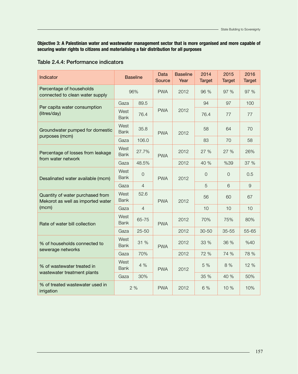## Objective 3: A Palestinian water and wastewater management sector that is more organised and more capable of securing water rights to citizens and materialising a fair distribution for all purposes

|  | Table 2.4.4: Performance indicators |  |
|--|-------------------------------------|--|
|--|-------------------------------------|--|

| Indicator                                                             |                     | <b>Baseline</b> | <b>Data</b><br>Source | <b>Baseline</b><br>Year | 2014<br><b>Target</b> | 2015<br><b>Target</b> | 2016<br><b>Target</b> |
|-----------------------------------------------------------------------|---------------------|-----------------|-----------------------|-------------------------|-----------------------|-----------------------|-----------------------|
| Percentage of households<br>connected to clean water supply           |                     | 96%             | <b>PWA</b>            | 2012                    | 96 %                  | 97 %                  | 97 %                  |
|                                                                       | Gaza                | 89.5            |                       | 2012                    | 94                    | 97                    | 100                   |
| Per capita water consumption<br>(litres/day)                          | West<br><b>Bank</b> | 76.4            | <b>PWA</b>            |                         | 76.4                  | 77                    | 77                    |
| Groundwater pumped for domestic<br>purposes (mcm)                     | West<br><b>Bank</b> | 35.8            | <b>PWA</b>            | 2012                    | 58                    | 64                    | 70                    |
|                                                                       | Gaza                | 106.0           |                       |                         | 83                    | 70                    | 58                    |
| Percentage of losses from leakage                                     | West<br><b>Bank</b> | 27.7%           | <b>PWA</b>            | 2012                    | 27 %                  | 27 %                  | 26%                   |
| from water network                                                    | Gaza                | 48.5%           |                       | 2012                    | 40 %                  | %39                   | 37 %                  |
| Desalinated water available (mcm)                                     | West<br><b>Bank</b> | $\mathsf O$     | <b>PWA</b>            | 2012                    | $\overline{0}$        | $\overline{O}$        | 0.5                   |
|                                                                       | Gaza                | $\overline{4}$  |                       |                         | 5                     | 6                     | 9                     |
| Quantity of water purchased from<br>Mekorot as well as imported water | West<br><b>Bank</b> | 52.6            | <b>PWA</b>            | 2012                    | 56                    | 60                    | 67                    |
| (mcm)                                                                 | Gaza                | $\overline{4}$  |                       |                         | 10                    | 10                    | 10                    |
| Rate of water bill collection                                         | West<br><b>Bank</b> | 65-75           | <b>PWA</b>            | 2012                    | 70%                   | 75%                   | 80%                   |
|                                                                       | Gaza                | $25 - 50$       |                       | 2012                    | $30 - 50$             | $35 - 55$             | 55-65                 |
| % of households connected to                                          | West<br><b>Bank</b> | 31 %            | <b>PWA</b>            | 2012                    | 33 %                  | 36 %                  | %40                   |
| sewerage networks                                                     | Gaza                | 70%             |                       | 2012                    | 72 %                  | 74 %                  | 78 %                  |
| % of wastewater treated in<br>wastewater treatment plants             | West<br><b>Bank</b> | 4 %             | <b>PWA</b>            | 2012                    | 5 %                   | 8 %                   | 12 %                  |
|                                                                       | Gaza                | 30%             |                       |                         | 35 %                  | 40 %                  | 50%                   |
| % of treated wastewater used in<br>irrigation                         |                     | 2%              | <b>PWA</b>            | 2012                    | 6 %                   | 10 %                  | 10%                   |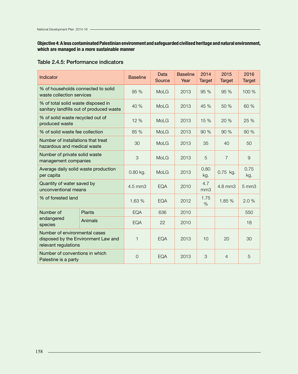# Objective 4: A less contaminated Palestinian environment and safeguarded civilised heritage and natural environment, which are managed in a more sustainable manner

# Table 2.4.5: Performance indicators

| Indicator                                                                                    |                                          | <b>Baseline</b> | Data<br>Source | <b>Baseline</b><br>Year | 2014<br>Target | 2015<br><b>Target</b> | 2016<br><b>Target</b> |
|----------------------------------------------------------------------------------------------|------------------------------------------|-----------------|----------------|-------------------------|----------------|-----------------------|-----------------------|
| % of households connected to solid<br>waste collection services                              |                                          | 95 %            | MoLG           | 2013                    | 95 %           | 95 %                  | 100 %                 |
| % of total solid waste disposed in                                                           | sanitary landfills out of produced waste | 40 %            | <b>MoLG</b>    | 2013                    | 45 %           | 50 %                  | 60 %                  |
| % of solid waste recycled out of<br>produced waste                                           |                                          | 12 %            | <b>MoLG</b>    | 2013                    | 15 %           | 20 %                  | 25 %                  |
| % of solid waste fee collection                                                              |                                          | 85 %            | <b>MoLG</b>    | 2013                    | 90 %           | 90 %                  | 90 %                  |
| Number of installations that treat<br>hazardous and medical waste                            |                                          | 30              | MoLG           | 2013                    | 35             | 40                    | 50                    |
| Number of private solid waste<br>management companies                                        |                                          | 3               | <b>MoLG</b>    | 2013                    | 5              | $\overline{7}$        | $\overline{9}$        |
| Average daily solid waste production<br>per capita                                           |                                          | 0.80 kg.        | MoLG           | 2013                    | 0.80<br>kg.    | 0.75 kg.              | 0.75<br>kg.           |
| Quantity of water saved by<br>unconventional means                                           |                                          | $4.5$ mm $3$    | <b>EQA</b>     | 2010                    | 4.7<br>mm3     | 4.8 mm3               | $5 \text{ mm}$        |
| % of forested land                                                                           |                                          | 1.63%           | <b>EQA</b>     | 2012                    | 1.75<br>$\%$   | 1.85 %                | 2.0%                  |
| Number of                                                                                    | <b>Plants</b>                            | <b>EQA</b>      | 636            | 2010                    |                |                       | 550                   |
| endangered<br>species                                                                        | Animals                                  | <b>EQA</b>      | 22             | 2010                    |                |                       | 18                    |
| Number of environmental cases<br>disposed by the Environment Law and<br>relevant regulations |                                          | $\mathbf{1}$    | <b>EQA</b>     | 2013                    | 10             | 20                    | 30                    |
| Number of conventions in which<br>Palestine is a party                                       |                                          | $\overline{O}$  | <b>EQA</b>     | 2013                    | 3              | $\overline{4}$        | 5                     |

÷.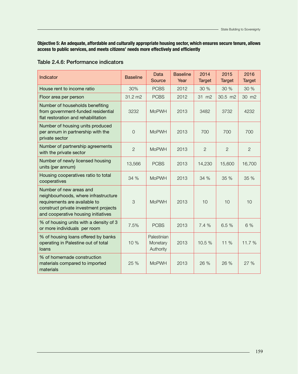## Objective 5: An adequate, affordable and culturally appropriate housing sector, which ensures secure tenure, allows access to public services, and meets citizens' needs more effectively and efficiently

|  | Table 2.4.6: Performance indicators |  |
|--|-------------------------------------|--|
|--|-------------------------------------|--|

| Indicator                                                                                                                                                                        | <b>Baseline</b>   | Data<br>Source                       | <b>Baseline</b><br>Year | 2014<br><b>Target</b> | 2015<br><b>Target</b> | 2016<br><b>Target</b> |
|----------------------------------------------------------------------------------------------------------------------------------------------------------------------------------|-------------------|--------------------------------------|-------------------------|-----------------------|-----------------------|-----------------------|
| House rent to income ratio                                                                                                                                                       | 30%               | <b>PCBS</b>                          | 2012                    | 30 %                  | 30 %                  | 30 %                  |
| Floor area per person                                                                                                                                                            | $31.2 \text{ m}2$ | <b>PCBS</b>                          | 2012                    | 31 m2                 | 30.5 m2               | 30 m2                 |
| Number of households benefiting<br>from government-funded residential<br>flat restoration and rehabilitation                                                                     | 3232              | <b>MoPWH</b>                         | 2013                    | 3482                  | 3732                  | 4232                  |
| Number of housing units produced<br>per annum in partnership with the<br>private sector                                                                                          | 0                 | <b>MoPWH</b>                         | 2013                    | 700                   | 700                   | 700                   |
| Number of partnership agreements<br>with the private sector                                                                                                                      | $\overline{2}$    | <b>MoPWH</b>                         | 2013                    | $\overline{2}$        | $\overline{2}$        | $\overline{2}$        |
| Number of newly licensed housing<br>units (per annum)                                                                                                                            | 13,566            | <b>PCBS</b>                          | 2013                    | 14,230                | 15,600                | 16,700                |
| Housing cooperatives ratio to total<br>cooperatives                                                                                                                              | 34 %              | <b>MoPWH</b>                         | 2013                    | 34 %                  | 35 %                  | 35 %                  |
| Number of new areas and<br>neighbourhoods, where infrastructure<br>requirements are available to<br>construct private investment projects<br>and cooperative housing initiatives | 3                 | <b>MoPWH</b>                         | 2013                    | 10                    | 10                    | 10                    |
| % of housing units with a density of 3<br>or more individuals per room                                                                                                           | 7.5%              | <b>PCBS</b>                          | 2013                    | 7.4%                  | 6.5 %                 | 6%                    |
| % of housing loans offered by banks<br>operating in Palestine out of total<br>loans                                                                                              | 10 %              | Palestinian<br>Monetary<br>Authority | 2013                    | 10.5%                 | $11\%$                | 11.7 %                |
| % of homemade construction<br>materials compared to imported<br>materials                                                                                                        | 25%               | <b>MoPWH</b>                         | 2013                    | 26%                   | 26%                   | 27%                   |